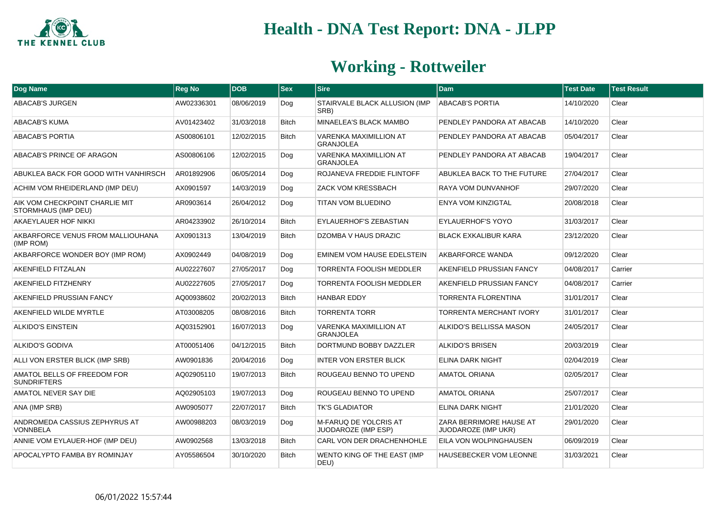

| Dog Name                                              | Reg No     | <b>DOB</b> | $ $ Sex      | <b>Sire</b>                                       | <b>Dam</b>                                     | <b>Test Date</b> | <b>Test Result</b> |
|-------------------------------------------------------|------------|------------|--------------|---------------------------------------------------|------------------------------------------------|------------------|--------------------|
| <b>ABACAB'S JURGEN</b>                                | AW02336301 | 08/06/2019 | Dog          | STAIRVALE BLACK ALLUSION (IMP<br>SRB)             | <b>ABACAB'S PORTIA</b>                         | 14/10/2020       | Clear              |
| <b>ABACAB'S KUMA</b>                                  | AV01423402 | 31/03/2018 | <b>Bitch</b> | MINAELEA'S BLACK MAMBO                            | PENDLEY PANDORA AT ABACAB                      | 14/10/2020       | Clear              |
| <b>ABACAB'S PORTIA</b>                                | AS00806101 | 12/02/2015 | <b>Bitch</b> | <b>VARENKA MAXIMILLION AT</b><br><b>GRANJOLEA</b> | PENDLEY PANDORA AT ABACAB                      | 05/04/2017       | Clear              |
| ABACAB'S PRINCE OF ARAGON                             | AS00806106 | 12/02/2015 | Dog          | <b>VARENKA MAXIMILLION AT</b><br><b>GRANJOLEA</b> | PENDLEY PANDORA AT ABACAB                      | 19/04/2017       | Clear              |
| ABUKLEA BACK FOR GOOD WITH VANHIRSCH                  | AR01892906 | 06/05/2014 | Dog          | ROJANEVA FREDDIE FLINTOFF                         | ABUKLEA BACK TO THE FUTURE                     | 27/04/2017       | Clear              |
| ACHIM VOM RHEIDERLAND (IMP DEU)                       | AX0901597  | 14/03/2019 | Dog          | <b>ZACK VOM KRESSBACH</b>                         | RAYA VOM DUNVANHOF                             | 29/07/2020       | Clear              |
| AIK VOM CHECKPOINT CHARLIE MIT<br>STORMHAUS (IMP DEU) | AR0903614  | 26/04/2012 | Dog          | <b>TITAN VOM BLUEDINO</b>                         | <b>ENYA VOM KINZIGTAL</b>                      | 20/08/2018       | Clear              |
| AKAEYLAUER HOF NIKKI                                  | AR04233902 | 26/10/2014 | <b>Bitch</b> | EYLAUERHOF'S ZEBASTIAN                            | <b>EYLAUERHOF'S YOYO</b>                       | 31/03/2017       | Clear              |
| AKBARFORCE VENUS FROM MALLIOUHANA<br>(IMP ROM)        | AX0901313  | 13/04/2019 | <b>Bitch</b> | DZOMBA V HAUS DRAZIC                              | <b>BLACK EXKALIBUR KARA</b>                    | 23/12/2020       | Clear              |
| AKBARFORCE WONDER BOY (IMP ROM)                       | AX0902449  | 04/08/2019 | Dog          | EMINEM VOM HAUSE EDELSTEIN                        | AKBARFORCE WANDA                               | 09/12/2020       | Clear              |
| <b>AKENFIELD FITZALAN</b>                             | AU02227607 | 27/05/2017 | Dog          | <b>TORRENTA FOOLISH MEDDLER</b>                   | AKENFIELD PRUSSIAN FANCY                       | 04/08/2017       | Carrier            |
| AKENFIELD FITZHENRY                                   | AU02227605 | 27/05/2017 | Dog          | <b>TORRENTA FOOLISH MEDDLER</b>                   | AKENFIELD PRUSSIAN FANCY                       | 04/08/2017       | Carrier            |
| AKENFIELD PRUSSIAN FANCY                              | AQ00938602 | 20/02/2013 | <b>Bitch</b> | <b>HANBAR EDDY</b>                                | <b>TORRENTA FLORENTINA</b>                     | 31/01/2017       | Clear              |
| AKENFIELD WILDE MYRTLE                                | AT03008205 | 08/08/2016 | <b>Bitch</b> | <b>TORRENTA TORR</b>                              | TORRENTA MERCHANT IVORY                        | 31/01/2017       | Clear              |
| <b>ALKIDO'S EINSTEIN</b>                              | AQ03152901 | 16/07/2013 | Dog          | <b>VARENKA MAXIMILLION AT</b><br><b>GRANJOLEA</b> | ALKIDO'S BELLISSA MASON                        | 24/05/2017       | Clear              |
| <b>ALKIDO'S GODIVA</b>                                | AT00051406 | 04/12/2015 | <b>Bitch</b> | DORTMUND BOBBY DAZZLER                            | <b>ALKIDO'S BRISEN</b>                         | 20/03/2019       | Clear              |
| ALLI VON ERSTER BLICK (IMP SRB)                       | AW0901836  | 20/04/2016 | Dog          | <b>INTER VON ERSTER BLICK</b>                     | ELINA DARK NIGHT                               | 02/04/2019       | Clear              |
| AMATOL BELLS OF FREEDOM FOR<br><b>SUNDRIFTERS</b>     | AQ02905110 | 19/07/2013 | <b>Bitch</b> | ROUGEAU BENNO TO UPEND                            | <b>AMATOL ORIANA</b>                           | 02/05/2017       | Clear              |
| AMATOL NEVER SAY DIE                                  | AQ02905103 | 19/07/2013 | Dog          | ROUGEAU BENNO TO UPEND                            | <b>AMATOL ORIANA</b>                           | 25/07/2017       | Clear              |
| ANA (IMP SRB)                                         | AW0905077  | 22/07/2017 | <b>Bitch</b> | <b>TK'S GLADIATOR</b>                             | ELINA DARK NIGHT                               | 21/01/2020       | Clear              |
| ANDROMEDA CASSIUS ZEPHYRUS AT<br><b>VONNBELA</b>      | AW00988203 | 08/03/2019 | Dog          | M-FARUQ DE YOLCRIS AT<br>JUODAROZE (IMP ESP)      | ZARA BERRIMORE HAUSE AT<br>JUODAROZE (IMP UKR) | 29/01/2020       | Clear              |
| ANNIE VOM EYLAUER-HOF (IMP DEU)                       | AW0902568  | 13/03/2018 | <b>Bitch</b> | CARL VON DER DRACHENHOHLE                         | EILA VON WOLPINGHAUSEN                         | 06/09/2019       | Clear              |
| APOCALYPTO FAMBA BY ROMINJAY                          | AY05586504 | 30/10/2020 | <b>Bitch</b> | WENTO KING OF THE EAST (IMP<br>DEU)               | HAUSEBECKER VOM LEONNE                         | 31/03/2021       | Clear              |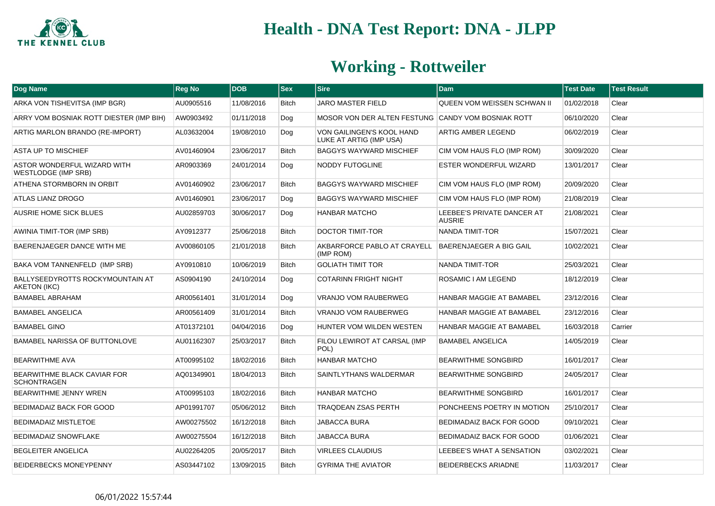

| Dog Name                                           | <b>Reg No</b> | <b>DOB</b> | $ $ Sex      | <b>Sire</b>                                                        | <b>Dam</b>                                  | <b>Test Date</b> | <b>Test Result</b> |
|----------------------------------------------------|---------------|------------|--------------|--------------------------------------------------------------------|---------------------------------------------|------------------|--------------------|
| ARKA VON TISHEVITSA (IMP BGR)                      | AU0905516     | 11/08/2016 | Bitch        | <b>JARO MASTER FIELD</b>                                           | QUEEN VOM WEISSEN SCHWAN II                 | 01/02/2018       | Clear              |
| ARRY VOM BOSNIAK ROTT DIESTER (IMP BIH)            | AW0903492     | 01/11/2018 | Dog          | MOSOR VON DER ALTEN FESTUNG CANDY VOM BOSNIAK ROTT                 |                                             | 06/10/2020       | Clear              |
| ARTIG MARLON BRANDO (RE-IMPORT)                    | AL03632004    | 19/08/2010 | Dog          | VON GAILINGEN'S KOOL HAND<br>LUKE AT ARTIG (IMP USA)               | ARTIG AMBER LEGEND                          | 06/02/2019       | Clear              |
| ASTA UP TO MISCHIEF                                | AV01460904    | 23/06/2017 | <b>Bitch</b> | <b>BAGGYS WAYWARD MISCHIEF</b>                                     | CIM VOM HAUS FLO (IMP ROM)                  | 30/09/2020       | Clear              |
| ASTOR WONDERFUL WIZARD WITH<br>WESTLODGE (IMP SRB) | AR0903369     | 24/01/2014 | Dog          | <b>NODDY FUTOGLINE</b>                                             | <b>ESTER WONDERFUL WIZARD</b>               | 13/01/2017       | Clear              |
| ATHENA STORMBORN IN ORBIT                          | AV01460902    | 23/06/2017 | Bitch        | <b>BAGGYS WAYWARD MISCHIEF</b>                                     | CIM VOM HAUS FLO (IMP ROM)                  | 20/09/2020       | Clear              |
| <b>ATLAS LIANZ DROGO</b>                           | AV01460901    | 23/06/2017 | Dog          | <b>BAGGYS WAYWARD MISCHIEF</b>                                     | CIM VOM HAUS FLO (IMP ROM)                  | 21/08/2019       | Clear              |
| <b>AUSRIE HOME SICK BLUES</b>                      | AU02859703    | 30/06/2017 | Dog          | <b>HANBAR MATCHO</b>                                               | LEEBEE'S PRIVATE DANCER AT<br><b>AUSRIE</b> | 21/08/2021       | Clear              |
| AWINIA TIMIT-TOR (IMP SRB)                         | AY0912377     | 25/06/2018 | <b>Bitch</b> | <b>DOCTOR TIMIT-TOR</b>                                            | NANDA TIMIT-TOR                             | 15/07/2021       | Clear              |
| BAERENJAEGER DANCE WITH ME                         | AV00860105    | 21/01/2018 | <b>Bitch</b> | AKBARFORCE PABLO AT CRAYELL   BAERENJAEGER A BIG GAIL<br>(IMP ROM) |                                             | 10/02/2021       | Clear              |
| BAKA VOM TANNENFELD (IMP SRB)                      | AY0910810     | 10/06/2019 | <b>Bitch</b> | <b>GOLIATH TIMIT TOR</b>                                           | NANDA TIMIT-TOR                             | 25/03/2021       | Clear              |
| BALLYSEEDYROTTS ROCKYMOUNTAIN AT<br>AKETON (IKC)   | AS0904190     | 24/10/2014 | Dog          | <b>COTARINN FRIGHT NIGHT</b>                                       | ROSAMIC I AM LEGEND                         | 18/12/2019       | Clear              |
| <b>BAMABEL ABRAHAM</b>                             | AR00561401    | 31/01/2014 | Dog          | <b>VRANJO VOM RAUBERWEG</b>                                        | <b>HANBAR MAGGIE AT BAMABEL</b>             | 23/12/2016       | Clear              |
| <b>BAMABEL ANGELICA</b>                            | AR00561409    | 31/01/2014 | <b>Bitch</b> | VRANJO VOM RAUBERWEG                                               | HANBAR MAGGIE AT BAMABEL                    | 23/12/2016       | Clear              |
| <b>BAMABEL GINO</b>                                | AT01372101    | 04/04/2016 | Dog          | HUNTER VOM WILDEN WESTEN                                           | <b>HANBAR MAGGIE AT BAMABEL</b>             | 16/03/2018       | Carrier            |
| BAMABEL NARISSA OF BUTTONLOVE                      | AU01162307    | 25/03/2017 | <b>Bitch</b> | FILOU LEWIROT AT CARSAL (IMP<br>POL)                               | <b>BAMABEL ANGELICA</b>                     | 14/05/2019       | Clear              |
| <b>BEARWITHME AVA</b>                              | AT00995102    | 18/02/2016 | <b>Bitch</b> | <b>HANBAR MATCHO</b>                                               | <b>BEARWITHME SONGBIRD</b>                  | 16/01/2017       | Clear              |
| BEARWITHME BLACK CAVIAR FOR<br><b>SCHONTRAGEN</b>  | AQ01349901    | 18/04/2013 | <b>Bitch</b> | SAINTLYTHANS WALDERMAR                                             | <b>BEARWITHME SONGBIRD</b>                  | 24/05/2017       | Clear              |
| BEARWITHME JENNY WREN                              | AT00995103    | 18/02/2016 | <b>Bitch</b> | <b>HANBAR MATCHO</b>                                               | <b>BEARWITHME SONGBIRD</b>                  | 16/01/2017       | Clear              |
| BEDIMADAIZ BACK FOR GOOD                           | AP01991707    | 05/06/2012 | <b>Bitch</b> | <b>TRAQDEAN ZSAS PERTH</b>                                         | PONCHEENS POETRY IN MOTION                  | 25/10/2017       | Clear              |
| <b>BEDIMADAIZ MISTLETOE</b>                        | AW00275502    | 16/12/2018 | <b>Bitch</b> | <b>JABACCA BURA</b>                                                | BEDIMADAIZ BACK FOR GOOD                    | 09/10/2021       | Clear              |
| <b>BEDIMADAIZ SNOWFLAKE</b>                        | AW00275504    | 16/12/2018 | Bitch        | <b>JABACCA BURA</b>                                                | BEDIMADAIZ BACK FOR GOOD                    | 01/06/2021       | Clear              |
| <b>BEGLEITER ANGELICA</b>                          | AU02264205    | 20/05/2017 | <b>Bitch</b> | <b>VIRLEES CLAUDIUS</b>                                            | LEEBEE'S WHAT A SENSATION                   | 03/02/2021       | Clear              |
| <b>BEIDERBECKS MONEYPENNY</b>                      | AS03447102    | 13/09/2015 | <b>Bitch</b> | <b>GYRIMA THE AVIATOR</b>                                          | <b>BEIDERBECKS ARIADNE</b>                  | 11/03/2017       | Clear              |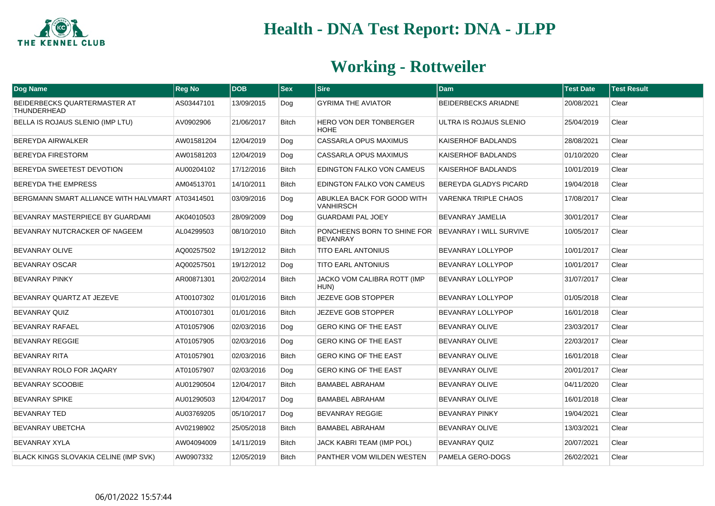

| Dog Name                                         | <b>Reg No</b> | <b>DOB</b> | $ s_{ex} $   | Sire                                                                   | <b>Dam</b>                  | <b>Test Date</b> | <b>Test Result</b> |
|--------------------------------------------------|---------------|------------|--------------|------------------------------------------------------------------------|-----------------------------|------------------|--------------------|
| BEIDERBECKS QUARTERMASTER AT<br>THUNDERHEAD      | AS03447101    | 13/09/2015 | Dog          | <b>GYRIMA THE AVIATOR</b>                                              | <b>BEIDERBECKS ARIADNE</b>  | 20/08/2021       | Clear              |
| BELLA IS ROJAUS SLENIO (IMP LTU)                 | AV0902906     | 21/06/2017 | <b>Bitch</b> | <b>HERO VON DER TONBERGER</b><br><b>HOHE</b>                           | ULTRA IS ROJAUS SLENIO      | 25/04/2019       | Clear              |
| <b>BEREYDA AIRWALKER</b>                         | AW01581204    | 12/04/2019 | Dog          | CASSARLA OPUS MAXIMUS                                                  | KAISERHOF BADLANDS          | 28/08/2021       | Clear              |
| <b>BEREYDA FIRESTORM</b>                         | AW01581203    | 12/04/2019 | Dog          | <b>CASSARLA OPUS MAXIMUS</b>                                           | <b>KAISERHOF BADLANDS</b>   | 01/10/2020       | Clear              |
| BEREYDA SWEETEST DEVOTION                        | AU00204102    | 17/12/2016 | <b>Bitch</b> | EDINGTON FALKO VON CAMEUS                                              | <b>KAISERHOF BADLANDS</b>   | 10/01/2019       | Clear              |
| BEREYDA THE EMPRESS                              | AM04513701    | 14/10/2011 | <b>Bitch</b> | EDINGTON FALKO VON CAMEUS                                              | BEREYDA GLADYS PICARD       | 19/04/2018       | Clear              |
| BERGMANN SMART ALLIANCE WITH HALVMART AT03414501 |               | 03/09/2016 | Dog          | ABUKLEA BACK FOR GOOD WITH<br><b>VANHIRSCH</b>                         | <b>VARENKA TRIPLE CHAOS</b> | 17/08/2017       | Clear              |
| BEVANRAY MASTERPIECE BY GUARDAMI                 | AK04010503    | 28/09/2009 | Dog          | <b>GUARDAMI PAL JOEY</b>                                               | BEVANRAY JAMELIA            | 30/01/2017       | Clear              |
| BEVANRAY NUTCRACKER OF NAGEEM                    | AL04299503    | 08/10/2010 | <b>Bitch</b> | PONCHEENS BORN TO SHINE FOR BEVANRAY I WILL SURVIVE<br><b>BEVANRAY</b> |                             | 10/05/2017       | Clear              |
| <b>BEVANRAY OLIVE</b>                            | AQ00257502    | 19/12/2012 | Bitch        | <b>TITO EARL ANTONIUS</b>                                              | BEVANRAY LOLLYPOP           | 10/01/2017       | Clear              |
| <b>BEVANRAY OSCAR</b>                            | AQ00257501    | 19/12/2012 | Dog          | <b>TITO EARL ANTONIUS</b>                                              | BEVANRAY LOLLYPOP           | 10/01/2017       | Clear              |
| <b>BEVANRAY PINKY</b>                            | AR00871301    | 20/02/2014 | <b>Bitch</b> | JACKO VOM CALIBRA ROTT (IMP<br>HUN)                                    | BEVANRAY LOLLYPOP           | 31/07/2017       | Clear              |
| BEVANRAY QUARTZ AT JEZEVE                        | AT00107302    | 01/01/2016 | <b>Bitch</b> | JEZEVE GOB STOPPER                                                     | BEVANRAY LOLLYPOP           | 01/05/2018       | Clear              |
| <b>BEVANRAY QUIZ</b>                             | AT00107301    | 01/01/2016 | <b>Bitch</b> | JEZEVE GOB STOPPER                                                     | BEVANRAY LOLLYPOP           | 16/01/2018       | Clear              |
| BEVANRAY RAFAEL                                  | AT01057906    | 02/03/2016 | Dog          | <b>GERO KING OF THE EAST</b>                                           | BEVANRAY OLIVE              | 23/03/2017       | Clear              |
| <b>BEVANRAY REGGIE</b>                           | AT01057905    | 02/03/2016 | Dog          | <b>GERO KING OF THE EAST</b>                                           | <b>BEVANRAY OLIVE</b>       | 22/03/2017       | Clear              |
| <b>BEVANRAY RITA</b>                             | AT01057901    | 02/03/2016 | <b>Bitch</b> | <b>GERO KING OF THE EAST</b>                                           | <b>BEVANRAY OLIVE</b>       | 16/01/2018       | Clear              |
| BEVANRAY ROLO FOR JAQARY                         | AT01057907    | 02/03/2016 | Dog          | <b>GERO KING OF THE EAST</b>                                           | <b>BEVANRAY OLIVE</b>       | 20/01/2017       | Clear              |
| <b>BEVANRAY SCOOBIE</b>                          | AU01290504    | 12/04/2017 | Bitch        | <b>BAMABEL ABRAHAM</b>                                                 | <b>BEVANRAY OLIVE</b>       | 04/11/2020       | Clear              |
| <b>BEVANRAY SPIKE</b>                            | AU01290503    | 12/04/2017 | Dog          | <b>BAMABEL ABRAHAM</b>                                                 | <b>BEVANRAY OLIVE</b>       | 16/01/2018       | Clear              |
| <b>BEVANRAY TED</b>                              | AU03769205    | 05/10/2017 | Dog          | <b>BEVANRAY REGGIE</b>                                                 | <b>BEVANRAY PINKY</b>       | 19/04/2021       | Clear              |
| <b>BEVANRAY UBETCHA</b>                          | AV02198902    | 25/05/2018 | Bitch        | <b>BAMABEL ABRAHAM</b>                                                 | <b>BEVANRAY OLIVE</b>       | 13/03/2021       | Clear              |
| <b>BEVANRAY XYLA</b>                             | AW04094009    | 14/11/2019 | Bitch        | JACK KABRI TEAM (IMP POL)                                              | BEVANRAY QUIZ               | 20/07/2021       | Clear              |
| BLACK KINGS SLOVAKIA CELINE (IMP SVK)            | AW0907332     | 12/05/2019 | Bitch        | PANTHER VOM WILDEN WESTEN                                              | PAMELA GERO-DOGS            | 26/02/2021       | Clear              |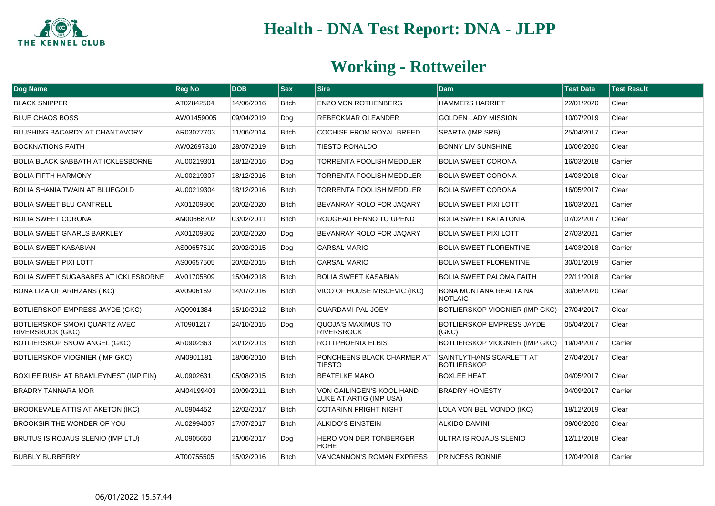

| Dog Name                                                        | <b>Reg No</b> | <b>DOB</b> | <b>Sex</b>   | <b>Sire</b>                                          | Dam                                             | <b>Test Date</b> | <b>Test Result</b> |
|-----------------------------------------------------------------|---------------|------------|--------------|------------------------------------------------------|-------------------------------------------------|------------------|--------------------|
| <b>BLACK SNIPPER</b>                                            | AT02842504    | 14/06/2016 | Bitch        | <b>ENZO VON ROTHENBERG</b>                           | <b>HAMMERS HARRIET</b>                          | 22/01/2020       | Clear              |
| <b>BLUE CHAOS BOSS</b>                                          | AW01459005    | 09/04/2019 | Dog          | <b>REBECKMAR OLEANDER</b>                            | <b>GOLDEN LADY MISSION</b>                      | 10/07/2019       | Clear              |
| BLUSHING BACARDY AT CHANTAVORY                                  | AR03077703    | 11/06/2014 | Bitch        | <b>COCHISE FROM ROYAL BREED</b>                      | SPARTA (IMP SRB)                                | 25/04/2017       | Clear              |
| <b>BOCKNATIONS FAITH</b>                                        | AW02697310    | 28/07/2019 | Bitch        | <b>TIESTO RONALDO</b>                                | BONNY LIV SUNSHINE                              | 10/06/2020       | Clear              |
| <b>BOLIA BLACK SABBATH AT ICKLESBORNE</b>                       | AU00219301    | 18/12/2016 | Dog          | <b>TORRENTA FOOLISH MEDDLER</b>                      | <b>BOLIA SWEET CORONA</b>                       | 16/03/2018       | Carrier            |
| <b>BOLIA FIFTH HARMONY</b>                                      | AU00219307    | 18/12/2016 | <b>Bitch</b> | <b>TORRENTA FOOLISH MEDDLER</b>                      | <b>BOLIA SWEET CORONA</b>                       | 14/03/2018       | Clear              |
| <b>BOLIA SHANIA TWAIN AT BLUEGOLD</b>                           | AU00219304    | 18/12/2016 | Bitch        | <b>TORRENTA FOOLISH MEDDLER</b>                      | <b>BOLIA SWEET CORONA</b>                       | 16/05/2017       | Clear              |
| <b>BOLIA SWEET BLU CANTRELL</b>                                 | AX01209806    | 20/02/2020 | Bitch        | BEVANRAY ROLO FOR JAQARY                             | <b>BOLIA SWEET PIXI LOTT</b>                    | 16/03/2021       | Carrier            |
| <b>BOLIA SWEET CORONA</b>                                       | AM00668702    | 03/02/2011 | <b>Bitch</b> | ROUGEAU BENNO TO UPEND                               | <b>BOLIA SWEET KATATONIA</b>                    | 07/02/2017       | Clear              |
| <b>BOLIA SWEET GNARLS BARKLEY</b>                               | AX01209802    | 20/02/2020 | Dog          | BEVANRAY ROLO FOR JAQARY                             | <b>BOLIA SWEET PIXI LOTT</b>                    | 27/03/2021       | Carrier            |
| <b>BOLIA SWEET KASABIAN</b>                                     | AS00657510    | 20/02/2015 | Dog          | <b>CARSAL MARIO</b>                                  | <b>BOLIA SWEET FLORENTINE</b>                   | 14/03/2018       | Carrier            |
| <b>BOLIA SWEET PIXI LOTT</b>                                    | AS00657505    | 20/02/2015 | <b>Bitch</b> | <b>CARSAL MARIO</b>                                  | <b>BOLIA SWEET FLORENTINE</b>                   | 30/01/2019       | Carrier            |
| <b>BOLIA SWEET SUGABABES AT ICKLESBORNE</b>                     | AV01705809    | 15/04/2018 | Bitch        | <b>BOLIA SWEET KASABIAN</b>                          | <b>BOLIA SWEET PALOMA FAITH</b>                 | 22/11/2018       | Carrier            |
| <b>BONA LIZA OF ARIHZANS (IKC)</b>                              | AV0906169     | 14/07/2016 | <b>Bitch</b> | VICO OF HOUSE MISCEVIC (IKC)                         | <b>BONA MONTANA REALTA NA</b><br><b>NOTLAIG</b> | 30/06/2020       | Clear              |
| <b>BOTLIERSKOP EMPRESS JAYDE (GKC)</b>                          | AQ0901384     | 15/10/2012 | <b>Bitch</b> | <b>GUARDAMI PAL JOEY</b>                             | BOTLIERSKOP VIOGNIER (IMP GKC)                  | 27/04/2017       | Clear              |
| <b>BOTLIERSKOP SMOKI QUARTZ AVEC</b><br><b>RIVERSROCK (GKC)</b> | AT0901217     | 24/10/2015 | Dog          | QUOJA'S MAXIMUS TO<br><b>RIVERSROCK</b>              | <b>BOTLIERSKOP EMPRESS JAYDE</b><br>(GKC)       | 05/04/2017       | Clear              |
| <b>BOTLIERSKOP SNOW ANGEL (GKC)</b>                             | AR0902363     | 20/12/2013 | <b>Bitch</b> | ROTTPHOENIX ELBIS                                    | BOTLIERSKOP VIOGNIER (IMP GKC)                  | 19/04/2017       | Carrier            |
| <b>BOTLIERSKOP VIOGNIER (IMP GKC)</b>                           | AM0901181     | 18/06/2010 | <b>Bitch</b> | PONCHEENS BLACK CHARMER AT<br><b>TIESTO</b>          | SAINTLYTHANS SCARLETT AT<br><b>BOTLIERSKOP</b>  | 27/04/2017       | Clear              |
| BOXLEE RUSH AT BRAMLEYNEST (IMP FIN)                            | AU0902631     | 05/08/2015 | <b>Bitch</b> | <b>BEATELKE MAKO</b>                                 | <b>BOXLEE HEAT</b>                              | 04/05/2017       | Clear              |
| <b>BRADRY TANNARA MOR</b>                                       | AM04199403    | 10/09/2011 | <b>Bitch</b> | VON GAILINGEN'S KOOL HAND<br>LUKE AT ARTIG (IMP USA) | <b>BRADRY HONESTY</b>                           | 04/09/2017       | Carrier            |
| <b>BROOKEVALE ATTIS AT AKETON (IKC)</b>                         | AU0904452     | 12/02/2017 | <b>Bitch</b> | <b>COTARINN FRIGHT NIGHT</b>                         | LOLA VON BEL MONDO (IKC)                        | 18/12/2019       | Clear              |
| BROOKSIR THE WONDER OF YOU                                      | AU02994007    | 17/07/2017 | <b>Bitch</b> | <b>ALKIDO'S EINSTEIN</b>                             | <b>ALKIDO DAMINI</b>                            | 09/06/2020       | Clear              |
| BRUTUS IS ROJAUS SLENIO (IMP LTU)                               | AU0905650     | 21/06/2017 | Dog          | <b>HERO VON DER TONBERGER</b><br><b>HOHE</b>         | ULTRA IS ROJAUS SLENIO                          | 12/11/2018       | Clear              |
| <b>BUBBLY BURBERRY</b>                                          | AT00755505    | 15/02/2016 | <b>Bitch</b> | <b>VANCANNON'S ROMAN EXPRESS</b>                     | <b>PRINCESS RONNIE</b>                          | 12/04/2018       | Carrier            |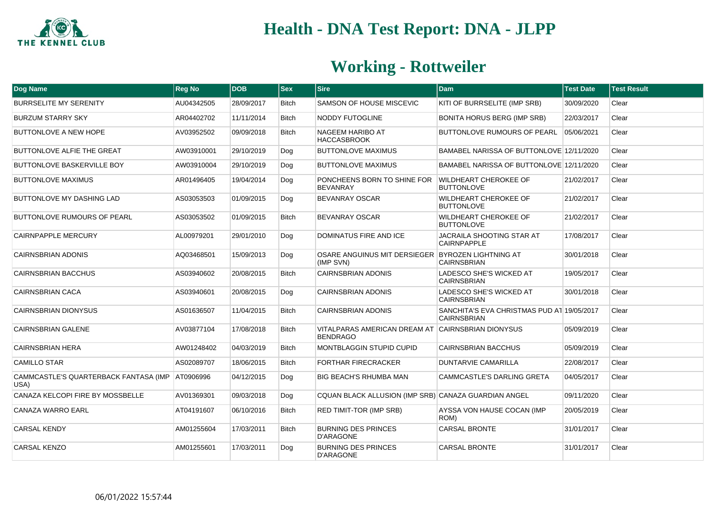

| Dog Name                                                  | <b>Reg No</b> | <b>DOB</b> | <b>Sex</b>   | <b>Sire</b>                                                          | <b>Dam</b>                                                       | <b>Test Date</b> | <b>Test Result</b> |
|-----------------------------------------------------------|---------------|------------|--------------|----------------------------------------------------------------------|------------------------------------------------------------------|------------------|--------------------|
| <b>BURRSELITE MY SERENITY</b>                             | AU04342505    | 28/09/2017 | <b>Bitch</b> | SAMSON OF HOUSE MISCEVIC                                             | KITI OF BURRSELITE (IMP SRB)                                     | 30/09/2020       | Clear              |
| <b>BURZUM STARRY SKY</b>                                  | AR04402702    | 11/11/2014 | <b>Bitch</b> | NODDY FUTOGLINE                                                      | <b>BONITA HORUS BERG (IMP SRB)</b>                               | 22/03/2017       | Clear              |
| <b>BUTTONLOVE A NEW HOPE</b>                              | AV03952502    | 09/09/2018 | <b>Bitch</b> | <b>NAGEEM HARIBO AT</b><br><b>HACCASBROOK</b>                        | BUTTONLOVE RUMOURS OF PEARL                                      | 05/06/2021       | Clear              |
| BUTTONLOVE ALFIE THE GREAT                                | AW03910001    | 29/10/2019 | Dog          | <b>BUTTONLOVE MAXIMUS</b>                                            | BAMABEL NARISSA OF BUTTONLOVE 12/11/2020                         |                  | Clear              |
| <b>BUTTONLOVE BASKERVILLE BOY</b>                         | AW03910004    | 29/10/2019 | Dog          | <b>BUTTONLOVE MAXIMUS</b>                                            | BAMABEL NARISSA OF BUTTONLOVE 12/11/2020                         |                  | Clear              |
| <b>BUTTONLOVE MAXIMUS</b>                                 | AR01496405    | 19/04/2014 | Dog          | PONCHEENS BORN TO SHINE FOR<br><b>BEVANRAY</b>                       | <b>WILDHEART CHEROKEE OF</b><br><b>BUTTONLOVE</b>                | 21/02/2017       | Clear              |
| <b>BUTTONLOVE MY DASHING LAD</b>                          | AS03053503    | 01/09/2015 | Dog          | <b>BEVANRAY OSCAR</b>                                                | <b>WILDHEART CHEROKEE OF</b><br><b>BUTTONLOVE</b>                | 21/02/2017       | Clear              |
| <b>BUTTONLOVE RUMOURS OF PEARL</b>                        | AS03053502    | 01/09/2015 | <b>Bitch</b> | <b>BEVANRAY OSCAR</b>                                                | <b>WILDHEART CHEROKEE OF</b><br><b>BUTTONLOVE</b>                | 21/02/2017       | Clear              |
| <b>CAIRNPAPPLE MERCURY</b>                                | AL00979201    | 29/01/2010 | Dog          | <b>DOMINATUS FIRE AND ICE</b>                                        | <b>JACRAILA SHOOTING STAR AT</b><br><b>CAIRNPAPPLE</b>           | 17/08/2017       | Clear              |
| <b>CAIRNSBRIAN ADONIS</b>                                 | AQ03468501    | 15/09/2013 | Dog          | OSARE ANGUINUS MIT DERSIEGER BYROZEN LIGHTNING AT<br>(IMP SVN)       | <b>CAIRNSBRIAN</b>                                               | 30/01/2018       | Clear              |
| <b>CAIRNSBRIAN BACCHUS</b>                                | AS03940602    | 20/08/2015 | <b>Bitch</b> | <b>CAIRNSBRIAN ADONIS</b>                                            | LADESCO SHE'S WICKED AT<br><b>CAIRNSBRIAN</b>                    | 19/05/2017       | Clear              |
| <b>CAIRNSBRIAN CACA</b>                                   | AS03940601    | 20/08/2015 | Dog          | <b>CAIRNSBRIAN ADONIS</b>                                            | LADESCO SHE'S WICKED AT<br><b>CAIRNSBRIAN</b>                    | 30/01/2018       | Clear              |
| <b>CAIRNSBRIAN DIONYSUS</b>                               | AS01636507    | 11/04/2015 | <b>Bitch</b> | CAIRNSBRIAN ADONIS                                                   | SANCHITA'S EVA CHRISTMAS PUD AT 19/05/2017<br><b>CAIRNSBRIAN</b> |                  | Clear              |
| <b>CAIRNSBRIAN GALENE</b>                                 | AV03877104    | 17/08/2018 | <b>Bitch</b> | VITALPARAS AMERICAN DREAM AT CAIRNSBRIAN DIONYSUS<br><b>BENDRAGO</b> |                                                                  | 05/09/2019       | Clear              |
| <b>CAIRNSBRIAN HERA</b>                                   | AW01248402    | 04/03/2019 | <b>Bitch</b> | MONTBLAGGIN STUPID CUPID                                             | <b>CAIRNSBRIAN BACCHUS</b>                                       | 05/09/2019       | Clear              |
| <b>CAMILLO STAR</b>                                       | AS02089707    | 18/06/2015 | <b>Bitch</b> | <b>FORTHAR FIRECRACKER</b>                                           | <b>DUNTARVIE CAMARILLA</b>                                       | 22/08/2017       | Clear              |
| CAMMCASTLE'S QUARTERBACK FANTASA (IMP   AT0906996<br>USA) |               | 04/12/2015 | Dog          | <b>BIG BEACH'S RHUMBA MAN</b>                                        | CAMMCASTLE'S DARLING GRETA                                       | 04/05/2017       | Clear              |
| <b>CANAZA KELCOPI FIRE BY MOSSBELLE</b>                   | AV01369301    | 09/03/2018 | Dog          | CQUAN BLACK ALLUSION (IMP SRB) CANAZA GUARDIAN ANGEL                 |                                                                  | 09/11/2020       | Clear              |
| CANAZA WARRO EARL                                         | AT04191607    | 06/10/2016 | <b>Bitch</b> | <b>RED TIMIT-TOR (IMP SRB)</b>                                       | AYSSA VON HAUSE COCAN (IMP<br>ROM)                               | 20/05/2019       | Clear              |
| <b>CARSAL KENDY</b>                                       | AM01255604    | 17/03/2011 | <b>Bitch</b> | <b>BURNING DES PRINCES</b><br><b>D'ARAGONE</b>                       | <b>CARSAL BRONTE</b>                                             | 31/01/2017       | Clear              |
| <b>CARSAL KENZO</b>                                       | AM01255601    | 17/03/2011 | Dog          | <b>BURNING DES PRINCES</b><br><b>D'ARAGONE</b>                       | <b>CARSAL BRONTE</b>                                             | 31/01/2017       | Clear              |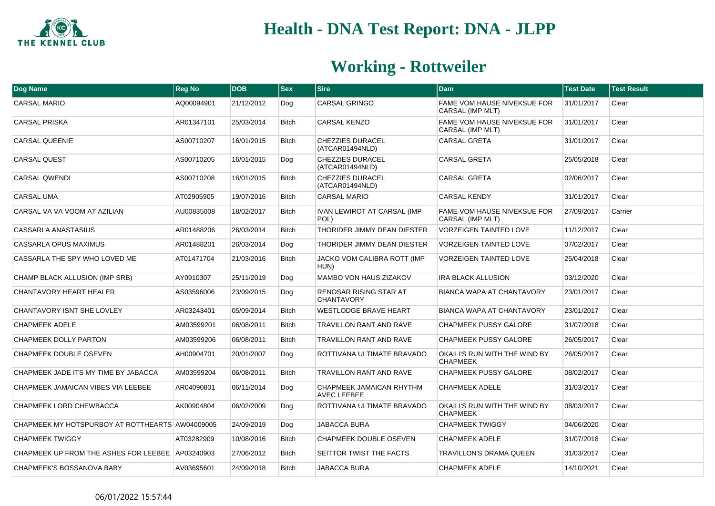

| Dog Name                                         | <b>Reg No</b> | <b>DOB</b> | <b>Sex</b>   | <b>Sire</b>                                    | <b>Dam</b>                                             | <b>Test Date</b> | <b>Test Result</b> |
|--------------------------------------------------|---------------|------------|--------------|------------------------------------------------|--------------------------------------------------------|------------------|--------------------|
| <b>CARSAL MARIO</b>                              | AQ00094901    | 21/12/2012 | Dog          | <b>CARSAL GRINGO</b>                           | <b>FAME VOM HAUSE NIVEKSUE FOR</b><br>CARSAL (IMP MLT) | 31/01/2017       | Clear              |
| <b>CARSAL PRISKA</b>                             | AR01347101    | 25/03/2014 | <b>Bitch</b> | CARSAL KENZO                                   | FAME VOM HAUSE NIVEKSUE FOR<br>CARSAL (IMP MLT)        | 31/01/2017       | Clear              |
| <b>CARSAL QUEENIE</b>                            | AS00710207    | 16/01/2015 | <b>Bitch</b> | <b>CHEZZIES DURACEL</b><br>(ATCAR01494NLD)     | <b>CARSAL GRETA</b>                                    | 31/01/2017       | Clear              |
| <b>CARSAL QUEST</b>                              | AS00710205    | 16/01/2015 | Dog          | CHEZZIES DURACEL<br>(ATCAR01494NLD)            | <b>CARSAL GRETA</b>                                    | 25/05/2018       | Clear              |
| <b>CARSAL QWENDI</b>                             | AS00710208    | 16/01/2015 | <b>Bitch</b> | CHEZZIES DURACEL<br>(ATCAR01494NLD)            | <b>CARSAL GRETA</b>                                    | 02/06/2017       | Clear              |
| <b>CARSAL UMA</b>                                | AT02905905    | 19/07/2016 | <b>Bitch</b> | <b>CARSAL MARIO</b>                            | <b>CARSAL KENDY</b>                                    | 31/01/2017       | Clear              |
| CARSAL VA VA VOOM AT AZILIAN                     | AU00835008    | 18/02/2017 | <b>Bitch</b> | <b>IVAN LEWIROT AT CARSAL (IMP</b><br>POL)     | <b>FAME VOM HAUSE NIVEKSUE FOR</b><br>CARSAL (IMP MLT) | 27/09/2017       | Carrier            |
| CASSARLA ANASTASIUS                              | AR01488206    | 26/03/2014 | <b>Bitch</b> | THORIDER JIMMY DEAN DIESTER                    | <b>VORZEIGEN TAINTED LOVE</b>                          | 11/12/2017       | Clear              |
| <b>CASSARLA OPUS MAXIMUS</b>                     | AR01488201    | 26/03/2014 | Dog          | THORIDER JIMMY DEAN DIESTER                    | <b>VORZEIGEN TAINTED LOVE</b>                          | 07/02/2017       | Clear              |
| CASSARLA THE SPY WHO LOVED ME                    | AT01471704    | 21/03/2016 | <b>Bitch</b> | JACKO VOM CALIBRA ROTT (IMP<br>HUN)            | <b>VORZEIGEN TAINTED LOVE</b>                          | 25/04/2018       | Clear              |
| CHAMP BLACK ALLUSION (IMP SRB)                   | AY0910307     | 25/11/2019 | Dog          | MAMBO VON HAUS ZIZAKOV                         | <b>IRA BLACK ALLUSION</b>                              | 03/12/2020       | Clear              |
| <b>CHANTAVORY HEART HEALER</b>                   | AS03596006    | 23/09/2015 | Dog          | RENOSAR RISING STAR AT<br><b>CHANTAVORY</b>    | BIANCA WAPA AT CHANTAVORY                              | 23/01/2017       | Clear              |
| CHANTAVORY ISNT SHE LOVLEY                       | AR03243401    | 05/09/2014 | <b>Bitch</b> | <b>WESTLODGE BRAVE HEART</b>                   | <b>BIANCA WAPA AT CHANTAVORY</b>                       | 23/01/2017       | Clear              |
| <b>CHAPMEEK ADELE</b>                            | AM03599201    | 06/08/2011 | <b>Bitch</b> | TRAVILLON RANT AND RAVE                        | <b>CHAPMEEK PUSSY GALORE</b>                           | 31/07/2018       | Clear              |
| CHAPMEEK DOLLY PARTON                            | AM03599206    | 06/08/2011 | <b>Bitch</b> | TRAVILLON RANT AND RAVE                        | <b>CHAPMEEK PUSSY GALORE</b>                           | 26/05/2017       | Clear              |
| <b>CHAPMEEK DOUBLE OSEVEN</b>                    | AH00904701    | 20/01/2007 | Dog          | ROTTIVANA ULTIMATE BRAVADO                     | OKAILI'S RUN WITH THE WIND BY<br><b>CHAPMEEK</b>       | 26/05/2017       | Clear              |
| CHAPMEEK JADE ITS MY TIME BY JABACCA             | AM03599204    | 06/08/2011 | <b>Bitch</b> | TRAVILLON RANT AND RAVE                        | CHAPMEEK PUSSY GALORE                                  | 08/02/2017       | Clear              |
| CHAPMEEK JAMAICAN VIBES VIA LEEBEE               | AR04090801    | 06/11/2014 | Dog          | CHAPMEEK JAMAICAN RHYTHM<br><b>AVEC LEEBEE</b> | <b>CHAPMEEK ADELE</b>                                  | 31/03/2017       | Clear              |
| CHAPMEEK LORD CHEWBACCA                          | AK00904804    | 06/02/2009 | Dog          | ROTTIVANA ULTIMATE BRAVADO                     | OKAILI'S RUN WITH THE WIND BY<br><b>CHAPMEEK</b>       | 08/03/2017       | Clear              |
| CHAPMEEK MY HOTSPURBOY AT ROTTHEARTS AW04009005  |               | 24/09/2019 | Dog          | <b>JABACCA BURA</b>                            | <b>CHAPMEEK TWIGGY</b>                                 | 04/06/2020       | Clear              |
| <b>CHAPMEEK TWIGGY</b>                           | AT03282909    | 10/08/2016 | <b>Bitch</b> | CHAPMEEK DOUBLE OSEVEN                         | <b>CHAPMEEK ADELE</b>                                  | 31/07/2018       | Clear              |
| CHAPMEEK UP FROM THE ASHES FOR LEEBEE AP03240903 |               | 27/06/2012 | <b>Bitch</b> | SEITTOR TWIST THE FACTS                        | <b>TRAVILLON'S DRAMA QUEEN</b>                         | 31/03/2017       | Clear              |
| CHAPMEEK'S BOSSANOVA BABY                        | AV03695601    | 24/09/2018 | <b>Bitch</b> | JABACCA BURA                                   | <b>CHAPMEEK ADELE</b>                                  | 14/10/2021       | Clear              |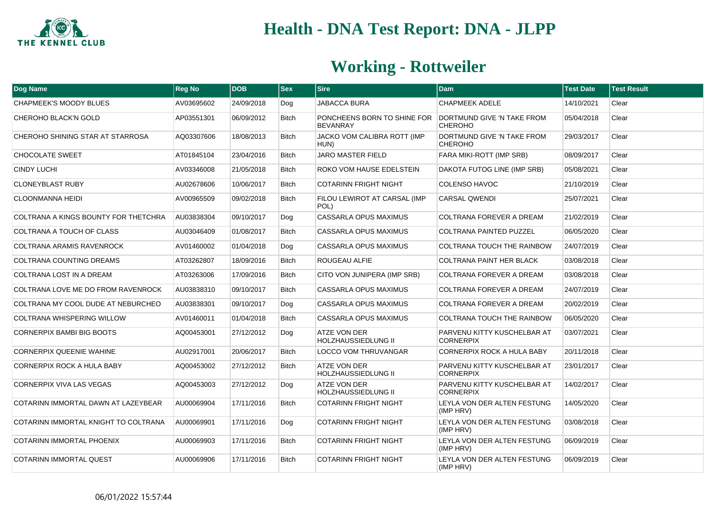

| Dog Name                             | <b>Reg No</b> | <b>DOB</b> | $ $ Sex      | <b>Sire</b>                                    | <b>Dam</b>                                      | <b>Test Date</b> | <b>Test Result</b> |
|--------------------------------------|---------------|------------|--------------|------------------------------------------------|-------------------------------------------------|------------------|--------------------|
| CHAPMEEK'S MOODY BLUES               | AV03695602    | 24/09/2018 | Dog          | JABACCA BURA                                   | <b>CHAPMEEK ADELE</b>                           | 14/10/2021       | Clear              |
| <b>CHEROHO BLACK'N GOLD</b>          | AP03551301    | 06/09/2012 | <b>Bitch</b> | PONCHEENS BORN TO SHINE FOR<br><b>BEVANRAY</b> | DORTMUND GIVE 'N TAKE FROM<br><b>CHEROHO</b>    | 05/04/2018       | Clear              |
| CHEROHO SHINING STAR AT STARROSA     | AQ03307606    | 18/08/2013 | <b>Bitch</b> | JACKO VOM CALIBRA ROTT (IMP<br>HUN)            | DORTMUND GIVE 'N TAKE FROM<br><b>CHEROHO</b>    | 29/03/2017       | Clear              |
| <b>CHOCOLATE SWEET</b>               | AT01845104    | 23/04/2016 | <b>Bitch</b> | JARO MASTER FIELD                              | <b>FARA MIKI-ROTT (IMP SRB)</b>                 | 08/09/2017       | Clear              |
| <b>CINDY LUCHI</b>                   | AV03346008    | 21/05/2018 | <b>Bitch</b> | ROKO VOM HAUSE EDELSTEIN                       | DAKOTA FUTOG LINE (IMP SRB)                     | 05/08/2021       | Clear              |
| <b>CLONEYBLAST RUBY</b>              | AU02678606    | 10/06/2017 | <b>Bitch</b> | <b>COTARINN FRIGHT NIGHT</b>                   | <b>COLENSO HAVOC</b>                            | 21/10/2019       | Clear              |
| <b>CLOONMANNA HEIDI</b>              | AV00965509    | 09/02/2018 | <b>Bitch</b> | FILOU LEWIROT AT CARSAL (IMP<br>POL)           | <b>CARSAL QWENDI</b>                            | 25/07/2021       | Clear              |
| COLTRANA A KINGS BOUNTY FOR THETCHRA | AU03838304    | 09/10/2017 | Dog          | CASSARLA OPUS MAXIMUS                          | <b>COLTRANA FOREVER A DREAM</b>                 | 21/02/2019       | Clear              |
| COLTRANA A TOUCH OF CLASS            | AU03046409    | 01/08/2017 | <b>Bitch</b> | <b>CASSARLA OPUS MAXIMUS</b>                   | <b>COLTRANA PAINTED PUZZEL</b>                  | 06/05/2020       | Clear              |
| COLTRANA ARAMIS RAVENROCK            | AV01460002    | 01/04/2018 | Dog          | CASSARLA OPUS MAXIMUS                          | <b>COLTRANA TOUCH THE RAINBOW</b>               | 24/07/2019       | Clear              |
| COLTRANA COUNTING DREAMS             | AT03262807    | 18/09/2016 | <b>Bitch</b> | ROUGEAU ALFIE                                  | <b>COLTRANA PAINT HER BLACK</b>                 | 03/08/2018       | Clear              |
| COLTRANA LOST IN A DREAM             | AT03263006    | 17/09/2016 | <b>Bitch</b> | CITO VON JUNIPERA (IMP SRB)                    | <b>COLTRANA FOREVER A DREAM</b>                 | 03/08/2018       | Clear              |
| COLTRANA LOVE ME DO FROM RAVENROCK   | AU03838310    | 09/10/2017 | <b>Bitch</b> | <b>CASSARLA OPUS MAXIMUS</b>                   | <b>COLTRANA FOREVER A DREAM</b>                 | 24/07/2019       | Clear              |
| COLTRANA MY COOL DUDE AT NEBURCHEO   | AU03838301    | 09/10/2017 | Dog          | <b>CASSARLA OPUS MAXIMUS</b>                   | <b>COLTRANA FOREVER A DREAM</b>                 | 20/02/2019       | Clear              |
| <b>COLTRANA WHISPERING WILLOW</b>    | AV01460011    | 01/04/2018 | <b>Bitch</b> | <b>CASSARLA OPUS MAXIMUS</b>                   | <b>COLTRANA TOUCH THE RAINBOW</b>               | 06/05/2020       | Clear              |
| CORNERPIX BAMBI BIG BOOTS            | AQ00453001    | 27/12/2012 | Dog          | ATZE VON DER<br>HOLZHAUSSIEDLUNG II            | PARVENU KITTY KUSCHELBAR AT<br><b>CORNERPIX</b> | 03/07/2021       | Clear              |
| <b>CORNERPIX QUEENIE WAHINE</b>      | AU02917001    | 20/06/2017 | <b>Bitch</b> | <b>LOCCO VOM THRUVANGAR</b>                    | <b>CORNERPIX ROCK A HULA BABY</b>               | 20/11/2018       | Clear              |
| CORNERPIX ROCK A HULA BABY           | AQ00453002    | 27/12/2012 | <b>Bitch</b> | ATZE VON DER<br>HOLZHAUSSIEDLUNG II            | PARVENU KITTY KUSCHELBAR AT<br><b>CORNERPIX</b> | 23/01/2017       | Clear              |
| CORNERPIX VIVA LAS VEGAS             | AQ00453003    | 27/12/2012 | Dog          | ATZE VON DER<br><b>HOLZHAUSSIEDLUNG II</b>     | PARVENU KITTY KUSCHELBAR AT<br><b>CORNERPIX</b> | 14/02/2017       | Clear              |
| COTARINN IMMORTAL DAWN AT LAZEYBEAR  | AU00069904    | 17/11/2016 | <b>Bitch</b> | <b>COTARINN FRIGHT NIGHT</b>                   | LEYLA VON DER ALTEN FESTUNG<br>(IMP HRV)        | 14/05/2020       | Clear              |
| COTARINN IMMORTAL KNIGHT TO COLTRANA | AU00069901    | 17/11/2016 | Dog          | <b>COTARINN FRIGHT NIGHT</b>                   | LEYLA VON DER ALTEN FESTUNG<br>(IMP HRV)        | 03/08/2018       | Clear              |
| <b>COTARINN IMMORTAL PHOENIX</b>     | AU00069903    | 17/11/2016 | <b>Bitch</b> | <b>COTARINN FRIGHT NIGHT</b>                   | LEYLA VON DER ALTEN FESTUNG<br>(IMP HRV)        | 06/09/2019       | Clear              |
| <b>COTARINN IMMORTAL QUEST</b>       | AU00069906    | 17/11/2016 | <b>Bitch</b> | <b>COTARINN FRIGHT NIGHT</b>                   | LEYLA VON DER ALTEN FESTUNG<br>(IMP HRV)        | 06/09/2019       | Clear              |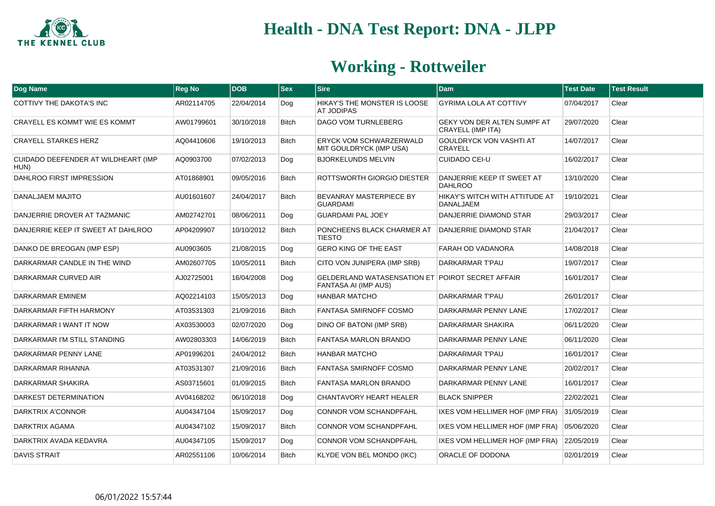

| <b>Dog Name</b>                             | <b>Reg No</b> | <b>DOB</b> | $ $ Sex      | <b>Sire</b>                                                                     | <b>Dam</b>                                              | <b>Test Date</b> | <b>Test Result</b> |
|---------------------------------------------|---------------|------------|--------------|---------------------------------------------------------------------------------|---------------------------------------------------------|------------------|--------------------|
| COTTIVY THE DAKOTA'S INC                    | AR02114705    | 22/04/2014 | Dog          | HIKAY'S THE MONSTER IS LOOSE<br><b>AT JODIPAS</b>                               | <b>GYRIMA LOLA AT COTTIVY</b>                           | 07/04/2017       | Clear              |
| CRAYELL ES KOMMT WIE ES KOMMT               | AW01799601    | 30/10/2018 | <b>Bitch</b> | <b>DAGO VOM TURNLEBERG</b>                                                      | GEKY VON DER ALTEN SUMPF AT<br><b>CRAYELL (IMP ITA)</b> | 29/07/2020       | Clear              |
| <b>CRAYELL STARKES HERZ</b>                 | AQ04410606    | 19/10/2013 | <b>Bitch</b> | ERYCK VOM SCHWARZERWALD<br>MIT GOULDRYCK (IMP USA)                              | GOULDRYCK VON VASHTI AT<br><b>CRAYELL</b>               | 14/07/2017       | Clear              |
| CUIDADO DEEFENDER AT WILDHEART (IMP<br>HUN) | AQ0903700     | 07/02/2013 | Dog          | <b>BJORKELUNDS MELVIN</b>                                                       | <b>CUIDADO CEI-U</b>                                    | 16/02/2017       | Clear              |
| DAHLROO FIRST IMPRESSION                    | AT01868901    | 09/05/2016 | <b>Bitch</b> | ROTTSWORTH GIORGIO DIESTER                                                      | DANJERRIE KEEP IT SWEET AT<br><b>DAHLROO</b>            | 13/10/2020       | Clear              |
| DANALJAEM MAJITO                            | AU01601607    | 24/04/2017 | <b>Bitch</b> | BEVANRAY MASTERPIECE BY<br><b>GUARDAMI</b>                                      | HIKAY'S WITCH WITH ATTITUDE AT<br>DANALJAEM             | 19/10/2021       | Clear              |
| DANJERRIE DROVER AT TAZMANIC                | AM02742701    | 08/06/2011 | Dog          | <b>GUARDAMI PAL JOEY</b>                                                        | DANJERRIE DIAMOND STAR                                  | 29/03/2017       | Clear              |
| DANJERRIE KEEP IT SWEET AT DAHLROO          | AP04209907    | 10/10/2012 | <b>Bitch</b> | PONCHEENS BLACK CHARMER AT<br><b>TIESTO</b>                                     | DANJERRIE DIAMOND STAR                                  | 21/04/2017       | Clear              |
| DANKO DE BREOGAN (IMP ESP)                  | AU0903605     | 21/08/2015 | Dog          | <b>GERO KING OF THE EAST</b>                                                    | FARAH OD VADANORA                                       | 14/08/2018       | Clear              |
| DARKARMAR CANDLE IN THE WIND                | AM02607705    | 10/05/2011 | <b>Bitch</b> | CITO VON JUNIPERA (IMP SRB)                                                     | DARKARMAR T'PAU                                         | 19/07/2017       | Clear              |
| DARKARMAR CURVED AIR                        | AJ02725001    | 16/04/2008 | Dog          | <b>GELDERLAND WATASENSATION ET POIROT SECRET AFFAIR</b><br>FANTASA AI (IMP AUS) |                                                         | 16/01/2017       | Clear              |
| DARKARMAR EMINEM                            | AQ02214103    | 15/05/2013 | Dog          | <b>HANBAR MATCHO</b>                                                            | DARKARMAR T'PAU                                         | 26/01/2017       | Clear              |
| DARKARMAR FIFTH HARMONY                     | AT03531303    | 21/09/2016 | <b>Bitch</b> | <b>FANTASA SMIRNOFF COSMO</b>                                                   | DARKARMAR PENNY LANE                                    | 17/02/2017       | Clear              |
| DARKARMAR I WANT IT NOW                     | AX03530003    | 02/07/2020 | Dog          | DINO OF BATONI (IMP SRB)                                                        | DARKARMAR SHAKIRA                                       | 06/11/2020       | Clear              |
| DARKARMAR I'M STILL STANDING                | AW02803303    | 14/06/2019 | <b>Bitch</b> | <b>FANTASA MARLON BRANDO</b>                                                    | DARKARMAR PENNY LANE                                    | 06/11/2020       | Clear              |
| DARKARMAR PENNY LANE                        | AP01996201    | 24/04/2012 | <b>Bitch</b> | <b>HANBAR MATCHO</b>                                                            | DARKARMAR T'PAU                                         | 16/01/2017       | Clear              |
| DARKARMAR RIHANNA                           | AT03531307    | 21/09/2016 | <b>Bitch</b> | FANTASA SMIRNOFF COSMO                                                          | DARKARMAR PENNY LANE                                    | 20/02/2017       | Clear              |
| DARKARMAR SHAKIRA                           | AS03715601    | 01/09/2015 | <b>Bitch</b> | <b>FANTASA MARLON BRANDO</b>                                                    | DARKARMAR PENNY LANE                                    | 16/01/2017       | Clear              |
| DARKEST DETERMINATION                       | AV04168202    | 06/10/2018 | Dog          | <b>CHANTAVORY HEART HEALER</b>                                                  | <b>BLACK SNIPPER</b>                                    | 22/02/2021       | Clear              |
| DARKTRIX A'CONNOR                           | AU04347104    | 15/09/2017 | Dog          | CONNOR VOM SCHANDPFAHL                                                          | <b>IXES VOM HELLIMER HOF (IMP FRA)</b>                  | 31/05/2019       | Clear              |
| DARKTRIX AGAMA                              | AU04347102    | 15/09/2017 | <b>Bitch</b> | CONNOR VOM SCHANDPFAHL                                                          | IXES VOM HELLIMER HOF (IMP FRA)                         | 05/06/2020       | Clear              |
| DARKTRIX AVADA KEDAVRA                      | AU04347105    | 15/09/2017 | Dog          | <b>CONNOR VOM SCHANDPFAHL</b>                                                   | IXES VOM HELLIMER HOF (IMP FRA)                         | 22/05/2019       | Clear              |
| <b>DAVIS STRAIT</b>                         | AR02551106    | 10/06/2014 | <b>Bitch</b> | KLYDE VON BEL MONDO (IKC)                                                       | ORACLE OF DODONA                                        | 02/01/2019       | Clear              |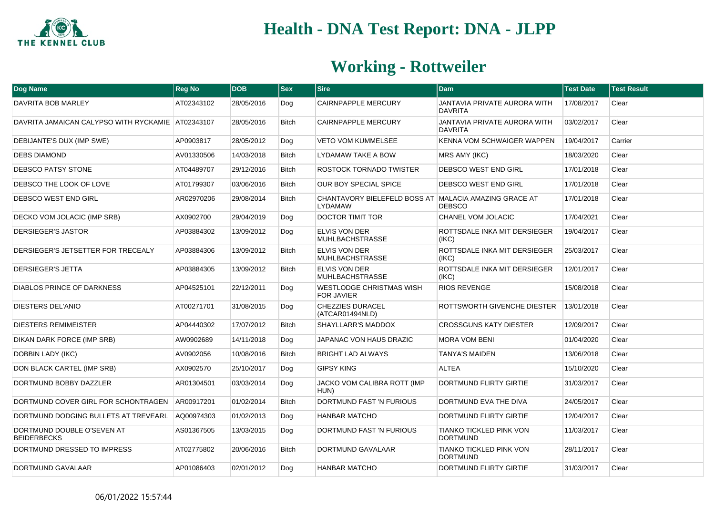

| Dog Name                                          | <b>Reg No</b> | <b>DOB</b> | $ $ Sex      | <b>Sire</b>                                                             | <b>Dam</b>                                        | <b>Test Date</b> | <b>Test Result</b> |
|---------------------------------------------------|---------------|------------|--------------|-------------------------------------------------------------------------|---------------------------------------------------|------------------|--------------------|
| DAVRITA BOB MARLEY                                | AT02343102    | 28/05/2016 | Dog          | <b>CAIRNPAPPLE MERCURY</b>                                              | JANTAVIA PRIVATE AURORA WITH<br><b>DAVRITA</b>    | 17/08/2017       | Clear              |
| DAVRITA JAMAICAN CALYPSO WITH RYCKAMIE AT02343107 |               | 28/05/2016 | <b>Bitch</b> | <b>CAIRNPAPPLE MERCURY</b>                                              | JANTAVIA PRIVATE AURORA WITH<br><b>DAVRITA</b>    | 03/02/2017       | Clear              |
| DEBIJANTE'S DUX (IMP SWE)                         | AP0903817     | 28/05/2012 | Dog          | VETO VOM KUMMELSEE                                                      | KENNA VOM SCHWAIGER WAPPEN                        | 19/04/2017       | Carrier            |
| <b>DEBS DIAMOND</b>                               | AV01330506    | 14/03/2018 | <b>Bitch</b> | LYDAMAW TAKE A BOW                                                      | MRS AMY (IKC)                                     | 18/03/2020       | Clear              |
| DEBSCO PATSY STONE                                | AT04489707    | 29/12/2016 | <b>Bitch</b> | ROSTOCK TORNADO TWISTER                                                 | DEBSCO WEST END GIRL                              | 17/01/2018       | Clear              |
| DEBSCO THE LOOK OF LOVE                           | AT01799307    | 03/06/2016 | <b>Bitch</b> | OUR BOY SPECIAL SPICE                                                   | DEBSCO WEST END GIRL                              | 17/01/2018       | Clear              |
| DEBSCO WEST END GIRL                              | AR02970206    | 29/08/2014 | <b>Bitch</b> | CHANTAVORY BIELEFELD BOSS AT MALACIA AMAZING GRACE AT<br><b>LYDAMAW</b> | <b>DEBSCO</b>                                     | 17/01/2018       | Clear              |
| DECKO VOM JOLACIC (IMP SRB)                       | AX0902700     | 29/04/2019 | Dog          | <b>DOCTOR TIMIT TOR</b>                                                 | CHANEL VOM JOLACIC                                | 17/04/2021       | Clear              |
| DERSIEGER'S JASTOR                                | AP03884302    | 13/09/2012 | Dog          | ELVIS VON DER<br><b>MUHLBACHSTRASSE</b>                                 | ROTTSDALE INKA MIT DERSIEGER<br>(IKC)             | 19/04/2017       | Clear              |
| DERSIEGER'S JETSETTER FOR TRECEALY                | AP03884306    | 13/09/2012 | <b>Bitch</b> | <b>ELVIS VON DER</b><br><b>MUHLBACHSTRASSE</b>                          | ROTTSDALE INKA MIT DERSIEGER<br>(IKC)             | 25/03/2017       | Clear              |
| DERSIEGER'S JETTA                                 | AP03884305    | 13/09/2012 | <b>Bitch</b> | <b>ELVIS VON DER</b><br><b>MUHLBACHSTRASSE</b>                          | ROTTSDALE INKA MIT DERSIEGER<br>(IKC)             | 12/01/2017       | Clear              |
| <b>DIABLOS PRINCE OF DARKNESS</b>                 | AP04525101    | 22/12/2011 | Dog          | <b>WESTLODGE CHRISTMAS WISH</b><br><b>FOR JAVIER</b>                    | <b>RIOS REVENGE</b>                               | 15/08/2018       | Clear              |
| DIESTERS DEL'ANIO                                 | AT00271701    | 31/08/2015 | Dog          | <b>CHEZZIES DURACEL</b><br>(ATCAR01494NLD)                              | ROTTSWORTH GIVENCHE DIESTER                       | 13/01/2018       | Clear              |
| <b>DIESTERS REMIMEISTER</b>                       | AP04440302    | 17/07/2012 | <b>Bitch</b> | SHAYLLARR'S MADDOX                                                      | <b>CROSSGUNS KATY DIESTER</b>                     | 12/09/2017       | Clear              |
| DIKAN DARK FORCE (IMP SRB)                        | AW0902689     | 14/11/2018 | Dog          | JAPANAC VON HAUS DRAZIC                                                 | <b>MORA VOM BENI</b>                              | 01/04/2020       | Clear              |
| <b>DOBBIN LADY (IKC)</b>                          | AV0902056     | 10/08/2016 | <b>Bitch</b> | <b>BRIGHT LAD ALWAYS</b>                                                | <b>TANYA'S MAIDEN</b>                             | 13/06/2018       | Clear              |
| DON BLACK CARTEL (IMP SRB)                        | AX0902570     | 25/10/2017 | Dog          | <b>GIPSY KING</b>                                                       | <b>ALTEA</b>                                      | 15/10/2020       | Clear              |
| DORTMUND BOBBY DAZZLER                            | AR01304501    | 03/03/2014 | Dog          | JACKO VOM CALIBRA ROTT (IMP<br>HUN)                                     | <b>DORTMUND FLIRTY GIRTIE</b>                     | 31/03/2017       | Clear              |
| DORTMUND COVER GIRL FOR SCHONTRAGEN               | AR00917201    | 01/02/2014 | <b>Bitch</b> | DORTMUND FAST 'N FURIOUS                                                | DORTMUND EVA THE DIVA                             | 24/05/2017       | Clear              |
| DORTMUND DODGING BULLETS AT TREVEARL              | AQ00974303    | 01/02/2013 | Dog          | HANBAR MATCHO                                                           | DORTMUND FLIRTY GIRTIE                            | 12/04/2017       | Clear              |
| DORTMUND DOUBLE O'SEVEN AT<br><b>BEIDERBECKS</b>  | AS01367505    | 13/03/2015 | Dog          | DORTMUND FAST 'N FURIOUS                                                | <b>TIANKO TICKLED PINK VON</b><br><b>DORTMUND</b> | 11/03/2017       | Clear              |
| DORTMUND DRESSED TO IMPRESS                       | AT02775802    | 20/06/2016 | <b>Bitch</b> | DORTMUND GAVALAAR                                                       | <b>TIANKO TICKLED PINK VON</b><br><b>DORTMUND</b> | 28/11/2017       | Clear              |
| DORTMUND GAVALAAR                                 | AP01086403    | 02/01/2012 | Dog          | <b>HANBAR MATCHO</b>                                                    | DORTMUND FLIRTY GIRTIE                            | 31/03/2017       | Clear              |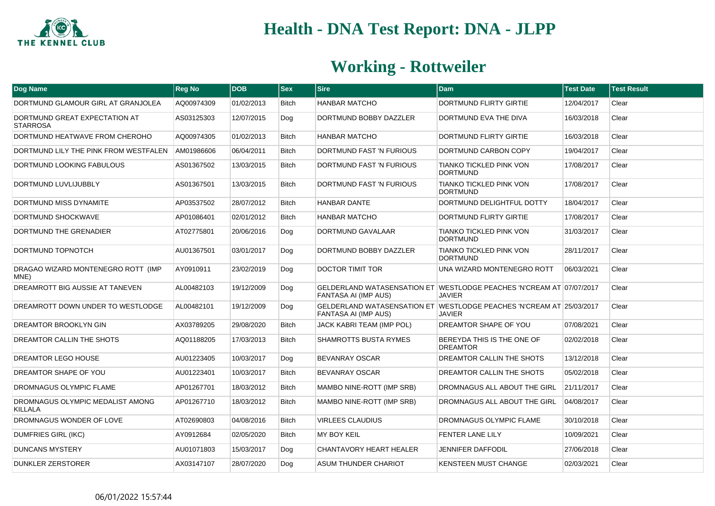

| <b>Dog Name</b>                                    | <b>Reg No</b> | <b>DOB</b> | <b>Sex</b>   | <b>Sire</b>                    | <b>Dam</b>                                                                            | <b>Test Date</b> | <b>Test Result</b> |
|----------------------------------------------------|---------------|------------|--------------|--------------------------------|---------------------------------------------------------------------------------------|------------------|--------------------|
| DORTMUND GLAMOUR GIRL AT GRANJOLEA                 | AQ00974309    | 01/02/2013 | <b>Bitch</b> | <b>HANBAR MATCHO</b>           | DORTMUND FLIRTY GIRTIE                                                                | 12/04/2017       | Clear              |
| DORTMUND GREAT EXPECTATION AT<br><b>STARROSA</b>   | AS03125303    | 12/07/2015 | Dog          | DORTMUND BOBBY DAZZLER         | DORTMUND EVA THE DIVA                                                                 | 16/03/2018       | Clear              |
| DORTMUND HEATWAVE FROM CHEROHO                     | AQ00974305    | 01/02/2013 | <b>Bitch</b> | <b>HANBAR MATCHO</b>           | <b>DORTMUND FLIRTY GIRTIE</b>                                                         | 16/03/2018       | Clear              |
| DORTMUND LILY THE PINK FROM WESTFALEN              | AM01986606    | 06/04/2011 | <b>Bitch</b> | DORTMUND FAST 'N FURIOUS       | DORTMUND CARBON COPY                                                                  | 19/04/2017       | Clear              |
| DORTMUND LOOKING FABULOUS                          | AS01367502    | 13/03/2015 | Bitch        | DORTMUND FAST 'N FURIOUS       | TIANKO TICKLED PINK VON<br><b>DORTMUND</b>                                            | 17/08/2017       | Clear              |
| DORTMUND LUVLIJUBBLY                               | AS01367501    | 13/03/2015 | <b>Bitch</b> | DORTMUND FAST 'N FURIOUS       | <b>TIANKO TICKLED PINK VON</b><br><b>DORTMUND</b>                                     | 17/08/2017       | Clear              |
| DORTMUND MISS DYNAMITE                             | AP03537502    | 28/07/2012 | <b>Bitch</b> | <b>HANBAR DANTE</b>            | DORTMUND DELIGHTFUL DOTTY                                                             | 18/04/2017       | Clear              |
| DORTMUND SHOCKWAVE                                 | AP01086401    | 02/01/2012 | Bitch        | <b>HANBAR MATCHO</b>           | DORTMUND FLIRTY GIRTIE                                                                | 17/08/2017       | Clear              |
| DORTMUND THE GRENADIER                             | AT02775801    | 20/06/2016 | Dog          | DORTMUND GAVALAAR              | TIANKO TICKLED PINK VON<br><b>DORTMUND</b>                                            | 31/03/2017       | Clear              |
| DORTMUND TOPNOTCH                                  | AU01367501    | 03/01/2017 | Dog          | DORTMUND BOBBY DAZZLER         | <b>TIANKO TICKLED PINK VON</b><br><b>DORTMUND</b>                                     | 28/11/2017       | Clear              |
| DRAGAO WIZARD MONTENEGRO ROTT (IMP<br>MNE)         | AY0910911     | 23/02/2019 | Dog          | <b>DOCTOR TIMIT TOR</b>        | UNA WIZARD MONTENEGRO ROTT                                                            | 06/03/2021       | Clear              |
| DREAMROTT BIG AUSSIE AT TANEVEN                    | AL00482103    | 19/12/2009 | Dog          | <b>FANTASA AI (IMP AUS)</b>    | GELDERLAND WATASENSATION ET WESTLODGE PEACHES 'N'CREAM AT 07/07/2017<br><b>JAVIER</b> |                  | Clear              |
| DREAMROTT DOWN UNDER TO WESTLODGE                  | AL00482101    | 19/12/2009 | Dog          | <b>FANTASA AI (IMP AUS)</b>    | GELDERLAND WATASENSATION ET WESTLODGE PEACHES 'N'CREAM AT 25/03/2017<br><b>JAVIER</b> |                  | Clear              |
| DREAMTOR BROOKLYN GIN                              | AX03789205    | 29/08/2020 | <b>Bitch</b> | JACK KABRI TEAM (IMP POL)      | DREAMTOR SHAPE OF YOU                                                                 | 07/08/2021       | Clear              |
| DREAMTOR CALLIN THE SHOTS                          | AQ01188205    | 17/03/2013 | <b>Bitch</b> | <b>SHAMROTTS BUSTA RYMES</b>   | BEREYDA THIS IS THE ONE OF<br><b>DREAMTOR</b>                                         | 02/02/2018       | Clear              |
| DREAMTOR LEGO HOUSE                                | AU01223405    | 10/03/2017 | Dog          | <b>BEVANRAY OSCAR</b>          | DREAMTOR CALLIN THE SHOTS                                                             | 13/12/2018       | Clear              |
| <b>DREAMTOR SHAPE OF YOU</b>                       | AU01223401    | 10/03/2017 | <b>Bitch</b> | <b>BEVANRAY OSCAR</b>          | DREAMTOR CALLIN THE SHOTS                                                             | 05/02/2018       | Clear              |
| <b>DROMNAGUS OLYMPIC FLAME</b>                     | AP01267701    | 18/03/2012 | <b>Bitch</b> | MAMBO NINE-ROTT (IMP SRB)      | DROMNAGUS ALL ABOUT THE GIRL                                                          | 21/11/2017       | Clear              |
| DROMNAGUS OLYMPIC MEDALIST AMONG<br><b>KILLALA</b> | AP01267710    | 18/03/2012 | Bitch        | MAMBO NINE-ROTT (IMP SRB)      | DROMNAGUS ALL ABOUT THE GIRL                                                          | 04/08/2017       | Clear              |
| DROMNAGUS WONDER OF LOVE                           | AT02690803    | 04/08/2016 | Bitch        | <b>VIRLEES CLAUDIUS</b>        | DROMNAGUS OLYMPIC FLAME                                                               | 30/10/2018       | Clear              |
| <b>DUMFRIES GIRL (IKC)</b>                         | AY0912684     | 02/05/2020 | <b>Bitch</b> | <b>MY BOY KEIL</b>             | <b>FENTER LANE LILY</b>                                                               | 10/09/2021       | Clear              |
| <b>DUNCANS MYSTERY</b>                             | AU01071803    | 15/03/2017 | Dog          | <b>CHANTAVORY HEART HEALER</b> | <b>JENNIFER DAFFODIL</b>                                                              | 27/06/2018       | Clear              |
| <b>DUNKLER ZERSTORER</b>                           | AX03147107    | 28/07/2020 | Dog          | ASUM THUNDER CHARIOT           | <b>KENSTEEN MUST CHANGE</b>                                                           | 02/03/2021       | Clear              |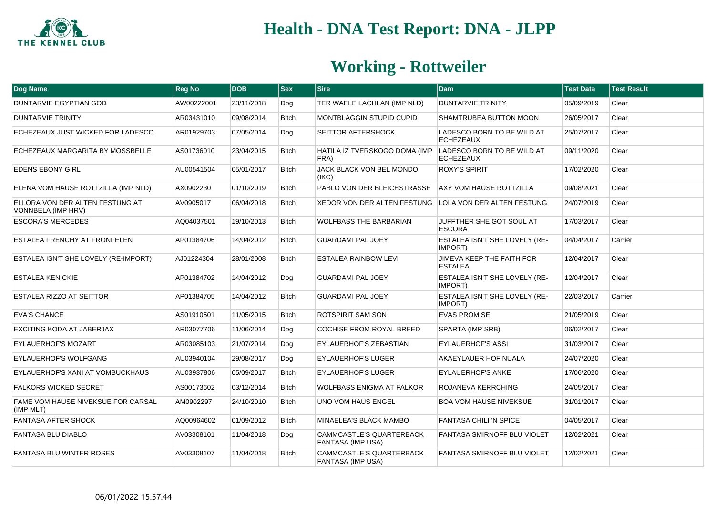

| Dog Name                                              | <b>Reg No</b> | <b>DOB</b> | $ $ Sex      | <b>Sire</b>                                            | <b>Dam</b>                                         | <b>Test Date</b> | <b>Test Result</b> |
|-------------------------------------------------------|---------------|------------|--------------|--------------------------------------------------------|----------------------------------------------------|------------------|--------------------|
| DUNTARVIE EGYPTIAN GOD                                | AW00222001    | 23/11/2018 | Dog          | TER WAELE LACHLAN (IMP NLD)                            | <b>DUNTARVIE TRINITY</b>                           | 05/09/2019       | Clear              |
| <b>DUNTARVIE TRINITY</b>                              | AR03431010    | 09/08/2014 | <b>Bitch</b> | <b>MONTBLAGGIN STUPID CUPID</b>                        | SHAMTRUBEA BUTTON MOON                             | 26/05/2017       | Clear              |
| ECHEZEAUX JUST WICKED FOR LADESCO                     | AR01929703    | 07/05/2014 | Dog          | SEITTOR AFTERSHOCK                                     | LADESCO BORN TO BE WILD AT<br><b>ECHEZEAUX</b>     | 25/07/2017       | Clear              |
| ECHEZEAUX MARGARITA BY MOSSBELLE                      | AS01736010    | 23/04/2015 | <b>Bitch</b> | HATILA IZ TVERSKOGO DOMA (IMP<br>FRA)                  | LADESCO BORN TO BE WILD AT<br><b>ECHEZEAUX</b>     | 09/11/2020       | Clear              |
| <b>EDENS EBONY GIRL</b>                               | AU00541504    | 05/01/2017 | <b>Bitch</b> | JACK BLACK VON BEL MONDO<br>(IKC)                      | <b>ROXY'S SPIRIT</b>                               | 17/02/2020       | Clear              |
| ELENA VOM HAUSE ROTTZILLA (IMP NLD)                   | AX0902230     | 01/10/2019 | <b>Bitch</b> | PABLO VON DER BLEICHSTRASSE                            | <b>AXY VOM HAUSE ROTTZILLA</b>                     | 09/08/2021       | Clear              |
| ELLORA VON DER ALTEN FESTUNG AT<br>VONNBELA (IMP HRV) | AV0905017     | 06/04/2018 | <b>Bitch</b> | XEDOR VON DER ALTEN FESTUNG LOLA VON DER ALTEN FESTUNG |                                                    | 24/07/2019       | Clear              |
| <b>ESCORA'S MERCEDES</b>                              | AQ04037501    | 19/10/2013 | <b>Bitch</b> | <b>WOLFBASS THE BARBARIAN</b>                          | JUFFTHER SHE GOT SOUL AT<br><b>ESCORA</b>          | 17/03/2017       | Clear              |
| <b>ESTALEA FRENCHY AT FRONFELEN</b>                   | AP01384706    | 14/04/2012 | <b>Bitch</b> | <b>GUARDAMI PAL JOEY</b>                               | ESTALEA ISN'T SHE LOVELY (RE-<br>IMPORT)           | 04/04/2017       | Carrier            |
| ESTALEA ISN'T SHE LOVELY (RE-IMPORT)                  | AJ01224304    | 28/01/2008 | <b>Bitch</b> | <b>ESTALEA RAINBOW LEVI</b>                            | <b>JIMEVA KEEP THE FAITH FOR</b><br><b>ESTALEA</b> | 12/04/2017       | Clear              |
| <b>ESTALEA KENICKIE</b>                               | AP01384702    | 14/04/2012 | Dog          | <b>GUARDAMI PAL JOEY</b>                               | ESTALEA ISN'T SHE LOVELY (RE-<br>IMPORT)           | 12/04/2017       | Clear              |
| <b>ESTALEA RIZZO AT SEITTOR</b>                       | AP01384705    | 14/04/2012 | Bitch        | <b>GUARDAMI PAL JOEY</b>                               | ESTALEA ISN'T SHE LOVELY (RE-<br>IMPORT)           | 22/03/2017       | Carrier            |
| <b>EVA'S CHANCE</b>                                   | AS01910501    | 11/05/2015 | <b>Bitch</b> | ROTSPIRIT SAM SON                                      | <b>EVAS PROMISE</b>                                | 21/05/2019       | Clear              |
| EXCITING KODA AT JABERJAX                             | AR03077706    | 11/06/2014 | Dog          | <b>COCHISE FROM ROYAL BREED</b>                        | SPARTA (IMP SRB)                                   | 06/02/2017       | Clear              |
| <b>EYLAUERHOF'S MOZART</b>                            | AR03085103    | 21/07/2014 | Dog          | <b>EYLAUERHOF'S ZEBASTIAN</b>                          | <b>EYLAUERHOF'S ASSI</b>                           | 31/03/2017       | Clear              |
| <b>EYLAUERHOF'S WOLFGANG</b>                          | AU03940104    | 29/08/2017 | Dog          | <b>EYLAUERHOF'S LUGER</b>                              | AKAEYLAUER HOF NUALA                               | 24/07/2020       | Clear              |
| EYLAUERHOF'S XANI AT VOMBUCKHAUS                      | AU03937806    | 05/09/2017 | <b>Bitch</b> | <b>EYLAUERHOF'S LUGER</b>                              | <b>EYLAUERHOF'S ANKE</b>                           | 17/06/2020       | Clear              |
| <b>FALKORS WICKED SECRET</b>                          | AS00173602    | 03/12/2014 | <b>Bitch</b> | <b>WOLFBASS ENIGMA AT FALKOR</b>                       | ROJANEVA KERRCHING                                 | 24/05/2017       | Clear              |
| FAME VOM HAUSE NIVEKSUE FOR CARSAL<br>(IMP MLT)       | AM0902297     | 24/10/2010 | <b>Bitch</b> | <b>UNO VOM HAUS ENGEL</b>                              | <b>BOA VOM HAUSE NIVEKSUE</b>                      | 31/01/2017       | Clear              |
| <b>FANTASA AFTER SHOCK</b>                            | AQ00964602    | 01/09/2012 | <b>Bitch</b> | MINAELEA'S BLACK MAMBO                                 | <b>FANTASA CHILI 'N SPICE</b>                      | 04/05/2017       | Clear              |
| <b>FANTASA BLU DIABLO</b>                             | AV03308101    | 11/04/2018 | Dog          | CAMMCASTLE'S QUARTERBACK<br><b>FANTASA (IMP USA)</b>   | FANTASA SMIRNOFF BLU VIOLET                        | 12/02/2021       | Clear              |
| <b>FANTASA BLU WINTER ROSES</b>                       | AV03308107    | 11/04/2018 | <b>Bitch</b> | CAMMCASTLE'S QUARTERBACK<br><b>FANTASA (IMP USA)</b>   | <b>FANTASA SMIRNOFF BLU VIOLET</b>                 | 12/02/2021       | Clear              |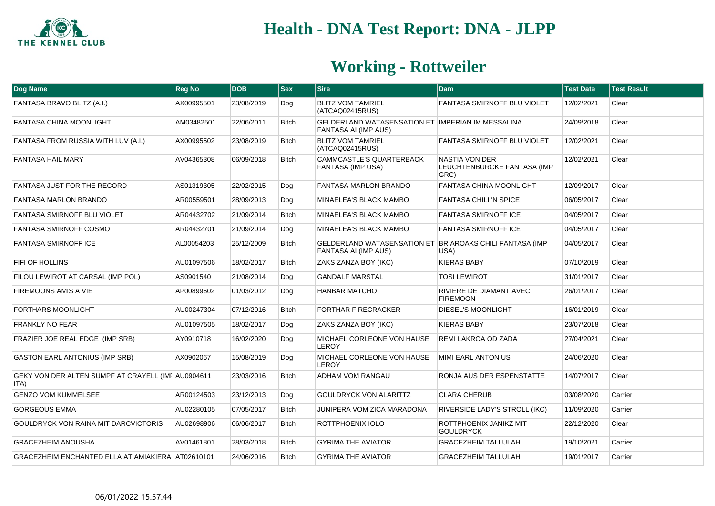

| Dog Name                                                   | <b>Reg No</b> | <b>DOB</b> | $ s_{ex} $   | <b>Sire</b>                                                               | <b>Dam</b>                                            | <b>Test Date</b> | <b>Test Result</b> |
|------------------------------------------------------------|---------------|------------|--------------|---------------------------------------------------------------------------|-------------------------------------------------------|------------------|--------------------|
| FANTASA BRAVO BLITZ (A.I.)                                 | AX00995501    | 23/08/2019 | Dog          | <b>BLITZ VOM TAMRIEL</b><br>(ATCAQ02415RUS)                               | <b>FANTASA SMIRNOFF BLU VIOLET</b>                    | 12/02/2021       | Clear              |
| <b>FANTASA CHINA MOONLIGHT</b>                             | AM03482501    | 22/06/2011 | <b>Bitch</b> | GELDERLAND WATASENSATION ET IMPERIAN IM MESSALINA<br>FANTASA AI (IMP AUS) |                                                       | 24/09/2018       | Clear              |
| FANTASA FROM RUSSIA WITH LUV (A.I.)                        | AX00995502    | 23/08/2019 | <b>Bitch</b> | <b>BLITZ VOM TAMRIEL</b><br>(ATCAQ02415RUS)                               | FANTASA SMIRNOFF BLU VIOLET                           | 12/02/2021       | Clear              |
| <b>FANTASA HAIL MARY</b>                                   | AV04365308    | 06/09/2018 | <b>Bitch</b> | CAMMCASTLE'S QUARTERBACK<br>FANTASA (IMP USA)                             | NASTIA VON DER<br>LEUCHTENBURCKE FANTASA (IMP<br>GRC) | 12/02/2021       | Clear              |
| <b>FANTASA JUST FOR THE RECORD</b>                         | AS01319305    | 22/02/2015 | Dog          | <b>FANTASA MARLON BRANDO</b>                                              | <b>FANTASA CHINA MOONLIGHT</b>                        | 12/09/2017       | Clear              |
| <b>FANTASA MARLON BRANDO</b>                               | AR00559501    | 28/09/2013 | Dog          | MINAELEA'S BLACK MAMBO                                                    | <b>FANTASA CHILI 'N SPICE</b>                         | 06/05/2017       | Clear              |
| FANTASA SMIRNOFF BLU VIOLET                                | AR04432702    | 21/09/2014 | <b>Bitch</b> | MINAELEA'S BLACK MAMBO                                                    | <b>FANTASA SMIRNOFF ICE</b>                           | 04/05/2017       | Clear              |
| <b>FANTASA SMIRNOFF COSMO</b>                              | AR04432701    | 21/09/2014 | Dog          | MINAELEA'S BLACK MAMBO                                                    | <b>FANTASA SMIRNOFF ICE</b>                           | 04/05/2017       | Clear              |
| <b>FANTASA SMIRNOFF ICE</b>                                | AL00054203    | 25/12/2009 | <b>Bitch</b> | <b>GELDERLAND WATASENSATION ET</b><br>FANTASA AI (IMP AUS)                | <b>BRIAROAKS CHILI FANTASA (IMP</b><br>USA)           | 04/05/2017       | Clear              |
| FIFI OF HOLLINS                                            | AU01097506    | 18/02/2017 | <b>Bitch</b> | ZAKS ZANZA BOY (IKC)                                                      | <b>KIERAS BABY</b>                                    | 07/10/2019       | Clear              |
| FILOU LEWIROT AT CARSAL (IMP POL)                          | AS0901540     | 21/08/2014 | Dog          | <b>GANDALF MARSTAL</b>                                                    | <b>TOSI LEWIROT</b>                                   | 31/01/2017       | Clear              |
| <b>FIREMOONS AMIS A VIE</b>                                | AP00899602    | 01/03/2012 | Dog          | <b>HANBAR MATCHO</b>                                                      | RIVIERE DE DIAMANT AVEC<br><b>FIREMOON</b>            | 26/01/2017       | Clear              |
| <b>FORTHARS MOONLIGHT</b>                                  | AU00247304    | 07/12/2016 | <b>Bitch</b> | <b>FORTHAR FIRECRACKER</b>                                                | <b>DIESEL'S MOONLIGHT</b>                             | 16/01/2019       | Clear              |
| <b>FRANKLY NO FEAR</b>                                     | AU01097505    | 18/02/2017 | Dog          | <b>ZAKS ZANZA BOY (IKC)</b>                                               | <b>KIERAS BABY</b>                                    | 23/07/2018       | Clear              |
| FRAZIER JOE REAL EDGE (IMP SRB)                            | AY0910718     | 16/02/2020 | Dog          | MICHAEL CORLEONE VON HAUSE<br><b>LEROY</b>                                | REMI LAKROA OD ZADA                                   | 27/04/2021       | Clear              |
| <b>GASTON EARL ANTONIUS (IMP SRB)</b>                      | AX0902067     | 15/08/2019 | Dog          | MICHAEL CORLEONE VON HAUSE<br><b>LEROY</b>                                | MIMI EARL ANTONIUS                                    | 24/06/2020       | Clear              |
| GEKY VON DER ALTEN SUMPF AT CRAYELL (IMF AU0904611<br>ITA) |               | 23/03/2016 | <b>Bitch</b> | <b>ADHAM VOM RANGAU</b>                                                   | RONJA AUS DER ESPENSTATTE                             | 14/07/2017       | Clear              |
| <b>GENZO VOM KUMMELSEE</b>                                 | AR00124503    | 23/12/2013 | Dog          | <b>GOULDRYCK VON ALARITTZ</b>                                             | <b>CLARA CHERUB</b>                                   | 03/08/2020       | Carrier            |
| <b>GORGEOUS EMMA</b>                                       | AU02280105    | 07/05/2017 | <b>Bitch</b> | <b>JUNIPERA VOM ZICA MARADONA</b>                                         | <b>RIVERSIDE LADY'S STROLL (IKC)</b>                  | 11/09/2020       | Carrier            |
| <b>GOULDRYCK VON RAINA MIT DARCVICTORIS</b>                | AU02698906    | 06/06/2017 | <b>Bitch</b> | ROTTPHOENIX IOLO                                                          | ROTTPHOENIX JANIKZ MIT<br><b>GOULDRYCK</b>            | 22/12/2020       | Clear              |
| <b>GRACEZHEIM ANOUSHA</b>                                  | AV01461801    | 28/03/2018 | <b>Bitch</b> | <b>GYRIMA THE AVIATOR</b>                                                 | <b>GRACEZHEIM TALLULAH</b>                            | 19/10/2021       | Carrier            |
| GRACEZHEIM ENCHANTED ELLA AT AMIAKIERA AT02610101          |               | 24/06/2016 | <b>Bitch</b> | <b>GYRIMA THE AVIATOR</b>                                                 | <b>GRACEZHEIM TALLULAH</b>                            | 19/01/2017       | Carrier            |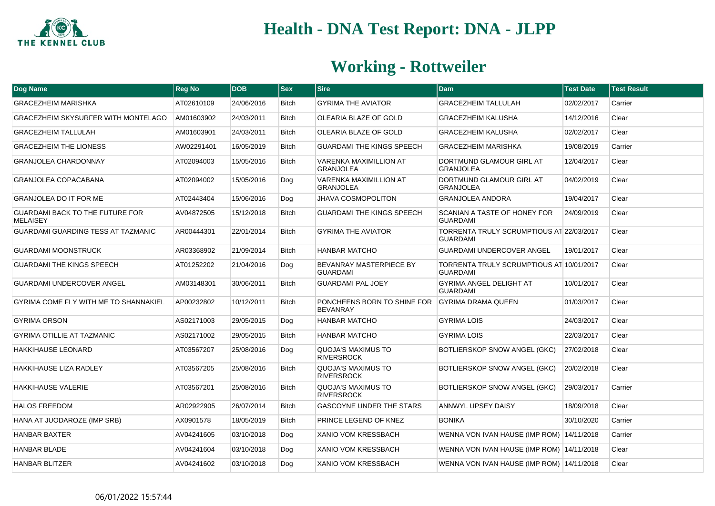

| Dog Name                                                  | <b>Reg No</b> | <b>DOB</b> | $ $ Sex      | <b>Sire</b>                                       | <b>Dam</b>                                                  | <b>Test Date</b> | <b>Test Result</b> |
|-----------------------------------------------------------|---------------|------------|--------------|---------------------------------------------------|-------------------------------------------------------------|------------------|--------------------|
| <b>GRACEZHEIM MARISHKA</b>                                | AT02610109    | 24/06/2016 | <b>Bitch</b> | <b>GYRIMA THE AVIATOR</b>                         | <b>GRACEZHEIM TALLULAH</b>                                  | 02/02/2017       | Carrier            |
| <b>GRACEZHEIM SKYSURFER WITH MONTELAGO</b>                | AM01603902    | 24/03/2011 | <b>Bitch</b> | OLEARIA BLAZE OF GOLD                             | <b>GRACEZHEIM KALUSHA</b>                                   | 14/12/2016       | Clear              |
| <b>GRACEZHEIM TALLULAH</b>                                | AM01603901    | 24/03/2011 | <b>Bitch</b> | OLEARIA BLAZE OF GOLD                             | <b>GRACEZHEIM KALUSHA</b>                                   | 02/02/2017       | Clear              |
| <b>GRACEZHEIM THE LIONESS</b>                             | AW02291401    | 16/05/2019 | <b>Bitch</b> | <b>GUARDAMI THE KINGS SPEECH</b>                  | <b>GRACEZHEIM MARISHKA</b>                                  | 19/08/2019       | Carrier            |
| <b>GRANJOLEA CHARDONNAY</b>                               | AT02094003    | 15/05/2016 | <b>Bitch</b> | VARENKA MAXIMILLION AT<br><b>GRANJOLEA</b>        | DORTMUND GLAMOUR GIRL AT<br><b>GRANJOLEA</b>                | 12/04/2017       | Clear              |
| <b>GRANJOLEA COPACABANA</b>                               | AT02094002    | 15/05/2016 | Dog          | <b>VARENKA MAXIMILLION AT</b><br><b>GRANJOLEA</b> | DORTMUND GLAMOUR GIRL AT<br><b>GRANJOLEA</b>                | 04/02/2019       | Clear              |
| <b>GRANJOLEA DO IT FOR ME</b>                             | AT02443404    | 15/06/2016 | Dog          | <b>JHAVA COSMOPOLITON</b>                         | <b>GRANJOLEA ANDORA</b>                                     | 19/04/2017       | Clear              |
| <b>GUARDAMI BACK TO THE FUTURE FOR</b><br><b>MELAISEY</b> | AV04872505    | 15/12/2018 | Bitch        | <b>GUARDAMI THE KINGS SPEECH</b>                  | <b>SCANIAN A TASTE OF HONEY FOR</b><br><b>GUARDAMI</b>      | 24/09/2019       | Clear              |
| <b>GUARDAMI GUARDING TESS AT TAZMANIC</b>                 | AR00444301    | 22/01/2014 | Bitch        | <b>GYRIMA THE AVIATOR</b>                         | TORRENTA TRULY SCRUMPTIOUS AT 22/03/2017<br><b>GUARDAMI</b> |                  | Clear              |
| <b>GUARDAMI MOONSTRUCK</b>                                | AR03368902    | 21/09/2014 | <b>Bitch</b> | HANBAR MATCHO                                     | <b>GUARDAMI UNDERCOVER ANGEL</b>                            | 19/01/2017       | Clear              |
| <b>GUARDAMI THE KINGS SPEECH</b>                          | AT01252202    | 21/04/2016 | Dog          | BEVANRAY MASTERPIECE BY<br><b>GUARDAMI</b>        | TORRENTA TRULY SCRUMPTIOUS AT 10/01/2017<br><b>GUARDAMI</b> |                  | Clear              |
| <b>GUARDAMI UNDERCOVER ANGEL</b>                          | AM03148301    | 30/06/2011 | <b>Bitch</b> | GUARDAMI PAL JOEY                                 | <b>GYRIMA ANGEL DELIGHT AT</b><br><b>GUARDAMI</b>           | 10/01/2017       | Clear              |
| GYRIMA COME FLY WITH ME TO SHANNAKIEL                     | AP00232802    | 10/12/2011 | <b>Bitch</b> | PONCHEENS BORN TO SHINE FOR<br><b>BEVANRAY</b>    | <b>GYRIMA DRAMA QUEEN</b>                                   | 01/03/2017       | Clear              |
| <b>GYRIMA ORSON</b>                                       | AS02171003    | 29/05/2015 | Dog          | HANBAR MATCHO                                     | <b>GYRIMA LOIS</b>                                          | 24/03/2017       | Clear              |
| <b>GYRIMA OTILLIE AT TAZMANIC</b>                         | AS02171002    | 29/05/2015 | Bitch        | HANBAR MATCHO                                     | <b>GYRIMA LOIS</b>                                          | 22/03/2017       | Clear              |
| <b>HAKKIHAUSE LEONARD</b>                                 | AT03567207    | 25/08/2016 | Dog          | <b>QUOJA'S MAXIMUS TO</b><br><b>RIVERSROCK</b>    | BOTLIERSKOP SNOW ANGEL (GKC)                                | 27/02/2018       | Clear              |
| HAKKIHAUSE LIZA RADLEY                                    | AT03567205    | 25/08/2016 | <b>Bitch</b> | QUOJA'S MAXIMUS TO<br><b>RIVERSROCK</b>           | BOTLIERSKOP SNOW ANGEL (GKC)                                | 20/02/2018       | Clear              |
| <b>HAKKIHAUSE VALERIE</b>                                 | AT03567201    | 25/08/2016 | <b>Bitch</b> | QUOJA'S MAXIMUS TO<br><b>RIVERSROCK</b>           | BOTLIERSKOP SNOW ANGEL (GKC)                                | 29/03/2017       | Carrier            |
| <b>HALOS FREEDOM</b>                                      | AR02922905    | 26/07/2014 | Bitch        | GASCOYNE UNDER THE STARS                          | <b>ANNWYL UPSEY DAISY</b>                                   | 18/09/2018       | Clear              |
| HANA AT JUODAROZE (IMP SRB)                               | AX0901578     | 18/05/2019 | Bitch        | PRINCE LEGEND OF KNEZ                             | <b>BONIKA</b>                                               | 30/10/2020       | Carrier            |
| <b>HANBAR BAXTER</b>                                      | AV04241605    | 03/10/2018 | Dog          | <b>XANIO VOM KRESSBACH</b>                        | WENNA VON IVAN HAUSE (IMP ROM) 14/11/2018                   |                  | Carrier            |
| <b>HANBAR BLADE</b>                                       | AV04241604    | 03/10/2018 | Dog          | XANIO VOM KRESSBACH                               | WENNA VON IVAN HAUSE (IMP ROM) 14/11/2018                   |                  | Clear              |
| <b>HANBAR BLITZER</b>                                     | AV04241602    | 03/10/2018 | Dog          | XANIO VOM KRESSBACH                               | WENNA VON IVAN HAUSE (IMP ROM) 14/11/2018                   |                  | Clear              |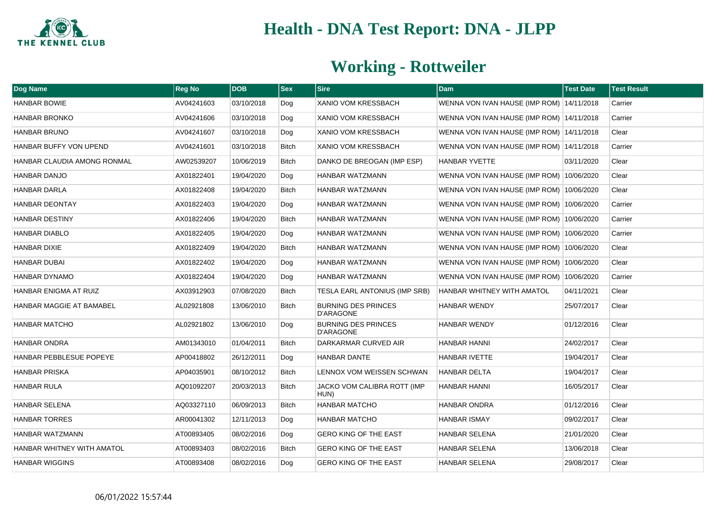

| <b>Dog Name</b>                | <b>Reg No</b> | <b>DOB</b> | <b>Sex</b>   | <b>Sire</b>                                    | <b>Dam</b>                                | <b>Test Date</b> | <b>Test Result</b> |
|--------------------------------|---------------|------------|--------------|------------------------------------------------|-------------------------------------------|------------------|--------------------|
| <b>HANBAR BOWIE</b>            | AV04241603    | 03/10/2018 | Dog          | <b>XANIO VOM KRESSBACH</b>                     | WENNA VON IVAN HAUSE (IMP ROM) 14/11/2018 |                  | Carrier            |
| <b>HANBAR BRONKO</b>           | AV04241606    | 03/10/2018 | Dog          | <b>XANIO VOM KRESSBACH</b>                     | WENNA VON IVAN HAUSE (IMP ROM) 14/11/2018 |                  | Carrier            |
| <b>HANBAR BRUNO</b>            | AV04241607    | 03/10/2018 | Dog          | <b>XANIO VOM KRESSBACH</b>                     | WENNA VON IVAN HAUSE (IMP ROM) 14/11/2018 |                  | Clear              |
| HANBAR BUFFY VON UPEND         | AV04241601    | 03/10/2018 | Bitch        | <b>XANIO VOM KRESSBACH</b>                     | WENNA VON IVAN HAUSE (IMP ROM) 14/11/2018 |                  | Carrier            |
| HANBAR CLAUDIA AMONG RONMAL    | AW02539207    | 10/06/2019 | <b>Bitch</b> | DANKO DE BREOGAN (IMP ESP)                     | <b>HANBAR YVETTE</b>                      | 03/11/2020       | Clear              |
| HANBAR DANJO                   | AX01822401    | 19/04/2020 | Dog          | HANBAR WATZMANN                                | WENNA VON IVAN HAUSE (IMP ROM) 10/06/2020 |                  | Clear              |
| <b>HANBAR DARLA</b>            | AX01822408    | 19/04/2020 | <b>Bitch</b> | HANBAR WATZMANN                                | WENNA VON IVAN HAUSE (IMP ROM) 10/06/2020 |                  | Clear              |
| <b>HANBAR DEONTAY</b>          | AX01822403    | 19/04/2020 | Dog          | HANBAR WATZMANN                                | WENNA VON IVAN HAUSE (IMP ROM) 10/06/2020 |                  | Carrier            |
| <b>HANBAR DESTINY</b>          | AX01822406    | 19/04/2020 | <b>Bitch</b> | HANBAR WATZMANN                                | WENNA VON IVAN HAUSE (IMP ROM) 10/06/2020 |                  | Carrier            |
| <b>HANBAR DIABLO</b>           | AX01822405    | 19/04/2020 | Dog          | HANBAR WATZMANN                                | WENNA VON IVAN HAUSE (IMP ROM) 10/06/2020 |                  | Carrier            |
| <b>HANBAR DIXIE</b>            | AX01822409    | 19/04/2020 | <b>Bitch</b> | HANBAR WATZMANN                                | WENNA VON IVAN HAUSE (IMP ROM) 10/06/2020 |                  | Clear              |
| <b>HANBAR DUBAI</b>            | AX01822402    | 19/04/2020 | Dog          | HANBAR WATZMANN                                | WENNA VON IVAN HAUSE (IMP ROM) 10/06/2020 |                  | Clear              |
| HANBAR DYNAMO                  | AX01822404    | 19/04/2020 | Dog          | HANBAR WATZMANN                                | WENNA VON IVAN HAUSE (IMP ROM) 10/06/2020 |                  | Carrier            |
| HANBAR ENIGMA AT RUIZ          | AX03912903    | 07/08/2020 | <b>Bitch</b> | TESLA EARL ANTONIUS (IMP SRB)                  | HANBAR WHITNEY WITH AMATOL                | 04/11/2021       | Clear              |
| HANBAR MAGGIE AT BAMABEL       | AL02921808    | 13/06/2010 | <b>Bitch</b> | <b>BURNING DES PRINCES</b><br><b>D'ARAGONE</b> | <b>HANBAR WENDY</b>                       | 25/07/2017       | Clear              |
| <b>HANBAR MATCHO</b>           | AL02921802    | 13/06/2010 | Dog          | <b>BURNING DES PRINCES</b><br><b>D'ARAGONE</b> | <b>HANBAR WENDY</b>                       | 01/12/2016       | Clear              |
| <b>HANBAR ONDRA</b>            | AM01343010    | 01/04/2011 | <b>Bitch</b> | DARKARMAR CURVED AIR                           | <b>HANBAR HANNI</b>                       | 24/02/2017       | Clear              |
| <b>HANBAR PEBBLESUE POPEYE</b> | AP00418802    | 26/12/2011 | Dog          | <b>HANBAR DANTE</b>                            | <b>HANBAR IVETTE</b>                      | 19/04/2017       | Clear              |
| <b>HANBAR PRISKA</b>           | AP04035901    | 08/10/2012 | <b>Bitch</b> | LENNOX VOM WEISSEN SCHWAN                      | <b>HANBAR DELTA</b>                       | 19/04/2017       | Clear              |
| HANBAR RULA                    | AQ01092207    | 20/03/2013 | <b>Bitch</b> | JACKO VOM CALIBRA ROTT (IMP<br>HUN)            | <b>HANBAR HANNI</b>                       | 16/05/2017       | Clear              |
| <b>HANBAR SELENA</b>           | AQ03327110    | 06/09/2013 | <b>Bitch</b> | <b>HANBAR MATCHO</b>                           | <b>HANBAR ONDRA</b>                       | 01/12/2016       | Clear              |
| <b>HANBAR TORRES</b>           | AR00041302    | 12/11/2013 | Dog          | <b>HANBAR MATCHO</b>                           | <b>HANBAR ISMAY</b>                       | 09/02/2017       | Clear              |
| HANBAR WATZMANN                | AT00893405    | 08/02/2016 | Dog          | <b>GERO KING OF THE EAST</b>                   | <b>HANBAR SELENA</b>                      | 21/01/2020       | Clear              |
| HANBAR WHITNEY WITH AMATOL     | AT00893403    | 08/02/2016 | Bitch        | GERO KING OF THE EAST                          | <b>HANBAR SELENA</b>                      | 13/06/2018       | Clear              |
| <b>HANBAR WIGGINS</b>          | AT00893408    | 08/02/2016 | Dog          | <b>GERO KING OF THE EAST</b>                   | <b>HANBAR SELENA</b>                      | 29/08/2017       | Clear              |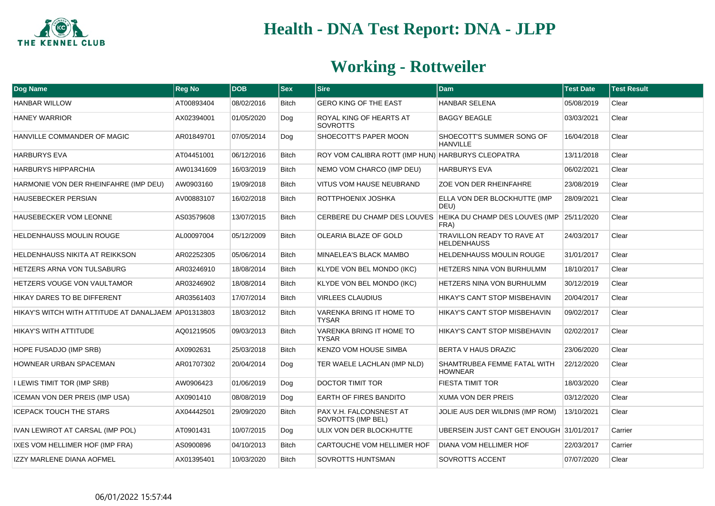

| Dog Name                                            | <b>Reg No</b> | <b>DOB</b> | <b>Sex</b>   | <b>Sire</b>                                       | <b>Dam</b>                                                                        | <b>Test Date</b> | <b>Test Result</b> |
|-----------------------------------------------------|---------------|------------|--------------|---------------------------------------------------|-----------------------------------------------------------------------------------|------------------|--------------------|
| <b>HANBAR WILLOW</b>                                | AT00893404    | 08/02/2016 | Bitch        | <b>GERO KING OF THE EAST</b>                      | <b>HANBAR SELENA</b>                                                              | 05/08/2019       | Clear              |
| <b>HANEY WARRIOR</b>                                | AX02394001    | 01/05/2020 | Dog          | ROYAL KING OF HEARTS AT<br><b>SOVROTTS</b>        | <b>BAGGY BEAGLE</b>                                                               | 03/03/2021       | Clear              |
| HANVILLE COMMANDER OF MAGIC                         | AR01849701    | 07/05/2014 | Dog          | SHOECOTT'S PAPER MOON                             | SHOECOTT'S SUMMER SONG OF<br><b>HANVILLE</b>                                      | 16/04/2018       | Clear              |
| <b>HARBURYS EVA</b>                                 | AT04451001    | 06/12/2016 | <b>Bitch</b> | ROY VOM CALIBRA ROTT (IMP HUN) HARBURYS CLEOPATRA |                                                                                   | 13/11/2018       | Clear              |
| <b>HARBURYS HIPPARCHIA</b>                          | AW01341609    | 16/03/2019 | <b>Bitch</b> | NEMO VOM CHARCO (IMP DEU)                         | <b>HARBURYS EVA</b>                                                               | 06/02/2021       | Clear              |
| HARMONIE VON DER RHEINFAHRE (IMP DEU)               | AW0903160     | 19/09/2018 | <b>Bitch</b> | VITUS VOM HAUSE NEUBRAND                          | ZOE VON DER RHEINFAHRE                                                            | 23/08/2019       | Clear              |
| <b>HAUSEBECKER PERSIAN</b>                          | AV00883107    | 16/02/2018 | <b>Bitch</b> | ROTTPHOENIX JOSHKA                                | ELLA VON DER BLOCKHUTTE (IMP<br>DEU)                                              | 28/09/2021       | Clear              |
| HAUSEBECKER VOM LEONNE                              | AS03579608    | 13/07/2015 | <b>Bitch</b> |                                                   | CERBERE DU CHAMP DES LOUVES   HEIKA DU CHAMP DES LOUVES (IMP   25/11/2020<br>FRA) |                  | Clear              |
| <b>HELDENHAUSS MOULIN ROUGE</b>                     | AL00097004    | 05/12/2009 | <b>Bitch</b> | OLEARIA BLAZE OF GOLD                             | TRAVILLON READY TO RAVE AT<br><b>HELDENHAUSS</b>                                  | 24/03/2017       | Clear              |
| HELDENHAUSS NIKITA AT REIKKSON                      | AR02252305    | 05/06/2014 | <b>Bitch</b> | MINAELEA'S BLACK MAMBO                            | <b>HELDENHAUSS MOULIN ROUGE</b>                                                   | 31/01/2017       | Clear              |
| HETZERS ARNA VON TULSABURG                          | AR03246910    | 18/08/2014 | <b>Bitch</b> | KLYDE VON BEL MONDO (IKC)                         | <b>HETZERS NINA VON BURHULMM</b>                                                  | 18/10/2017       | Clear              |
| HETZERS VOUGE VON VAULTAMOR                         | AR03246902    | 18/08/2014 | <b>Bitch</b> | KLYDE VON BEL MONDO (IKC)                         | <b>HETZERS NINA VON BURHULMM</b>                                                  | 30/12/2019       | Clear              |
| HIKAY DARES TO BE DIFFERENT                         | AR03561403    | 17/07/2014 | <b>Bitch</b> | <b>VIRLEES CLAUDIUS</b>                           | <b>HIKAY'S CAN'T STOP MISBEHAVIN</b>                                              | 20/04/2017       | Clear              |
| HIKAY'S WITCH WITH ATTITUDE AT DANALJAEM AP01313803 |               | 18/03/2012 | <b>Bitch</b> | VARENKA BRING IT HOME TO<br><b>TYSAR</b>          | HIKAY'S CAN'T STOP MISBEHAVIN                                                     | 09/02/2017       | Clear              |
| HIKAY'S WITH ATTITUDE                               | AQ01219505    | 09/03/2013 | <b>Bitch</b> | VARENKA BRING IT HOME TO<br><b>TYSAR</b>          | HIKAY'S CAN'T STOP MISBEHAVIN                                                     | 02/02/2017       | Clear              |
| HOPE FUSADJO (IMP SRB)                              | AX0902631     | 25/03/2018 | <b>Bitch</b> | KENZO VOM HOUSE SIMBA                             | <b>BERTA V HAUS DRAZIC</b>                                                        | 23/06/2020       | Clear              |
| HOWNEAR URBAN SPACEMAN                              | AR01707302    | 20/04/2014 | Dog          | TER WAELE LACHLAN (IMP NLD)                       | SHAMTRUBEA FEMME FATAL WITH<br><b>HOWNEAR</b>                                     | 22/12/2020       | Clear              |
| I LEWIS TIMIT TOR (IMP SRB)                         | AW0906423     | 01/06/2019 | Dog          | DOCTOR TIMIT TOR                                  | <b>FIESTA TIMIT TOR</b>                                                           | 18/03/2020       | Clear              |
| <b>ICEMAN VON DER PREIS (IMP USA)</b>               | AX0901410     | 08/08/2019 | Dog          | EARTH OF FIRES BANDITO                            | <b>XUMA VON DER PREIS</b>                                                         | 03/12/2020       | Clear              |
| <b>ICEPACK TOUCH THE STARS</b>                      | AX04442501    | 29/09/2020 | <b>Bitch</b> | PAX V.H. FALCONSNEST AT<br>SOVROTTS (IMP BEL)     | JOLIE AUS DER WILDNIS (IMP ROM)                                                   | 13/10/2021       | Clear              |
| IVAN LEWIROT AT CARSAL (IMP POL)                    | AT0901431     | 10/07/2015 | Dog          | ULIX VON DER BLOCKHUTTE                           | UBERSEIN JUST CANT GET ENOUGH 31/01/2017                                          |                  | Carrier            |
| IXES VOM HELLIMER HOF (IMP FRA)                     | AS0900896     | 04/10/2013 | <b>Bitch</b> | CARTOUCHE VOM HELLIMER HOF                        | DIANA VOM HELLIMER HOF                                                            | 22/03/2017       | Carrier            |
| <b>IZZY MARLENE DIANA AOFMEL</b>                    | AX01395401    | 10/03/2020 | <b>Bitch</b> | SOVROTTS HUNTSMAN                                 | SOVROTTS ACCENT                                                                   | 07/07/2020       | Clear              |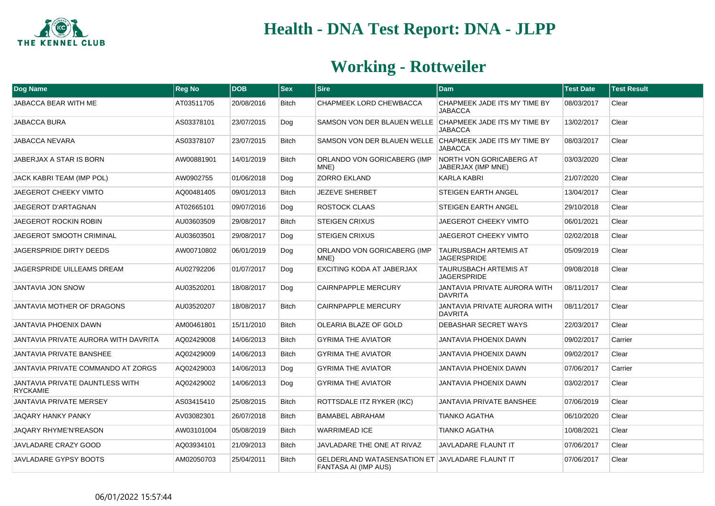

| Dog Name                                           | <b>Reg No</b> | <b>DOB</b> | <b>Sex</b>   | <b>Sire</b>                                                                    | <b>Dam</b>                                     | <b>Test Date</b> | <b>Test Result</b> |
|----------------------------------------------------|---------------|------------|--------------|--------------------------------------------------------------------------------|------------------------------------------------|------------------|--------------------|
| JABACCA BEAR WITH ME                               | AT03511705    | 20/08/2016 | <b>Bitch</b> | CHAPMEEK LORD CHEWBACCA                                                        | CHAPMEEK JADE ITS MY TIME BY<br><b>JABACCA</b> | 08/03/2017       | Clear              |
| JABACCA BURA                                       | AS03378101    | 23/07/2015 | Dog          | SAMSON VON DER BLAUEN WELLE CHAPMEEK JADE ITS MY TIME BY                       | <b>JABACCA</b>                                 | 13/02/2017       | Clear              |
| <b>JABACCA NEVARA</b>                              | AS03378107    | 23/07/2015 | <b>Bitch</b> | SAMSON VON DER BLAUEN WELLE CHAPMEEK JADE ITS MY TIME BY                       | <b>JABACCA</b>                                 | 08/03/2017       | Clear              |
| JABERJAX A STAR IS BORN                            | AW00881901    | 14/01/2019 | <b>Bitch</b> | ORLANDO VON GORICABERG (IMP<br>MNE)                                            | NORTH VON GORICABERG AT<br>JABERJAX (IMP MNE)  | 03/03/2020       | Clear              |
| JACK KABRI TEAM (IMP POL)                          | AW0902755     | 01/06/2018 | Dog          | <b>ZORRO EKLAND</b>                                                            | <b>KARLA KABRI</b>                             | 21/07/2020       | Clear              |
| <b>JAEGEROT CHEEKY VIMTO</b>                       | AQ00481405    | 09/01/2013 | <b>Bitch</b> | <b>JEZEVE SHERBET</b>                                                          | <b>STEIGEN EARTH ANGEL</b>                     | 13/04/2017       | Clear              |
| JAEGEROT D'ARTAGNAN                                | AT02665101    | 09/07/2016 | Dog          | <b>ROSTOCK CLAAS</b>                                                           | STEIGEN EARTH ANGEL                            | 29/10/2018       | Clear              |
| JAEGEROT ROCKIN ROBIN                              | AU03603509    | 29/08/2017 | <b>Bitch</b> | <b>STEIGEN CRIXUS</b>                                                          | JAEGEROT CHEEKY VIMTO                          | 06/01/2021       | Clear              |
| JAEGEROT SMOOTH CRIMINAL                           | AU03603501    | 29/08/2017 | Dog          | <b>STEIGEN CRIXUS</b>                                                          | <b>JAEGEROT CHEEKY VIMTO</b>                   | 02/02/2018       | Clear              |
| JAGERSPRIDE DIRTY DEEDS                            | AW00710802    | 06/01/2019 | Dog          | ORLANDO VON GORICABERG (IMP<br>MNE)                                            | TAURUSBACH ARTEMIS AT<br><b>JAGERSPRIDE</b>    | 05/09/2019       | Clear              |
| JAGERSPRIDE UILLEAMS DREAM                         | AU02792206    | 01/07/2017 | Dog          | EXCITING KODA AT JABERJAX                                                      | TAURUSBACH ARTEMIS AT<br><b>JAGERSPRIDE</b>    | 09/08/2018       | Clear              |
| <b>JANTAVIA JON SNOW</b>                           | AU03520201    | 18/08/2017 | Dog          | <b>CAIRNPAPPLE MERCURY</b>                                                     | JANTAVIA PRIVATE AURORA WITH<br><b>DAVRITA</b> | 08/11/2017       | Clear              |
| JANTAVIA MOTHER OF DRAGONS                         | AU03520207    | 18/08/2017 | <b>Bitch</b> | <b>CAIRNPAPPLE MERCURY</b>                                                     | JANTAVIA PRIVATE AURORA WITH<br><b>DAVRITA</b> | 08/11/2017       | Clear              |
| JANTAVIA PHOENIX DAWN                              | AM00461801    | 15/11/2010 | <b>Bitch</b> | OLEARIA BLAZE OF GOLD                                                          | <b>DEBASHAR SECRET WAYS</b>                    | 22/03/2017       | Clear              |
| JANTAVIA PRIVATE AURORA WITH DAVRITA               | AQ02429008    | 14/06/2013 | <b>Bitch</b> | <b>GYRIMA THE AVIATOR</b>                                                      | JANTAVIA PHOENIX DAWN                          | 09/02/2017       | Carrier            |
| <b>JANTAVIA PRIVATE BANSHEE</b>                    | AQ02429009    | 14/06/2013 | <b>Bitch</b> | <b>GYRIMA THE AVIATOR</b>                                                      | <b>JANTAVIA PHOENIX DAWN</b>                   | 09/02/2017       | Clear              |
| JANTAVIA PRIVATE COMMANDO AT ZORGS                 | AQ02429003    | 14/06/2013 | Dog          | <b>GYRIMA THE AVIATOR</b>                                                      | <b>JANTAVIA PHOENIX DAWN</b>                   | 07/06/2017       | Carrier            |
| JANTAVIA PRIVATE DAUNTLESS WITH<br><b>RYCKAMIE</b> | AQ02429002    | 14/06/2013 | Dog          | <b>GYRIMA THE AVIATOR</b>                                                      | JANTAVIA PHOENIX DAWN                          | 03/02/2017       | Clear              |
| JANTAVIA PRIVATE MERSEY                            | AS03415410    | 25/08/2015 | <b>Bitch</b> | ROTTSDALE ITZ RYKER (IKC)                                                      | <b>JANTAVIA PRIVATE BANSHEE</b>                | 07/06/2019       | Clear              |
| JAQARY HANKY PANKY                                 | AV03082301    | 26/07/2018 | <b>Bitch</b> | <b>BAMABEL ABRAHAM</b>                                                         | TIANKO AGATHA                                  | 06/10/2020       | Clear              |
| JAQARY RHYME'N'REASON                              | AW03101004    | 05/08/2019 | <b>Bitch</b> | <b>WARRIMEAD ICE</b>                                                           | <b>TIANKO AGATHA</b>                           | 10/08/2021       | Clear              |
| JAVLADARE CRAZY GOOD                               | AQ03934101    | 21/09/2013 | <b>Bitch</b> | JAVLADARE THE ONE AT RIVAZ                                                     | <b>JAVLADARE FLAUNT IT</b>                     | 07/06/2017       | Clear              |
| <b>JAVLADARE GYPSY BOOTS</b>                       | AM02050703    | 25/04/2011 | <b>Bitch</b> | <b>GELDERLAND WATASENSATION ET JAVLADARE FLAUNT IT</b><br>FANTASA AI (IMP AUS) |                                                | 07/06/2017       | Clear              |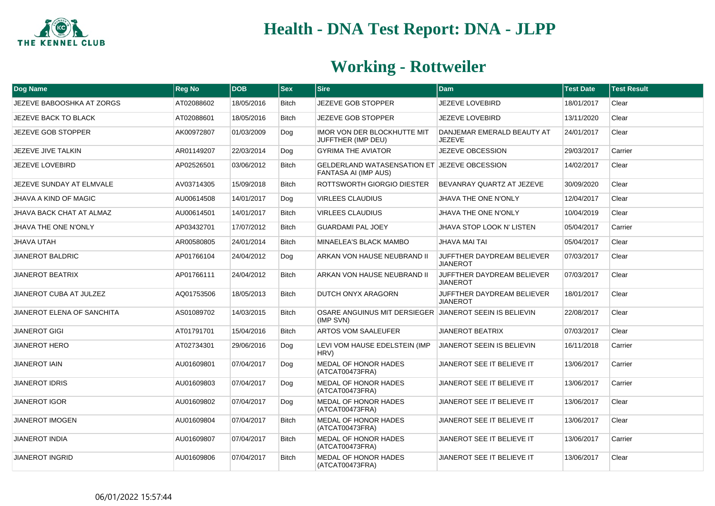

| Dog Name                     | <b>Reg No</b> | <b>DOB</b> | $ s_{ex} $   | <b>Sire</b>                                                                 | <b>Dam</b>                                    | <b>Test Date</b> | <b>Test Result</b> |
|------------------------------|---------------|------------|--------------|-----------------------------------------------------------------------------|-----------------------------------------------|------------------|--------------------|
| JEZEVE BABOOSHKA AT ZORGS    | AT02088602    | 18/05/2016 | <b>Bitch</b> | JEZEVE GOB STOPPER                                                          | <b>JEZEVE LOVEBIRD</b>                        | 18/01/2017       | Clear              |
| JEZEVE BACK TO BLACK         | AT02088601    | 18/05/2016 | <b>Bitch</b> | <b>JEZEVE GOB STOPPER</b>                                                   | <b>JEZEVE LOVEBIRD</b>                        | 13/11/2020       | Clear              |
| JEZEVE GOB STOPPER           | AK00972807    | 01/03/2009 | Dog          | <b>IMOR VON DER BLOCKHUTTE MIT</b><br>JUFFTHER (IMP DEU)                    | DANJEMAR EMERALD BEAUTY AT<br>JEZEVE          | 24/01/2017       | Clear              |
| JEZEVE JIVE TALKIN           | AR01149207    | 22/03/2014 | Dog          | <b>GYRIMA THE AVIATOR</b>                                                   | JEZEVE OBCESSION                              | 29/03/2017       | Carrier            |
| JEZEVE LOVEBIRD              | AP02526501    | 03/06/2012 | <b>Bitch</b> | GELDERLAND WATASENSATION ET JEZEVE OBCESSION<br><b>FANTASA AI (IMP AUS)</b> |                                               | 14/02/2017       | Clear              |
| JEZEVE SUNDAY AT ELMVALE     | AV03714305    | 15/09/2018 | <b>Bitch</b> | ROTTSWORTH GIORGIO DIESTER                                                  | BEVANRAY QUARTZ AT JEZEVE                     | 30/09/2020       | Clear              |
| <b>JHAVA A KIND OF MAGIC</b> | AU00614508    | 14/01/2017 | Dog          | <b>VIRLEES CLAUDIUS</b>                                                     | <b>JHAVA THE ONE N'ONLY</b>                   | 12/04/2017       | Clear              |
| JHAVA BACK CHAT AT ALMAZ     | AU00614501    | 14/01/2017 | <b>Bitch</b> | <b>VIRLEES CLAUDIUS</b>                                                     | <b>JHAVA THE ONE N'ONLY</b>                   | 10/04/2019       | Clear              |
| <b>JHAVA THE ONE N'ONLY</b>  | AP03432701    | 17/07/2012 | Bitch        | <b>GUARDAMI PAL JOEY</b>                                                    | JHAVA STOP LOOK N' LISTEN                     | 05/04/2017       | Carrier            |
| <b>JHAVA UTAH</b>            | AR00580805    | 24/01/2014 | <b>Bitch</b> | MINAELEA'S BLACK MAMBO                                                      | <b>JHAVA MAI TAI</b>                          | 05/04/2017       | Clear              |
| <b>JIANEROT BALDRIC</b>      | AP01766104    | 24/04/2012 | Dog          | ARKAN VON HAUSE NEUBRAND II                                                 | JUFFTHER DAYDREAM BELIEVER<br><b>JIANEROT</b> | 07/03/2017       | Clear              |
| <b>JIANEROT BEATRIX</b>      | AP01766111    | 24/04/2012 | <b>Bitch</b> | ARKAN VON HAUSE NEUBRAND II                                                 | JUFFTHER DAYDREAM BELIEVER<br><b>JIANEROT</b> | 07/03/2017       | Clear              |
| JIANEROT CUBA AT JULZEZ      | AQ01753506    | 18/05/2013 | <b>Bitch</b> | DUTCH ONYX ARAGORN                                                          | JUFFTHER DAYDREAM BELIEVER<br><b>JIANEROT</b> | 18/01/2017       | Clear              |
| JIANEROT ELENA OF SANCHITA   | AS01089702    | 14/03/2015 | Bitch        | OSARE ANGUINUS MIT DERSIEGER JIANEROT SEEIN IS BELIEVIN<br>(IMP SVN)        |                                               | 22/08/2017       | Clear              |
| <b>JIANEROT GIGI</b>         | AT01791701    | 15/04/2016 | <b>Bitch</b> | ARTOS VOM SAALEUFER                                                         | <b>JIANEROT BEATRIX</b>                       | 07/03/2017       | Clear              |
| <b>JIANEROT HERO</b>         | AT02734301    | 29/06/2016 | Dog          | LEVI VOM HAUSE EDELSTEIN (IMP<br>HRV)                                       | <b>JIANEROT SEEIN IS BELIEVIN</b>             | 16/11/2018       | Carrier            |
| <b>JIANEROT IAIN</b>         | AU01609801    | 07/04/2017 | Dog          | MEDAL OF HONOR HADES<br>(ATCAT00473FRA)                                     | JIANEROT SEE IT BELIEVE IT                    | 13/06/2017       | Carrier            |
| <b>JIANEROT IDRIS</b>        | AU01609803    | 07/04/2017 | Dog          | MEDAL OF HONOR HADES<br>(ATCAT00473FRA)                                     | JIANEROT SEE IT BELIEVE IT                    | 13/06/2017       | Carrier            |
| <b>JIANEROT IGOR</b>         | AU01609802    | 07/04/2017 | Dog          | MEDAL OF HONOR HADES<br>(ATCAT00473FRA)                                     | JIANEROT SEE IT BELIEVE IT                    | 13/06/2017       | Clear              |
| <b>JIANEROT IMOGEN</b>       | AU01609804    | 07/04/2017 | <b>Bitch</b> | MEDAL OF HONOR HADES<br>(ATCAT00473FRA)                                     | JIANEROT SEE IT BELIEVE IT                    | 13/06/2017       | Clear              |
| <b>JIANEROT INDIA</b>        | AU01609807    | 07/04/2017 | <b>Bitch</b> | MEDAL OF HONOR HADES<br>(ATCAT00473FRA)                                     | JIANEROT SEE IT BELIEVE IT                    | 13/06/2017       | Carrier            |
| <b>JIANEROT INGRID</b>       | AU01609806    | 07/04/2017 | <b>Bitch</b> | MEDAL OF HONOR HADES<br>(ATCAT00473FRA)                                     | JIANEROT SEE IT BELIEVE IT                    | 13/06/2017       | Clear              |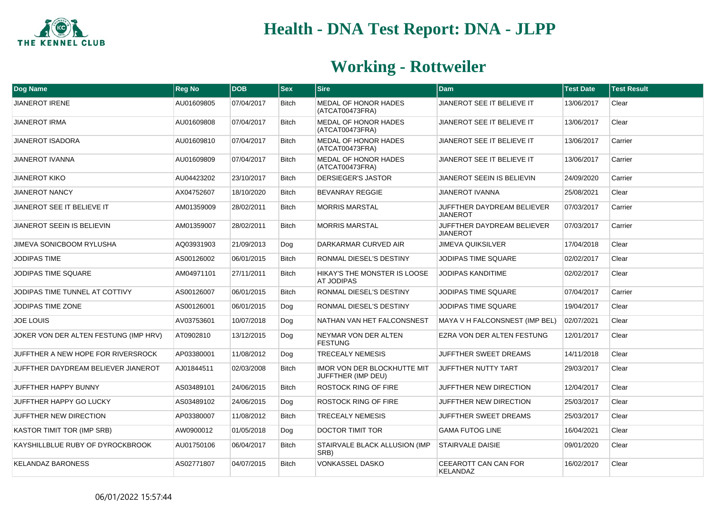

| Dog Name                              | <b>Reg No</b> | <b>DOB</b> | <b>Sex</b>   | <b>Sire</b>                                       | <b>Dam</b>                                    | <b>Test Date</b> | <b>Test Result</b> |
|---------------------------------------|---------------|------------|--------------|---------------------------------------------------|-----------------------------------------------|------------------|--------------------|
| <b>JIANEROT IRENE</b>                 | AU01609805    | 07/04/2017 | <b>Bitch</b> | <b>MEDAL OF HONOR HADES</b><br>(ATCAT00473FRA)    | JIANEROT SEE IT BELIEVE IT                    | 13/06/2017       | Clear              |
| <b>JIANEROT IRMA</b>                  | AU01609808    | 07/04/2017 | <b>Bitch</b> | MEDAL OF HONOR HADES<br>(ATCAT00473FRA)           | JIANEROT SEE IT BELIEVE IT                    | 13/06/2017       | Clear              |
| <b>JIANEROT ISADORA</b>               | AU01609810    | 07/04/2017 | <b>Bitch</b> | MEDAL OF HONOR HADES<br>(ATCAT00473FRA)           | JIANEROT SEE IT BELIEVE IT                    | 13/06/2017       | Carrier            |
| <b>JIANEROT IVANNA</b>                | AU01609809    | 07/04/2017 | Bitch        | MEDAL OF HONOR HADES<br>(ATCAT00473FRA)           | JIANEROT SEE IT BELIEVE IT                    | 13/06/2017       | Carrier            |
| <b>JIANEROT KIKO</b>                  | AU04423202    | 23/10/2017 | <b>Bitch</b> | <b>DERSIEGER'S JASTOR</b>                         | JIANEROT SEEIN IS BELIEVIN                    | 24/09/2020       | Carrier            |
| <b>JIANEROT NANCY</b>                 | AX04752607    | 18/10/2020 | <b>Bitch</b> | <b>BEVANRAY REGGIE</b>                            | <b>JIANEROT IVANNA</b>                        | 25/08/2021       | Clear              |
| JIANEROT SEE IT BELIEVE IT            | AM01359009    | 28/02/2011 | <b>Bitch</b> | <b>MORRIS MARSTAL</b>                             | JUFFTHER DAYDREAM BELIEVER<br><b>JIANEROT</b> | 07/03/2017       | Carrier            |
| JIANEROT SEEIN IS BELIEVIN            | AM01359007    | 28/02/2011 | <b>Bitch</b> | <b>MORRIS MARSTAL</b>                             | JUFFTHER DAYDREAM BELIEVER<br><b>JIANEROT</b> | 07/03/2017       | Carrier            |
| <b>JIMEVA SONICBOOM RYLUSHA</b>       | AQ03931903    | 21/09/2013 | Dog          | DARKARMAR CURVED AIR                              | <b>JIMEVA QUIKSILVER</b>                      | 17/04/2018       | Clear              |
| <b>JODIPAS TIME</b>                   | AS00126002    | 06/01/2015 | <b>Bitch</b> | RONMAL DIESEL'S DESTINY                           | JODIPAS TIME SQUARE                           | 02/02/2017       | Clear              |
| JODIPAS TIME SQUARE                   | AM04971101    | 27/11/2011 | <b>Bitch</b> | HIKAY'S THE MONSTER IS LOOSE<br><b>AT JODIPAS</b> | JODIPAS KANDITIME                             | 02/02/2017       | Clear              |
| JODIPAS TIME TUNNEL AT COTTIVY        | AS00126007    | 06/01/2015 | <b>Bitch</b> | RONMAL DIESEL'S DESTINY                           | <b>JODIPAS TIME SQUARE</b>                    | 07/04/2017       | Carrier            |
| JODIPAS TIME ZONE                     | AS00126001    | 06/01/2015 | Dog          | RONMAL DIESEL'S DESTINY                           | <b>JODIPAS TIME SQUARE</b>                    | 19/04/2017       | Clear              |
| <b>JOE LOUIS</b>                      | AV03753601    | 10/07/2018 | Dog          | NATHAN VAN HET FALCONSNEST                        | MAYA V H FALCONSNEST (IMP BEL)                | 02/07/2021       | Clear              |
| JOKER VON DER ALTEN FESTUNG (IMP HRV) | AT0902810     | 13/12/2015 | Dog          | NEYMAR VON DER ALTEN<br><b>FESTUNG</b>            | EZRA VON DER ALTEN FESTUNG                    | 12/01/2017       | Clear              |
| JUFFTHER A NEW HOPE FOR RIVERSROCK    | AP03380001    | 11/08/2012 | Dog          | <b>TRECEALY NEMESIS</b>                           | <b>JUFFTHER SWEET DREAMS</b>                  | 14/11/2018       | Clear              |
| JUFFTHER DAYDREAM BELIEVER JIANEROT   | AJ01844511    | 02/03/2008 | <b>Bitch</b> | IMOR VON DER BLOCKHUTTE MIT<br>JUFFTHER (IMP DEU) | JUFFTHER NUTTY TART                           | 29/03/2017       | Clear              |
| <b>JUFFTHER HAPPY BUNNY</b>           | AS03489101    | 24/06/2015 | <b>Bitch</b> | ROSTOCK RING OF FIRE                              | JUFFTHER NEW DIRECTION                        | 12/04/2017       | Clear              |
| JUFFTHER HAPPY GO LUCKY               | AS03489102    | 24/06/2015 | Dog          | ROSTOCK RING OF FIRE                              | JUFFTHER NEW DIRECTION                        | 25/03/2017       | Clear              |
| JUFFTHER NEW DIRECTION                | AP03380007    | 11/08/2012 | Bitch        | TRECEALY NEMESIS                                  | JUFFTHER SWEET DREAMS                         | 25/03/2017       | Clear              |
| <b>KASTOR TIMIT TOR (IMP SRB)</b>     | AW0900012     | 01/05/2018 | Dog          | <b>DOCTOR TIMIT TOR</b>                           | <b>GAMA FUTOG LINE</b>                        | 16/04/2021       | Clear              |
| KAYSHILLBLUE RUBY OF DYROCKBROOK      | AU01750106    | 06/04/2017 | <b>Bitch</b> | STAIRVALE BLACK ALLUSION (IMP<br>SRB)             | <b>STAIRVALE DAISIE</b>                       | 09/01/2020       | Clear              |
| <b>KELANDAZ BARONESS</b>              | AS02771807    | 04/07/2015 | <b>Bitch</b> | VONKASSEL DASKO                                   | CEEAROTT CAN CAN FOR<br><b>KELANDAZ</b>       | 16/02/2017       | Clear              |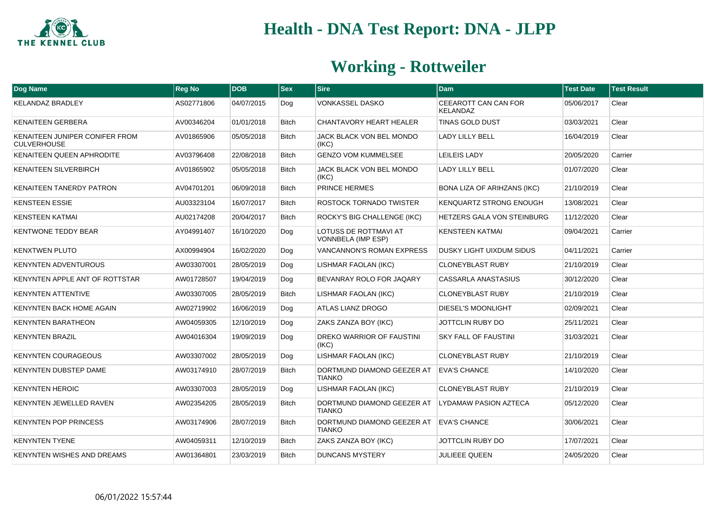

| Dog Name                                             | <b>Reg No</b> | <b>DOB</b> | <b>Sex</b>   | <b>Sire</b>                                        | Dam                                     | <b>Test Date</b> | <b>Test Result</b> |
|------------------------------------------------------|---------------|------------|--------------|----------------------------------------------------|-----------------------------------------|------------------|--------------------|
| <b>KELANDAZ BRADLEY</b>                              | AS02771806    | 04/07/2015 | Dog          | VONKASSEL DASKO                                    | CEEAROTT CAN CAN FOR<br><b>KELANDAZ</b> | 05/06/2017       | Clear              |
| <b>KENAITEEN GERBERA</b>                             | AV00346204    | 01/01/2018 | <b>Bitch</b> | <b>CHANTAVORY HEART HEALER</b>                     | <b>TINAS GOLD DUST</b>                  | 03/03/2021       | Clear              |
| KENAITEEN JUNIPER CONIFER FROM<br><b>CULVERHOUSE</b> | AV01865906    | 05/05/2018 | <b>Bitch</b> | JACK BLACK VON BEL MONDO<br>(IKC)                  | <b>LADY LILLY BELL</b>                  | 16/04/2019       | Clear              |
| <b>KENAITEEN QUEEN APHRODITE</b>                     | AV03796408    | 22/08/2018 | <b>Bitch</b> | <b>GENZO VOM KUMMELSEE</b>                         | LEILEIS LADY                            | 20/05/2020       | Carrier            |
| <b>KENAITEEN SILVERBIRCH</b>                         | AV01865902    | 05/05/2018 | <b>Bitch</b> | JACK BLACK VON BEL MONDO<br>(IKC)                  | <b>LADY LILLY BELL</b>                  | 01/07/2020       | Clear              |
| <b>KENAITEEN TANERDY PATRON</b>                      | AV04701201    | 06/09/2018 | <b>Bitch</b> | PRINCE HERMES                                      | <b>BONA LIZA OF ARIHZANS (IKC)</b>      | 21/10/2019       | Clear              |
| <b>KENSTEEN ESSIE</b>                                | AU03323104    | 16/07/2017 | <b>Bitch</b> | ROSTOCK TORNADO TWISTER                            | <b>KENQUARTZ STRONG ENOUGH</b>          | 13/08/2021       | Clear              |
| <b>KENSTEEN KATMAI</b>                               | AU02174208    | 20/04/2017 | <b>Bitch</b> | ROCKY'S BIG CHALLENGE (IKC)                        | HETZERS GALA VON STEINBURG              | 11/12/2020       | Clear              |
| <b>KENTWONE TEDDY BEAR</b>                           | AY04991407    | 16/10/2020 | Dog          | LOTUSS DE ROTTMAVI AT<br><b>VONNBELA (IMP ESP)</b> | <b>KENSTEEN KATMAI</b>                  | 09/04/2021       | Carrier            |
| <b>KENXTWEN PLUTO</b>                                | AX00994904    | 16/02/2020 | Dog          | <b>VANCANNON'S ROMAN EXPRESS</b>                   | DUSKY LIGHT UIXDUM SIDUS                | 04/11/2021       | Carrier            |
| <b>KENYNTEN ADVENTUROUS</b>                          | AW03307001    | 28/05/2019 | Dog          | LISHMAR FAOLAN (IKC)                               | <b>CLONEYBLAST RUBY</b>                 | 21/10/2019       | Clear              |
| KENYNTEN APPLE ANT OF ROTTSTAR                       | AW01728507    | 19/04/2019 | Dog          | BEVANRAY ROLO FOR JAQARY                           | <b>CASSARLA ANASTASIUS</b>              | 30/12/2020       | Clear              |
| <b>KENYNTEN ATTENTIVE</b>                            | AW03307005    | 28/05/2019 | <b>Bitch</b> | <b>LISHMAR FAOLAN (IKC)</b>                        | <b>CLONEYBLAST RUBY</b>                 | 21/10/2019       | Clear              |
| KENYNTEN BACK HOME AGAIN                             | AW02719902    | 16/06/2019 | Dog          | <b>ATLAS LIANZ DROGO</b>                           | <b>DIESEL'S MOONLIGHT</b>               | 02/09/2021       | Clear              |
| <b>KENYNTEN BARATHEON</b>                            | AW04059305    | 12/10/2019 | Dog          | ZAKS ZANZA BOY (IKC)                               | <b>JOTTCLIN RUBY DO</b>                 | 25/11/2021       | Clear              |
| <b>KENYNTEN BRAZIL</b>                               | AW04016304    | 19/09/2019 | Dog          | <b>DREKO WARRIOR OF FAUSTINI</b><br>(IKC)          | <b>SKY FALL OF FAUSTINI</b>             | 31/03/2021       | Clear              |
| <b>KENYNTEN COURAGEOUS</b>                           | AW03307002    | 28/05/2019 | Dog          | <b>LISHMAR FAOLAN (IKC)</b>                        | <b>CLONEYBLAST RUBY</b>                 | 21/10/2019       | Clear              |
| <b>KENYNTEN DUBSTEP DAME</b>                         | AW03174910    | 28/07/2019 | <b>Bitch</b> | DORTMUND DIAMOND GEEZER AT<br><b>TIANKO</b>        | <b>EVA'S CHANCE</b>                     | 14/10/2020       | Clear              |
| <b>KENYNTEN HEROIC</b>                               | AW03307003    | 28/05/2019 | Dog          | LISHMAR FAOLAN (IKC)                               | <b>CLONEYBLAST RUBY</b>                 | 21/10/2019       | Clear              |
| KENYNTEN JEWELLED RAVEN                              | AW02354205    | 28/05/2019 | <b>Bitch</b> | DORTMUND DIAMOND GEEZER AT<br><b>TIANKO</b>        | LYDAMAW PASION AZTECA                   | 05/12/2020       | Clear              |
| <b>KENYNTEN POP PRINCESS</b>                         | AW03174906    | 28/07/2019 | <b>Bitch</b> | DORTMUND DIAMOND GEEZER AT<br><b>TIANKO</b>        | <b>EVA'S CHANCE</b>                     | 30/06/2021       | Clear              |
| <b>KENYNTEN TYENE</b>                                | AW04059311    | 12/10/2019 | <b>Bitch</b> | ZAKS ZANZA BOY (IKC)                               | <b>JOTTCLIN RUBY DO</b>                 | 17/07/2021       | Clear              |
| <b>KENYNTEN WISHES AND DREAMS</b>                    | AW01364801    | 23/03/2019 | <b>Bitch</b> | <b>DUNCANS MYSTERY</b>                             | JULIEEE QUEEN                           | 24/05/2020       | Clear              |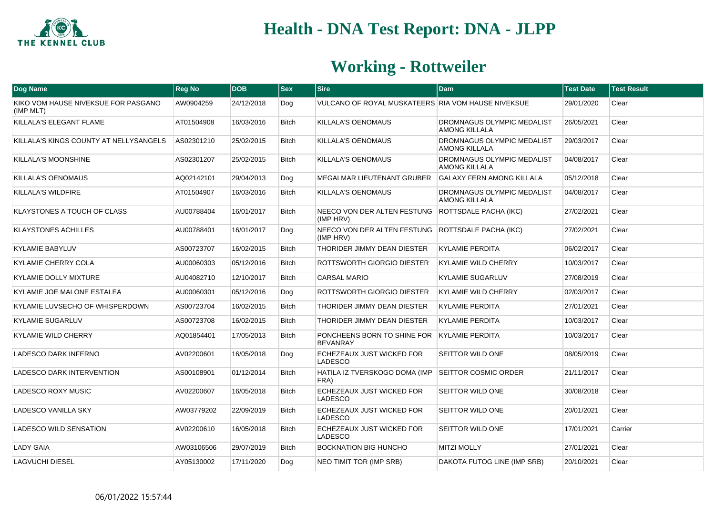

| Dog Name                                         | <b>Reg No</b> | <b>DOB</b> | $ $ Sex      | <b>Sire</b>                                                    | <b>Dam</b>                                         | <b>Test Date</b> | <b>Test Result</b> |
|--------------------------------------------------|---------------|------------|--------------|----------------------------------------------------------------|----------------------------------------------------|------------------|--------------------|
| KIKO VOM HAUSE NIVEKSUE FOR PASGANO<br>(IMP MLT) | AW0904259     | 24/12/2018 | Dog          | VULCANO OF ROYAL MUSKATEERS RIA VOM HAUSE NIVEKSUE             |                                                    | 29/01/2020       | Clear              |
| KILLALA'S ELEGANT FLAME                          | AT01504908    | 16/03/2016 | <b>Bitch</b> | KILLALA'S OENOMAUS                                             | DROMNAGUS OLYMPIC MEDALIST<br><b>AMONG KILLALA</b> | 26/05/2021       | Clear              |
| KILLALA'S KINGS COUNTY AT NELLYSANGELS           | AS02301210    | 25/02/2015 | <b>Bitch</b> | <b>KILLALA'S OENOMAUS</b>                                      | DROMNAGUS OLYMPIC MEDALIST<br><b>AMONG KILLALA</b> | 29/03/2017       | Clear              |
| KILLALA'S MOONSHINE                              | AS02301207    | 25/02/2015 | <b>Bitch</b> | KILLALA'S OENOMAUS                                             | DROMNAGUS OLYMPIC MEDALIST<br><b>AMONG KILLALA</b> | 04/08/2017       | Clear              |
| KILLALA'S OENOMAUS                               | AQ02142101    | 29/04/2013 | Dog          | <b>MEGALMAR LIEUTENANT GRUBER</b>                              | <b>GALAXY FERN AMONG KILLALA</b>                   | 05/12/2018       | Clear              |
| KILLALA'S WILDFIRE                               | AT01504907    | 16/03/2016 | Bitch        | <b>KILLALA'S OENOMAUS</b>                                      | DROMNAGUS OLYMPIC MEDALIST<br><b>AMONG KILLALA</b> | 04/08/2017       | Clear              |
| <b>KLAYSTONES A TOUCH OF CLASS</b>               | AU00788404    | 16/01/2017 | <b>Bitch</b> | NEECO VON DER ALTEN FESTUNG ROTTSDALE PACHA (IKC)<br>(IMP HRV) |                                                    | 27/02/2021       | Clear              |
| <b>KLAYSTONES ACHILLES</b>                       | AU00788401    | 16/01/2017 | Dog          | NEECO VON DER ALTEN FESTUNG ROTTSDALE PACHA (IKC)<br>(IMP HRV) |                                                    | 27/02/2021       | Clear              |
| <b>KYLAMIE BABYLUV</b>                           | AS00723707    | 16/02/2015 | <b>Bitch</b> | THORIDER JIMMY DEAN DIESTER                                    | <b>KYLAMIE PERDITA</b>                             | 06/02/2017       | Clear              |
| KYLAMIE CHERRY COLA                              | AU00060303    | 05/12/2016 | <b>Bitch</b> | ROTTSWORTH GIORGIO DIESTER                                     | <b>KYLAMIE WILD CHERRY</b>                         | 10/03/2017       | Clear              |
| <b>KYLAMIE DOLLY MIXTURE</b>                     | AU04082710    | 12/10/2017 | <b>Bitch</b> | <b>CARSAL MARIO</b>                                            | <b>KYLAMIE SUGARLUV</b>                            | 27/08/2019       | Clear              |
| KYLAMIE JOE MALONE ESTALEA                       | AU00060301    | 05/12/2016 | Dog          | ROTTSWORTH GIORGIO DIESTER                                     | <b>KYLAMIE WILD CHERRY</b>                         | 02/03/2017       | Clear              |
| KYLAMIE LUVSECHO OF WHISPERDOWN                  | AS00723704    | 16/02/2015 | <b>Bitch</b> | THORIDER JIMMY DEAN DIESTER                                    | <b>KYLAMIE PERDITA</b>                             | 27/01/2021       | Clear              |
| <b>KYLAMIE SUGARLUV</b>                          | AS00723708    | 16/02/2015 | <b>Bitch</b> | THORIDER JIMMY DEAN DIESTER                                    | <b>KYLAMIE PERDITA</b>                             | 10/03/2017       | Clear              |
| <b>KYLAMIE WILD CHERRY</b>                       | AQ01854401    | 17/05/2013 | <b>Bitch</b> | PONCHEENS BORN TO SHINE FOR<br><b>BEVANRAY</b>                 | <b>KYLAMIE PERDITA</b>                             | 10/03/2017       | Clear              |
| LADESCO DARK INFERNO                             | AV02200601    | 16/05/2018 | Dog          | ECHEZEAUX JUST WICKED FOR<br>LADESCO                           | SEITTOR WILD ONE                                   | 08/05/2019       | Clear              |
| LADESCO DARK INTERVENTION                        | AS00108901    | 01/12/2014 | <b>Bitch</b> | HATILA IZ TVERSKOGO DOMA (IMP<br>FRA)                          | <b>SEITTOR COSMIC ORDER</b>                        | 21/11/2017       | Clear              |
| LADESCO ROXY MUSIC                               | AV02200607    | 16/05/2018 | <b>Bitch</b> | ECHEZEAUX JUST WICKED FOR<br><b>LADESCO</b>                    | SEITTOR WILD ONE                                   | 30/08/2018       | Clear              |
| <b>LADESCO VANILLA SKY</b>                       | AW03779202    | 22/09/2019 | <b>Bitch</b> | ECHEZEAUX JUST WICKED FOR<br>LADESCO                           | SEITTOR WILD ONE                                   | 20/01/2021       | Clear              |
| LADESCO WILD SENSATION                           | AV02200610    | 16/05/2018 | Bitch        | ECHEZEAUX JUST WICKED FOR<br>LADESCO                           | SEITTOR WILD ONE                                   | 17/01/2021       | Carrier            |
| <b>LADY GAIA</b>                                 | AW03106506    | 29/07/2019 | <b>Bitch</b> | BOCKNATION BIG HUNCHO                                          | <b>MITZI MOLLY</b>                                 | 27/01/2021       | Clear              |
| <b>LAGVUCHI DIESEL</b>                           | AY05130002    | 17/11/2020 | Dog          | <b>NEO TIMIT TOR (IMP SRB)</b>                                 | DAKOTA FUTOG LINE (IMP SRB)                        | 20/10/2021       | Clear              |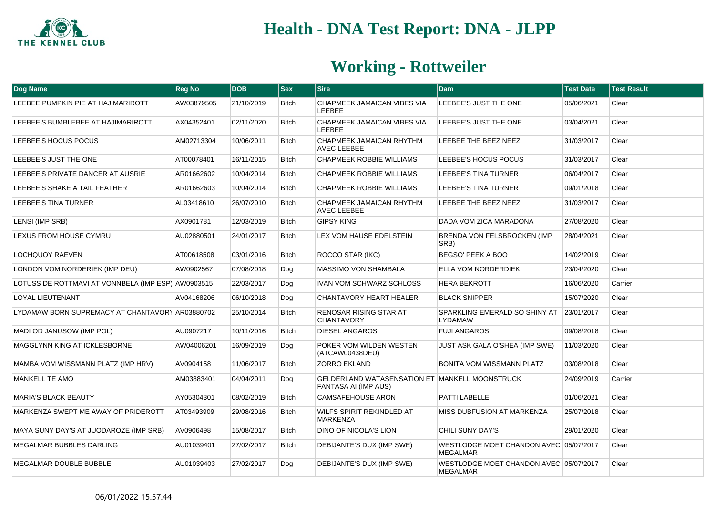

| Dog Name                                           | <b>Reg No</b> | <b>DOB</b> | <b>Sex</b>   | <b>Sire</b>                                                                   | <b>Dam</b>                                                | <b>Test Date</b> | <b>Test Result</b> |
|----------------------------------------------------|---------------|------------|--------------|-------------------------------------------------------------------------------|-----------------------------------------------------------|------------------|--------------------|
| LEEBEE PUMPKIN PIE AT HAJIMARIROTT                 | AW03879505    | 21/10/2019 | Bitch        | CHAPMEEK JAMAICAN VIBES VIA<br><b>LEEBEE</b>                                  | LEEBEE'S JUST THE ONE                                     | 05/06/2021       | Clear              |
| LEEBEE'S BUMBLEBEE AT HAJIMARIROTT                 | AX04352401    | 02/11/2020 | <b>Bitch</b> | CHAPMEEK JAMAICAN VIBES VIA<br><b>LEEBEE</b>                                  | LEEBEE'S JUST THE ONE                                     | 03/04/2021       | Clear              |
| LEEBEE'S HOCUS POCUS                               | AM02713304    | 10/06/2011 | <b>Bitch</b> | CHAPMEEK JAMAICAN RHYTHM<br><b>AVEC LEEBEE</b>                                | LEEBEE THE BEEZ NEEZ                                      | 31/03/2017       | Clear              |
| LEEBEE'S JUST THE ONE                              | AT00078401    | 16/11/2015 | <b>Bitch</b> | <b>CHAPMEEK ROBBIE WILLIAMS</b>                                               | LEEBEE'S HOCUS POCUS                                      | 31/03/2017       | Clear              |
| LEEBEE'S PRIVATE DANCER AT AUSRIE                  | AR01662602    | 10/04/2014 | <b>Bitch</b> | <b>CHAPMEEK ROBBIE WILLIAMS</b>                                               | <b>LEEBEE'S TINA TURNER</b>                               | 06/04/2017       | Clear              |
| LEEBEE'S SHAKE A TAIL FEATHER                      | AR01662603    | 10/04/2014 | <b>Bitch</b> | <b>CHAPMEEK ROBBIE WILLIAMS</b>                                               | <b>LEEBEE'S TINA TURNER</b>                               | 09/01/2018       | Clear              |
| LEEBEE'S TINA TURNER                               | AL03418610    | 26/07/2010 | <b>Bitch</b> | CHAPMEEK JAMAICAN RHYTHM<br><b>AVEC LEEBEE</b>                                | LEEBEE THE BEEZ NEEZ                                      | 31/03/2017       | Clear              |
| LENSI (IMP SRB)                                    | AX0901781     | 12/03/2019 | <b>Bitch</b> | <b>GIPSY KING</b>                                                             | DADA VOM ZICA MARADONA                                    | 27/08/2020       | Clear              |
| LEXUS FROM HOUSE CYMRU                             | AU02880501    | 24/01/2017 | <b>Bitch</b> | LEX VOM HAUSE EDELSTEIN                                                       | BRENDA VON FELSBROCKEN (IMP<br>SRB)                       | 28/04/2021       | Clear              |
| <b>LOCHQUOY RAEVEN</b>                             | AT00618508    | 03/01/2016 | <b>Bitch</b> | ROCCO STAR (IKC)                                                              | BEGSO' PEEK A BOO                                         | 14/02/2019       | Clear              |
| LONDON VOM NORDERIEK (IMP DEU)                     | AW0902567     | 07/08/2018 | Dog          | MASSIMO VON SHAMBALA                                                          | ELLA VOM NORDERDIEK                                       | 23/04/2020       | Clear              |
| LOTUSS DE ROTTMAVI AT VONNBELA (IMP ESP) AW0903515 |               | 22/03/2017 | Dog          | IVAN VOM SCHWARZ SCHLOSS                                                      | <b>HERA BEKROTT</b>                                       | 16/06/2020       | Carrier            |
| <b>LOYAL LIEUTENANT</b>                            | AV04168206    | 06/10/2018 | Dog          | CHANTAVORY HEART HEALER                                                       | <b>BLACK SNIPPER</b>                                      | 15/07/2020       | Clear              |
| LYDAMAW BORN SUPREMACY AT CHANTAVORY AR03880702    |               | 25/10/2014 | <b>Bitch</b> | <b>RENOSAR RISING STAR AT</b><br><b>CHANTAVORY</b>                            | SPARKLING EMERALD SO SHINY AT<br><b>LYDAMAW</b>           | 23/01/2017       | Clear              |
| MADI OD JANUSOW (IMP POL)                          | AU0907217     | 10/11/2016 | <b>Bitch</b> | <b>DIESEL ANGAROS</b>                                                         | <b>FUJI ANGAROS</b>                                       | 09/08/2018       | Clear              |
| <b>MAGGLYNN KING AT ICKLESBORNE</b>                | AW04006201    | 16/09/2019 | Dog          | POKER VOM WILDEN WESTEN<br>(ATCAW00438DEU)                                    | JUST ASK GALA O'SHEA (IMP SWE)                            | 11/03/2020       | Clear              |
| MAMBA VOM WISSMANN PLATZ (IMP HRV)                 | AV0904158     | 11/06/2017 | <b>Bitch</b> | <b>ZORRO EKLAND</b>                                                           | <b>BONITA VOM WISSMANN PLATZ</b>                          | 03/08/2018       | Clear              |
| MANKELL TE AMO                                     | AM03883401    | 04/04/2011 | Dog          | GELDERLAND WATASENSATION ET MANKELL MOONSTRUCK<br><b>FANTASA AI (IMP AUS)</b> |                                                           | 24/09/2019       | Carrier            |
| <b>MARIA'S BLACK BEAUTY</b>                        | AY05304301    | 08/02/2019 | <b>Bitch</b> | <b>CAMSAFEHOUSE ARON</b>                                                      | PATTI LABELLE                                             | 01/06/2021       | Clear              |
| MARKENZA SWEPT ME AWAY OF PRIDEROTT                | AT03493909    | 29/08/2016 | Bitch        | WILFS SPIRIT REKINDLED AT<br><b>MARKENZA</b>                                  | MISS DUBFUSION AT MARKENZA                                | 25/07/2018       | Clear              |
| MAYA SUNY DAY'S AT JUODAROZE (IMP SRB)             | AV0906498     | 15/08/2017 | <b>Bitch</b> | DINO OF NICOLA'S LION                                                         | CHILI SUNY DAY'S                                          | 29/01/2020       | Clear              |
| <b>MEGALMAR BUBBLES DARLING</b>                    | AU01039401    | 27/02/2017 | <b>Bitch</b> | DEBIJANTE'S DUX (IMP SWE)                                                     | WESTLODGE MOET CHANDON AVEC 05/07/2017<br><b>MEGALMAR</b> |                  | Clear              |
| MEGALMAR DOUBLE BUBBLE                             | AU01039403    | 27/02/2017 | Dog          | DEBIJANTE'S DUX (IMP SWE)                                                     | WESTLODGE MOET CHANDON AVEC 05/07/2017<br><b>MEGALMAR</b> |                  | Clear              |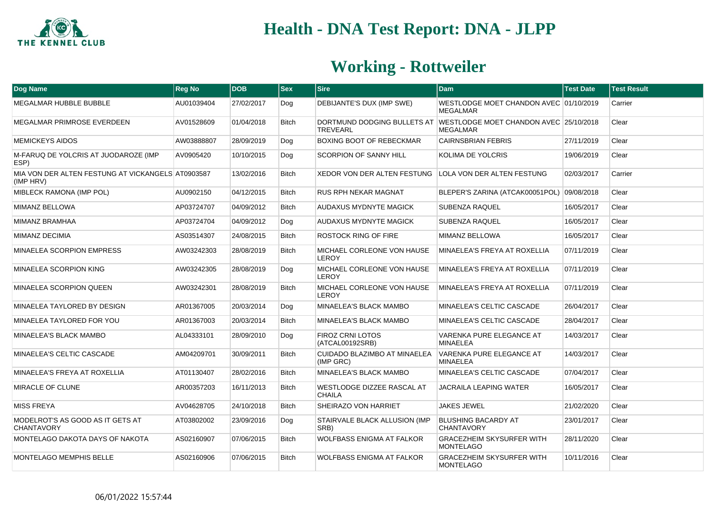

| <b>Dog Name</b>                                                | <b>Reg No</b> | <b>DOB</b> | <b>Sex</b>   | <b>Sire</b>                                            | <b>Dam</b>                                                                            | <b>Test Date</b> | <b>Test Result</b> |
|----------------------------------------------------------------|---------------|------------|--------------|--------------------------------------------------------|---------------------------------------------------------------------------------------|------------------|--------------------|
| MEGALMAR HUBBLE BUBBLE                                         | AU01039404    | 27/02/2017 | Dog          | DEBIJANTE'S DUX (IMP SWE)                              | WESTLODGE MOET CHANDON AVEC 01/10/2019<br><b>MEGALMAR</b>                             |                  | Carrier            |
| MEGALMAR PRIMROSE EVERDEEN                                     | AV01528609    | 01/04/2018 | Bitch        | <b>TREVEARL</b>                                        | DORTMUND DODGING BULLETS AT WESTLODGE MOET CHANDON AVEC 25/10/2018<br><b>MEGALMAR</b> |                  | Clear              |
| <b>MEMICKEYS AIDOS</b>                                         | AW03888807    | 28/09/2019 | Dog          | BOXING BOOT OF REBECKMAR                               | <b>CAIRNSBRIAN FEBRIS</b>                                                             | 27/11/2019       | Clear              |
| M-FARUQ DE YOLCRIS AT JUODAROZE (IMP<br>ESP)                   | AV0905420     | 10/10/2015 | Dog          | SCORPION OF SANNY HILL                                 | KOLIMA DE YOLCRIS                                                                     | 19/06/2019       | Clear              |
| MIA VON DER ALTEN FESTUNG AT VICKANGELS AT0903587<br>(IMP HRV) |               | 13/02/2016 | <b>Bitch</b> | XEDOR VON DER ALTEN FESTUNG LOLA VON DER ALTEN FESTUNG |                                                                                       | 02/03/2017       | Carrier            |
| MIBLECK RAMONA (IMP POL)                                       | AU0902150     | 04/12/2015 | <b>Bitch</b> | RUS RPH NEKAR MAGNAT                                   | BLEPER'S ZARINA (ATCAK00051POL)                                                       | 09/08/2018       | Clear              |
| MIMANZ BELLOWA                                                 | AP03724707    | 04/09/2012 | Bitch        | AUDAXUS MYDNYTE MAGICK                                 | SUBENZA RAQUEL                                                                        | 16/05/2017       | Clear              |
| <b>MIMANZ BRAMHAA</b>                                          | AP03724704    | 04/09/2012 | Dog          | AUDAXUS MYDNYTE MAGICK                                 | <b>SUBENZA RAQUEL</b>                                                                 | 16/05/2017       | Clear              |
| MIMANZ DECIMIA                                                 | AS03514307    | 24/08/2015 | <b>Bitch</b> | ROSTOCK RING OF FIRE                                   | MIMANZ BELLOWA                                                                        | 16/05/2017       | Clear              |
| MINAELEA SCORPION EMPRESS                                      | AW03242303    | 28/08/2019 | <b>Bitch</b> | MICHAEL CORLEONE VON HAUSE<br><b>LEROY</b>             | MINAELEA'S FREYA AT ROXELLIA                                                          | 07/11/2019       | Clear              |
| MINAELEA SCORPION KING                                         | AW03242305    | 28/08/2019 | Dog          | MICHAEL CORLEONE VON HAUSE<br><b>LEROY</b>             | MINAELEA'S FREYA AT ROXELLIA                                                          | 07/11/2019       | Clear              |
| MINAELEA SCORPION QUEEN                                        | AW03242301    | 28/08/2019 | <b>Bitch</b> | <b>MICHAEL CORLEONE VON HAUSE</b><br><b>LEROY</b>      | MINAELEA'S FREYA AT ROXELLIA                                                          | 07/11/2019       | Clear              |
| MINAELEA TAYLORED BY DESIGN                                    | AR01367005    | 20/03/2014 | Dog          | <b>MINAELEA'S BLACK MAMBO</b>                          | MINAELEA'S CELTIC CASCADE                                                             | 26/04/2017       | Clear              |
| MINAELEA TAYLORED FOR YOU                                      | AR01367003    | 20/03/2014 | <b>Bitch</b> | MINAELEA'S BLACK MAMBO                                 | MINAELEA'S CELTIC CASCADE                                                             | 28/04/2017       | Clear              |
| MINAELEA'S BLACK MAMBO                                         | AL04333101    | 28/09/2010 | Dog          | <b>FIROZ CRNI LOTOS</b><br>(ATCAL00192SRB)             | VARENKA PURE ELEGANCE AT<br><b>MINAELEA</b>                                           | 14/03/2017       | Clear              |
| MINAELEA'S CELTIC CASCADE                                      | AM04209701    | 30/09/2011 | <b>Bitch</b> | CUIDADO BLAZIMBO AT MINAELEA<br>(IMP GRC)              | VARENKA PURE ELEGANCE AT<br><b>MINAELEA</b>                                           | 14/03/2017       | Clear              |
| MINAELEA'S FREYA AT ROXELLIA                                   | AT01130407    | 28/02/2016 | <b>Bitch</b> | MINAELEA'S BLACK MAMBO                                 | MINAELEA'S CELTIC CASCADE                                                             | 07/04/2017       | Clear              |
| MIRACLE OF CLUNE                                               | AR00357203    | 16/11/2013 | Bitch        | WESTLODGE DIZZEE RASCAL AT<br><b>CHAILA</b>            | JACRAILA LEAPING WATER                                                                | 16/05/2017       | Clear              |
| <b>MISS FREYA</b>                                              | AV04628705    | 24/10/2018 | <b>Bitch</b> | SHEIRAZO VON HARRIET                                   | <b>JAKES JEWEL</b>                                                                    | 21/02/2020       | Clear              |
| MODELROT'S AS GOOD AS IT GETS AT<br><b>CHANTAVORY</b>          | AT03802002    | 23/09/2016 | Dog          | <b>STAIRVALE BLACK ALLUSION (IMP</b><br>SRB)           | <b>BLUSHING BACARDY AT</b><br><b>CHANTAVORY</b>                                       | 23/01/2017       | Clear              |
| MONTELAGO DAKOTA DAYS OF NAKOTA                                | AS02160907    | 07/06/2015 | <b>Bitch</b> | <b>WOLFBASS ENIGMA AT FALKOR</b>                       | <b>GRACEZHEIM SKYSURFER WITH</b><br><b>MONTELAGO</b>                                  | 28/11/2020       | Clear              |
| MONTELAGO MEMPHIS BELLE                                        | AS02160906    | 07/06/2015 | <b>Bitch</b> | <b>WOLFBASS ENIGMA AT FALKOR</b>                       | <b>GRACEZHEIM SKYSURFER WITH</b><br><b>MONTELAGO</b>                                  | 10/11/2016       | Clear              |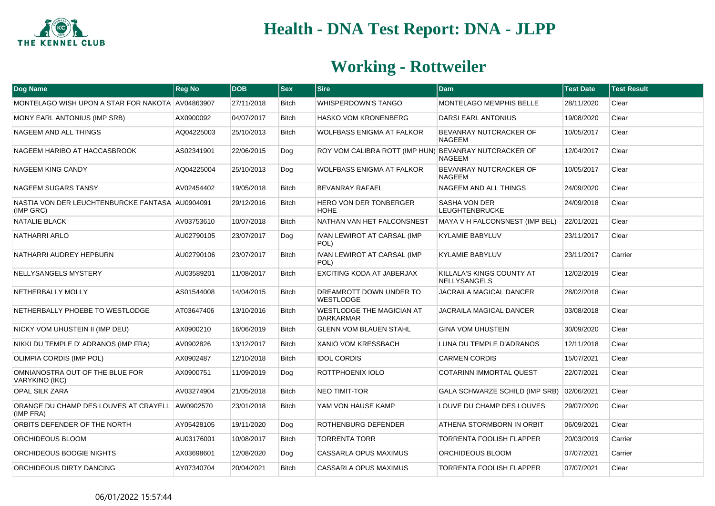

| <b>Dog Name</b>                                              | <b>Reg No</b> | <b>DOB</b> | <b>Sex</b>   | Sire                                                 | <b>Dam</b>                                       | <b>Test Date</b> | <b>Test Result</b> |
|--------------------------------------------------------------|---------------|------------|--------------|------------------------------------------------------|--------------------------------------------------|------------------|--------------------|
| MONTELAGO WISH UPON A STAR FOR NAKOTA AV04863907             |               | 27/11/2018 | <b>Bitch</b> | <b>WHISPERDOWN'S TANGO</b>                           | MONTELAGO MEMPHIS BELLE                          | 28/11/2020       | Clear              |
| MONY EARL ANTONIUS (IMP SRB)                                 | AX0900092     | 04/07/2017 | <b>Bitch</b> | <b>HASKO VOM KRONENBERG</b>                          | DARSI EARL ANTONIUS                              | 19/08/2020       | Clear              |
| NAGEEM AND ALL THINGS                                        | AQ04225003    | 25/10/2013 | <b>Bitch</b> | <b>WOLFBASS ENIGMA AT FALKOR</b>                     | BEVANRAY NUTCRACKER OF<br><b>NAGEEM</b>          | 10/05/2017       | Clear              |
| NAGEEM HARIBO AT HACCASBROOK                                 | AS02341901    | 22/06/2015 | Dog          | ROY VOM CALIBRA ROTT (IMP HUN)                       | BEVANRAY NUTCRACKER OF<br><b>NAGEEM</b>          | 12/04/2017       | Clear              |
| <b>NAGEEM KING CANDY</b>                                     | AQ04225004    | 25/10/2013 | Dog          | <b>WOLFBASS ENIGMA AT FALKOR</b>                     | BEVANRAY NUTCRACKER OF<br><b>NAGEEM</b>          | 10/05/2017       | Clear              |
| <b>NAGEEM SUGARS TANSY</b>                                   | AV02454402    | 19/05/2018 | <b>Bitch</b> | <b>BEVANRAY RAFAEL</b>                               | NAGEEM AND ALL THINGS                            | 24/09/2020       | Clear              |
| NASTIA VON DER LEUCHTENBURCKE FANTASA AU0904091<br>(IMP GRC) |               | 29/12/2016 | <b>Bitch</b> | <b>HERO VON DER TONBERGER</b><br><b>HOHE</b>         | SASHA VON DER<br><b>LEUGHTENBRUCKE</b>           | 24/09/2018       | Clear              |
| NATALIE BLACK                                                | AV03753610    | 10/07/2018 | <b>Bitch</b> | NATHAN VAN HET FALCONSNEST                           | MAYA V H FALCONSNEST (IMP BEL)                   | 22/01/2021       | Clear              |
| NATHARRI ARLO                                                | AU02790105    | 23/07/2017 | Dog          | IVAN LEWIROT AT CARSAL (IMP<br>POL)                  | <b>KYLAMIE BABYLUV</b>                           | 23/11/2017       | Clear              |
| NATHARRI AUDREY HEPBURN                                      | AU02790106    | 23/07/2017 | <b>Bitch</b> | <b>IVAN LEWIROT AT CARSAL (IMP</b><br>POL)           | <b>KYLAMIE BABYLUV</b>                           | 23/11/2017       | Carrier            |
| NELLYSANGELS MYSTERY                                         | AU03589201    | 11/08/2017 | <b>Bitch</b> | EXCITING KODA AT JABERJAX                            | KILLALA'S KINGS COUNTY AT<br><b>NELLYSANGELS</b> | 12/02/2019       | Clear              |
| NETHERBALLY MOLLY                                            | AS01544008    | 14/04/2015 | <b>Bitch</b> | DREAMROTT DOWN UNDER TO<br><b>WESTLODGE</b>          | JACRAILA MAGICAL DANCER                          | 28/02/2018       | Clear              |
| NETHERBALLY PHOEBE TO WESTLODGE                              | AT03647406    | 13/10/2016 | <b>Bitch</b> | <b>WESTLODGE THE MAGICIAN AT</b><br><b>DARKARMAR</b> | <b>JACRAILA MAGICAL DANCER</b>                   | 03/08/2018       | Clear              |
| NICKY VOM UHUSTEIN II (IMP DEU)                              | AX0900210     | 16/06/2019 | <b>Bitch</b> | <b>GLENN VOM BLAUEN STAHL</b>                        | <b>GINA VOM UHUSTEIN</b>                         | 30/09/2020       | Clear              |
| NIKKI DU TEMPLE D' ADRANOS (IMP FRA)                         | AV0902826     | 13/12/2017 | <b>Bitch</b> | <b>XANIO VOM KRESSBACH</b>                           | LUNA DU TEMPLE D'ADRANOS                         | 12/11/2018       | Clear              |
| OLIMPIA CORDIS (IMP POL)                                     | AX0902487     | 12/10/2018 | <b>Bitch</b> | <b>IDOL CORDIS</b>                                   | <b>CARMEN CORDIS</b>                             | 15/07/2021       | Clear              |
| OMNIANOSTRA OUT OF THE BLUE FOR<br><b>VARYKINO (IKC)</b>     | AX0900751     | 11/09/2019 | Dog          | ROTTPHOENIX IOLO                                     | COTARINN IMMORTAL QUEST                          | 22/07/2021       | Clear              |
| <b>OPAL SILK ZARA</b>                                        | AV03274904    | 21/05/2018 | <b>Bitch</b> | <b>NEO TIMIT-TOR</b>                                 | GALA SCHWARZE SCHILD (IMP SRB)                   | 02/06/2021       | Clear              |
| ORANGE DU CHAMP DES LOUVES AT CRAYELL AW0902570<br>(IMP FRA) |               | 23/01/2018 | <b>Bitch</b> | YAM VON HAUSE KAMP                                   | LOUVE DU CHAMP DES LOUVES                        | 29/07/2020       | Clear              |
| ORBITS DEFENDER OF THE NORTH                                 | AY05428105    | 19/11/2020 | Dog          | ROTHENBURG DEFENDER                                  | ATHENA STORMBORN IN ORBIT                        | 06/09/2021       | Clear              |
| <b>ORCHIDEOUS BLOOM</b>                                      | AU03176001    | 10/08/2017 | <b>Bitch</b> | <b>TORRENTA TORR</b>                                 | <b>TORRENTA FOOLISH FLAPPER</b>                  | 20/03/2019       | Carrier            |
| ORCHIDEOUS BOOGIE NIGHTS                                     | AX03698601    | 12/08/2020 | Dog          | <b>CASSARLA OPUS MAXIMUS</b>                         | ORCHIDEOUS BLOOM                                 | 07/07/2021       | Carrier            |
| ORCHIDEOUS DIRTY DANCING                                     | AY07340704    | 20/04/2021 | <b>Bitch</b> | CASSARLA OPUS MAXIMUS                                | TORRENTA FOOLISH FLAPPER                         | 07/07/2021       | Clear              |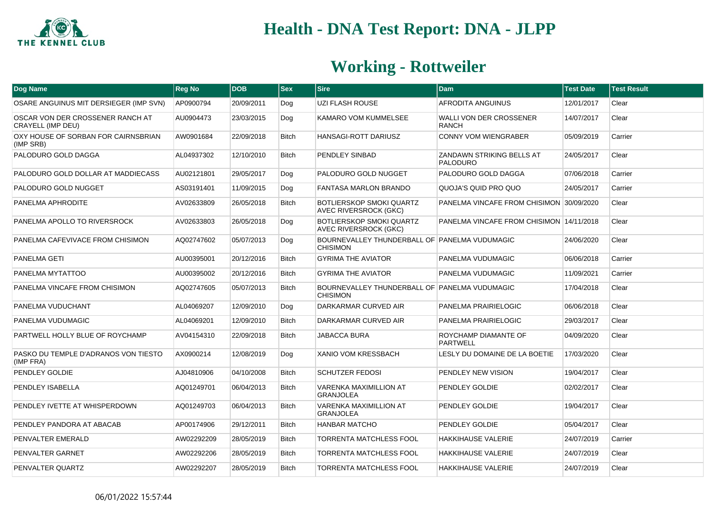

| Dog Name                                              | <b>Reg No</b> | <b>DOB</b> | <b>Sex</b>   | <b>Sire</b>                                                      | <b>Dam</b>                                          | <b>Test Date</b> | <b>Test Result</b> |
|-------------------------------------------------------|---------------|------------|--------------|------------------------------------------------------------------|-----------------------------------------------------|------------------|--------------------|
| OSARE ANGUINUS MIT DERSIEGER (IMP SVN)                | AP0900794     | 20/09/2011 | Dog          | <b>UZI FLASH ROUSE</b>                                           | AFRODITA ANGUINUS                                   | 12/01/2017       | Clear              |
| OSCAR VON DER CROSSENER RANCH AT<br>CRAYELL (IMP DEU) | AU0904473     | 23/03/2015 | Dog          | <b>KAMARO VOM KUMMELSEE</b>                                      | WALLI VON DER CROSSENER<br><b>RANCH</b>             | 14/07/2017       | Clear              |
| OXY HOUSE OF SORBAN FOR CAIRNSBRIAN<br>(IMP SRB)      | AW0901684     | 22/09/2018 | <b>Bitch</b> | HANSAGI-ROTT DARIUSZ                                             | <b>CONNY VOM WIENGRABER</b>                         | 05/09/2019       | Carrier            |
| PALODURO GOLD DAGGA                                   | AL04937302    | 12/10/2010 | Bitch        | PENDLEY SINBAD                                                   | <b>ZANDAWN STRIKING BELLS AT</b><br><b>PALODURO</b> | 24/05/2017       | Clear              |
| PALODURO GOLD DOLLAR AT MADDIECASS                    | AU02121801    | 29/05/2017 | Dog          | PALODURO GOLD NUGGET                                             | PALODURO GOLD DAGGA                                 | 07/06/2018       | Carrier            |
| PALODURO GOLD NUGGET                                  | AS03191401    | 11/09/2015 | Dog          | <b>FANTASA MARLON BRANDO</b>                                     | QUOJA'S QUID PRO QUO                                | 24/05/2017       | Carrier            |
| PANELMA APHRODITE                                     | AV02633809    | 26/05/2018 | <b>Bitch</b> | BOTLIERSKOP SMOKI QUARTZ<br><b>AVEC RIVERSROCK (GKC)</b>         | PANELMA VINCAFE FROM CHISIMON 30/09/2020            |                  | Clear              |
| PANELMA APOLLO TO RIVERSROCK                          | AV02633803    | 26/05/2018 | Dog          | <b>BOTLIERSKOP SMOKI QUARTZ</b><br><b>AVEC RIVERSROCK (GKC)</b>  | PANELMA VINCAFE FROM CHISIMON 14/11/2018            |                  | Clear              |
| PANELMA CAFEVIVACE FROM CHISIMON                      | AQ02747602    | 05/07/2013 | Dog          | BOURNEVALLEY THUNDERBALL OF PANELMA VUDUMAGIC<br><b>CHISIMON</b> |                                                     | 24/06/2020       | Clear              |
| <b>PANELMA GETI</b>                                   | AU00395001    | 20/12/2016 | <b>Bitch</b> | <b>GYRIMA THE AVIATOR</b>                                        | PANELMA VUDUMAGIC                                   | 06/06/2018       | Carrier            |
| PANELMA MYTATTOO                                      | AU00395002    | 20/12/2016 | <b>Bitch</b> | <b>GYRIMA THE AVIATOR</b>                                        | PANELMA VUDUMAGIC                                   | 11/09/2021       | Carrier            |
| PANELMA VINCAFE FROM CHISIMON                         | AQ02747605    | 05/07/2013 | <b>Bitch</b> | BOURNEVALLEY THUNDERBALL OF PANELMA VUDUMAGIC<br><b>CHISIMON</b> |                                                     | 17/04/2018       | Clear              |
| PANELMA VUDUCHANT                                     | AL04069207    | 12/09/2010 | Dog          | DARKARMAR CURVED AIR                                             | PANELMA PRAIRIELOGIC                                | 06/06/2018       | Clear              |
| PANELMA VUDUMAGIC                                     | AL04069201    | 12/09/2010 | <b>Bitch</b> | DARKARMAR CURVED AIR                                             | PANELMA PRAIRIELOGIC                                | 29/03/2017       | Clear              |
| PARTWELL HOLLY BLUE OF ROYCHAMP                       | AV04154310    | 22/09/2018 | <b>Bitch</b> | <b>JABACCA BURA</b>                                              | ROYCHAMP DIAMANTE OF<br><b>PARTWELL</b>             | 04/09/2020       | Clear              |
| PASKO DU TEMPLE D'ADRANOS VON TIESTO<br>(IMP FRA)     | AX0900214     | 12/08/2019 | Dog          | <b>XANIO VOM KRESSBACH</b>                                       | LESLY DU DOMAINE DE LA BOETIE                       | 17/03/2020       | Clear              |
| PENDLEY GOLDIE                                        | AJ04810906    | 04/10/2008 | <b>Bitch</b> | <b>SCHUTZER FEDOSI</b>                                           | PENDLEY NEW VISION                                  | 19/04/2017       | Clear              |
| PENDLEY ISABELLA                                      | AQ01249701    | 06/04/2013 | <b>Bitch</b> | VARENKA MAXIMILLION AT<br><b>GRANJOLEA</b>                       | PENDLEY GOLDIE                                      | 02/02/2017       | Clear              |
| PENDLEY IVETTE AT WHISPERDOWN                         | AQ01249703    | 06/04/2013 | <b>Bitch</b> | <b>VARENKA MAXIMILLION AT</b><br><b>GRANJOLEA</b>                | PENDLEY GOLDIE                                      | 19/04/2017       | Clear              |
| PENDLEY PANDORA AT ABACAB                             | AP00174906    | 29/12/2011 | <b>Bitch</b> | <b>HANBAR MATCHO</b>                                             | PENDLEY GOLDIE                                      | 05/04/2017       | Clear              |
| PENVALTER EMERALD                                     | AW02292209    | 28/05/2019 | <b>Bitch</b> | <b>TORRENTA MATCHLESS FOOL</b>                                   | <b>HAKKIHAUSE VALERIE</b>                           | 24/07/2019       | Carrier            |
| PENVALTER GARNET                                      | AW02292206    | 28/05/2019 | <b>Bitch</b> | <b>TORRENTA MATCHLESS FOOL</b>                                   | HAKKIHAUSE VALERIE                                  | 24/07/2019       | Clear              |
| PENVALTER QUARTZ                                      | AW02292207    | 28/05/2019 | <b>Bitch</b> | <b>TORRENTA MATCHLESS FOOL</b>                                   | <b>HAKKIHAUSE VALERIE</b>                           | 24/07/2019       | Clear              |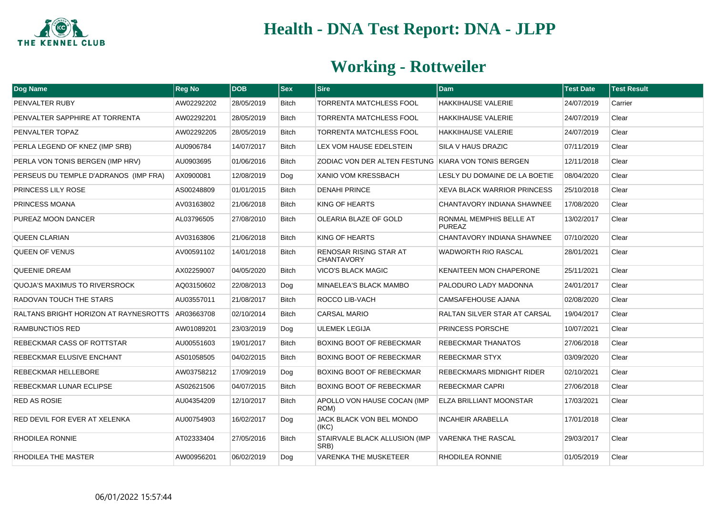

| <b>Dog Name</b>                       | <b>Reg No</b> | <b>DOB</b> | <b>Sex</b>   | <b>Sire</b>                                         | <b>Dam</b>                               | <b>Test Date</b> | <b>Test Result</b> |
|---------------------------------------|---------------|------------|--------------|-----------------------------------------------------|------------------------------------------|------------------|--------------------|
| PENVALTER RUBY                        | AW02292202    | 28/05/2019 | <b>Bitch</b> | <b>TORRENTA MATCHLESS FOOL</b>                      | <b>HAKKIHAUSE VALERIE</b>                | 24/07/2019       | Carrier            |
| PENVALTER SAPPHIRE AT TORRENTA        | AW02292201    | 28/05/2019 | <b>Bitch</b> | <b>TORRENTA MATCHLESS FOOL</b>                      | <b>HAKKIHAUSE VALERIE</b>                | 24/07/2019       | Clear              |
| PENVALTER TOPAZ                       | AW02292205    | 28/05/2019 | Bitch        | <b>TORRENTA MATCHLESS FOOL</b>                      | <b>HAKKIHAUSE VALERIE</b>                | 24/07/2019       | Clear              |
| PERLA LEGEND OF KNEZ (IMP SRB)        | AU0906784     | 14/07/2017 | <b>Bitch</b> | LEX VOM HAUSE EDELSTEIN                             | <b>SILA V HAUS DRAZIC</b>                | 07/11/2019       | Clear              |
| PERLA VON TONIS BERGEN (IMP HRV)      | AU0903695     | 01/06/2016 | <b>Bitch</b> | ZODIAC VON DER ALTEN FESTUNG KIARA VON TONIS BERGEN |                                          | 12/11/2018       | Clear              |
| PERSEUS DU TEMPLE D'ADRANOS (IMP FRA) | AX0900081     | 12/08/2019 | Dog          | XANIO VOM KRESSBACH                                 | LESLY DU DOMAINE DE LA BOETIE            | 08/04/2020       | Clear              |
| <b>PRINCESS LILY ROSE</b>             | AS00248809    | 01/01/2015 | <b>Bitch</b> | <b>DENAHI PRINCE</b>                                | <b>XEVA BLACK WARRIOR PRINCESS</b>       | 25/10/2018       | Clear              |
| PRINCESS MOANA                        | AV03163802    | 21/06/2018 | <b>Bitch</b> | KING OF HEARTS                                      | CHANTAVORY INDIANA SHAWNEE               | 17/08/2020       | Clear              |
| PUREAZ MOON DANCER                    | AL03796505    | 27/08/2010 | <b>Bitch</b> | OLEARIA BLAZE OF GOLD                               | RONMAL MEMPHIS BELLE AT<br><b>PUREAZ</b> | 13/02/2017       | Clear              |
| <b>QUEEN CLARIAN</b>                  | AV03163806    | 21/06/2018 | <b>Bitch</b> | KING OF HEARTS                                      | CHANTAVORY INDIANA SHAWNEE               | 07/10/2020       | Clear              |
| <b>QUEEN OF VENUS</b>                 | AV00591102    | 14/01/2018 | <b>Bitch</b> | RENOSAR RISING STAR AT<br><b>CHANTAVORY</b>         | <b>WADWORTH RIO RASCAL</b>               | 28/01/2021       | Clear              |
| <b>QUEENIE DREAM</b>                  | AX02259007    | 04/05/2020 | Bitch        | <b>VICO'S BLACK MAGIC</b>                           | <b>KENAITEEN MON CHAPERONE</b>           | 25/11/2021       | Clear              |
| QUOJA'S MAXIMUS TO RIVERSROCK         | AQ03150602    | 22/08/2013 | Dog          | MINAELEA'S BLACK MAMBO                              | PALODURO LADY MADONNA                    | 24/01/2017       | Clear              |
| RADOVAN TOUCH THE STARS               | AU03557011    | 21/08/2017 | <b>Bitch</b> | ROCCO LIB-VACH                                      | CAMSAFEHOUSE AJANA                       | 02/08/2020       | Clear              |
| RALTANS BRIGHT HORIZON AT RAYNESROTTS | AR03663708    | 02/10/2014 | <b>Bitch</b> | <b>CARSAL MARIO</b>                                 | RALTAN SILVER STAR AT CARSAL             | 19/04/2017       | Clear              |
| <b>RAMBUNCTIOS RED</b>                | AW01089201    | 23/03/2019 | Dog          | <b>ULEMEK LEGIJA</b>                                | PRINCESS PORSCHE                         | 10/07/2021       | Clear              |
| REBECKMAR CASS OF ROTTSTAR            | AU00551603    | 19/01/2017 | Bitch        | BOXING BOOT OF REBECKMAR                            | <b>REBECKMAR THANATOS</b>                | 27/06/2018       | Clear              |
| REBECKMAR ELUSIVE ENCHANT             | AS01058505    | 04/02/2015 | Bitch        | BOXING BOOT OF REBECKMAR                            | REBECKMAR STYX                           | 03/09/2020       | Clear              |
| REBECKMAR HELLEBORE                   | AW03758212    | 17/09/2019 | Dog          | BOXING BOOT OF REBECKMAR                            | <b>REBECKMARS MIDNIGHT RIDER</b>         | 02/10/2021       | Clear              |
| REBECKMAR LUNAR ECLIPSE               | AS02621506    | 04/07/2015 | <b>Bitch</b> | BOXING BOOT OF REBECKMAR                            | <b>REBECKMAR CAPRI</b>                   | 27/06/2018       | Clear              |
| <b>RED AS ROSIE</b>                   | AU04354209    | 12/10/2017 | <b>Bitch</b> | APOLLO VON HAUSE COCAN (IMP<br>ROM)                 | <b>ELZA BRILLIANT MOONSTAR</b>           | 17/03/2021       | Clear              |
| RED DEVIL FOR EVER AT XELENKA         | AU00754903    | 16/02/2017 | Dog          | JACK BLACK VON BEL MONDO<br>(IKC)                   | <b>INCAHEIR ARABELLA</b>                 | 17/01/2018       | Clear              |
| RHODILEA RONNIE                       | AT02333404    | 27/05/2016 | Bitch        | STAIRVALE BLACK ALLUSION (IMP<br>SRB)               | <b>VARENKA THE RASCAL</b>                | 29/03/2017       | Clear              |
| RHODILEA THE MASTER                   | AW00956201    | 06/02/2019 | Dog          | <b>VARENKA THE MUSKETEER</b>                        | RHODILEA RONNIE                          | 01/05/2019       | Clear              |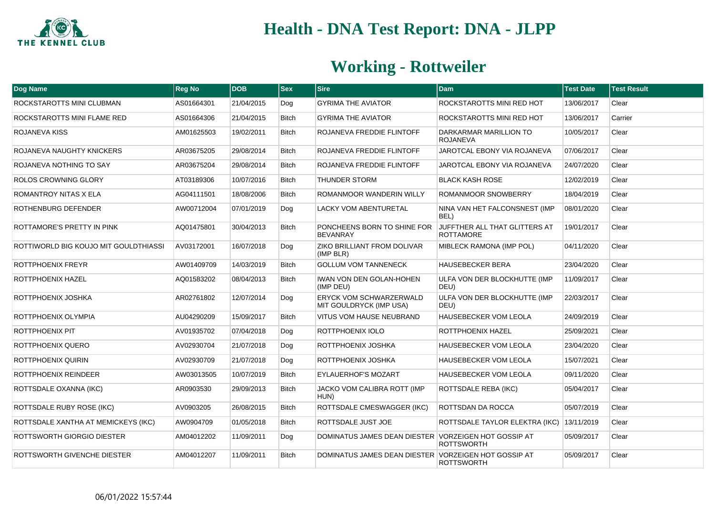

| Dog Name                              | <b>Reg No</b> | <b>DOB</b> | <b>Sex</b>   | <b>Sire</b>                                               | <b>Dam</b>                                        | <b>Test Date</b> | <b>Test Result</b> |
|---------------------------------------|---------------|------------|--------------|-----------------------------------------------------------|---------------------------------------------------|------------------|--------------------|
| ROCKSTAROTTS MINI CLUBMAN             | AS01664301    | 21/04/2015 | Dog          | <b>GYRIMA THE AVIATOR</b>                                 | ROCKSTAROTTS MINI RED HOT                         | 13/06/2017       | Clear              |
| ROCKSTAROTTS MINI FLAME RED           | AS01664306    | 21/04/2015 | <b>Bitch</b> | <b>GYRIMA THE AVIATOR</b>                                 | ROCKSTAROTTS MINI RED HOT                         | 13/06/2017       | Carrier            |
| ROJANEVA KISS                         | AM01625503    | 19/02/2011 | <b>Bitch</b> | ROJANEVA FREDDIE FLINTOFF                                 | DARKARMAR MARILLION TO<br><b>ROJANEVA</b>         | 10/05/2017       | Clear              |
| ROJANEVA NAUGHTY KNICKERS             | AR03675205    | 29/08/2014 | <b>Bitch</b> | ROJANEVA FREDDIE FLINTOFF                                 | JAROTCAL EBONY VIA ROJANEVA                       | 07/06/2017       | Clear              |
| ROJANEVA NOTHING TO SAY               | AR03675204    | 29/08/2014 | <b>Bitch</b> | ROJANEVA FREDDIE FLINTOFF                                 | JAROTCAL EBONY VIA ROJANEVA                       | 24/07/2020       | Clear              |
| ROLOS CROWNING GLORY                  | AT03189306    | 10/07/2016 | <b>Bitch</b> | THUNDER STORM                                             | <b>BLACK KASH ROSE</b>                            | 12/02/2019       | Clear              |
| ROMANTROY NITAS X ELA                 | AG04111501    | 18/08/2006 | <b>Bitch</b> | ROMANMOOR WANDERIN WILLY                                  | ROMANMOOR SNOWBERRY                               | 18/04/2019       | Clear              |
| ROTHENBURG DEFENDER                   | AW00712004    | 07/01/2019 | Dog          | LACKY VOM ABENTURETAL                                     | NINA VAN HET FALCONSNEST (IMP<br>BEL)             | 08/01/2020       | Clear              |
| ROTTAMORE'S PRETTY IN PINK            | AQ01475801    | 30/04/2013 | <b>Bitch</b> | PONCHEENS BORN TO SHINE FOR<br><b>BEVANRAY</b>            | JUFFTHER ALL THAT GLITTERS AT<br><b>ROTTAMORE</b> | 19/01/2017       | Clear              |
| ROTTIWORLD BIG KOUJO MIT GOULDTHIASSI | AV03172001    | 16/07/2018 | Dog          | ZIKO BRILLIANT FROM DOLIVAR<br>(IMP BLR)                  | MIBLECK RAMONA (IMP POL)                          | 04/11/2020       | Clear              |
| ROTTPHOENIX FREYR                     | AW01409709    | 14/03/2019 | <b>Bitch</b> | <b>GOLLUM VOM TANNENECK</b>                               | <b>HAUSEBECKER BERA</b>                           | 23/04/2020       | Clear              |
| ROTTPHOENIX HAZEL                     | AQ01583202    | 08/04/2013 | <b>Bitch</b> | IWAN VON DEN GOLAN-HOHEN<br>(IMP DEU)                     | ULFA VON DER BLOCKHUTTE (IMP<br>DEU)              | 11/09/2017       | Clear              |
| ROTTPHOENIX JOSHKA                    | AR02761802    | 12/07/2014 | Dog          | <b>ERYCK VOM SCHWARZERWALD</b><br>MIT GOULDRYCK (IMP USA) | ULFA VON DER BLOCKHUTTE (IMP<br>DEU)              | 22/03/2017       | Clear              |
| ROTTPHOENIX OLYMPIA                   | AU04290209    | 15/09/2017 | <b>Bitch</b> | VITUS VOM HAUSE NEUBRAND                                  | <b>HAUSEBECKER VOM LEOLA</b>                      | 24/09/2019       | Clear              |
| ROTTPHOENIX PIT                       | AV01935702    | 07/04/2018 | Dog          | ROTTPHOENIX IOLO                                          | <b>ROTTPHOENIX HAZEL</b>                          | 25/09/2021       | Clear              |
| ROTTPHOENIX QUERO                     | AV02930704    | 21/07/2018 | Dog          | ROTTPHOENIX JOSHKA                                        | <b>HAUSEBECKER VOM LEOLA</b>                      | 23/04/2020       | Clear              |
| ROTTPHOENIX QUIRIN                    | AV02930709    | 21/07/2018 | Dog          | ROTTPHOENIX JOSHKA                                        | <b>HAUSEBECKER VOM LEOLA</b>                      | 15/07/2021       | Clear              |
| ROTTPHOENIX REINDEER                  | AW03013505    | 10/07/2019 | <b>Bitch</b> | EYLAUERHOF'S MOZART                                       | HAUSEBECKER VOM LEOLA                             | 09/11/2020       | Clear              |
| ROTTSDALE OXANNA (IKC)                | AR0903530     | 29/09/2013 | <b>Bitch</b> | JACKO VOM CALIBRA ROTT (IMP<br>HUN)                       | <b>ROTTSDALE REBA (IKC)</b>                       | 05/04/2017       | Clear              |
| ROTTSDALE RUBY ROSE (IKC)             | AV0903205     | 26/08/2015 | <b>Bitch</b> | ROTTSDALE CMESWAGGER (IKC)                                | ROTTSDAN DA ROCCA                                 | 05/07/2019       | Clear              |
| ROTTSDALE XANTHA AT MEMICKEYS (IKC)   | AW0904709     | 01/05/2018 | <b>Bitch</b> | ROTTSDALE JUST JOE                                        | ROTTSDALE TAYLOR ELEKTRA (IKC)                    | 13/11/2019       | Clear              |
| ROTTSWORTH GIORGIO DIESTER            | AM04012202    | 11/09/2011 | Dog          | DOMINATUS JAMES DEAN DIESTER VORZEIGEN HOT GOSSIP AT      | <b>ROTTSWORTH</b>                                 | 05/09/2017       | Clear              |
| ROTTSWORTH GIVENCHE DIESTER           | AM04012207    | 11/09/2011 | <b>Bitch</b> | DOMINATUS JAMES DEAN DIESTER VORZEIGEN HOT GOSSIP AT      | <b>ROTTSWORTH</b>                                 | 05/09/2017       | Clear              |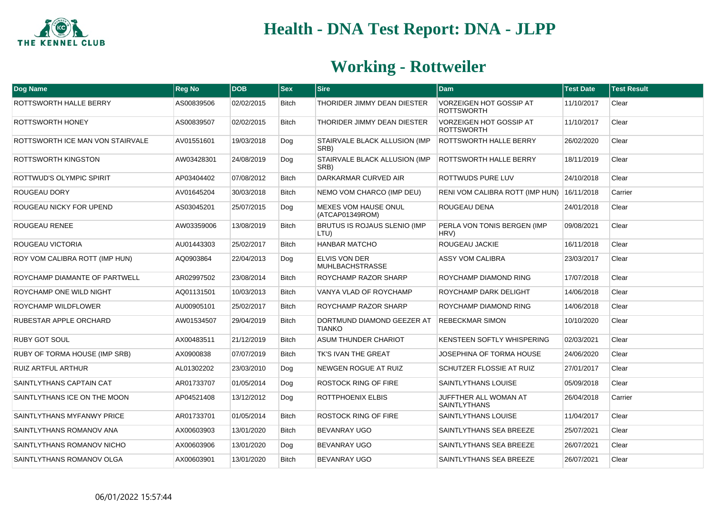

| <b>Dog Name</b>                  | <b>Reg No</b> | <b>DOB</b> | <b>Sex</b>   | <b>Sire</b>                                    | <b>Dam</b>                                          | <b>Test Date</b> | <b>Test Result</b> |
|----------------------------------|---------------|------------|--------------|------------------------------------------------|-----------------------------------------------------|------------------|--------------------|
| ROTTSWORTH HALLE BERRY           | AS00839506    | 02/02/2015 | Bitch        | THORIDER JIMMY DEAN DIESTER                    | VORZEIGEN HOT GOSSIP AT<br><b>ROTTSWORTH</b>        | 11/10/2017       | Clear              |
| ROTTSWORTH HONEY                 | AS00839507    | 02/02/2015 | <b>Bitch</b> | THORIDER JIMMY DEAN DIESTER                    | <b>VORZEIGEN HOT GOSSIP AT</b><br><b>ROTTSWORTH</b> | 11/10/2017       | Clear              |
| ROTTSWORTH ICE MAN VON STAIRVALE | AV01551601    | 19/03/2018 | Dog          | STAIRVALE BLACK ALLUSION (IMP<br>SRB)          | <b>ROTTSWORTH HALLE BERRY</b>                       | 26/02/2020       | Clear              |
| ROTTSWORTH KINGSTON              | AW03428301    | 24/08/2019 | Dog          | STAIRVALE BLACK ALLUSION (IMP<br>SRB)          | <b>ROTTSWORTH HALLE BERRY</b>                       | 18/11/2019       | Clear              |
| ROTTWUD'S OLYMPIC SPIRIT         | AP03404402    | 07/08/2012 | <b>Bitch</b> | DARKARMAR CURVED AIR                           | ROTTWUDS PURE LUV                                   | 24/10/2018       | Clear              |
| ROUGEAU DORY                     | AV01645204    | 30/03/2018 | Bitch        | NEMO VOM CHARCO (IMP DEU)                      | RENI VOM CALIBRA ROTT (IMP HUN)                     | 16/11/2018       | Carrier            |
| ROUGEAU NICKY FOR UPEND          | AS03045201    | 25/07/2015 | Dog          | MEXES VOM HAUSE ONUL<br>(ATCAP01349ROM)        | ROUGEAU DENA                                        | 24/01/2018       | Clear              |
| ROUGEAU RENEE                    | AW03359006    | 13/08/2019 | <b>Bitch</b> | BRUTUS IS ROJAUS SLENIO (IMP<br>LTU)           | PERLA VON TONIS BERGEN (IMP<br>HRV)                 | 09/08/2021       | Clear              |
| ROUGEAU VICTORIA                 | AU01443303    | 25/02/2017 | <b>Bitch</b> | <b>HANBAR MATCHO</b>                           | <b>ROUGEAU JACKIE</b>                               | 16/11/2018       | Clear              |
| ROY VOM CALIBRA ROTT (IMP HUN)   | AQ0903864     | 22/04/2013 | Dog          | <b>ELVIS VON DER</b><br><b>MUHLBACHSTRASSE</b> | <b>ASSY VOM CALIBRA</b>                             | 23/03/2017       | Clear              |
| ROYCHAMP DIAMANTE OF PARTWELL    | AR02997502    | 23/08/2014 | <b>Bitch</b> | ROYCHAMP RAZOR SHARP                           | ROYCHAMP DIAMOND RING                               | 17/07/2018       | Clear              |
| ROYCHAMP ONE WILD NIGHT          | AQ01131501    | 10/03/2013 | <b>Bitch</b> | VANYA VLAD OF ROYCHAMP                         | ROYCHAMP DARK DELIGHT                               | 14/06/2018       | Clear              |
| ROYCHAMP WILDFLOWER              | AU00905101    | 25/02/2017 | <b>Bitch</b> | ROYCHAMP RAZOR SHARP                           | ROYCHAMP DIAMOND RING                               | 14/06/2018       | Clear              |
| RUBESTAR APPLE ORCHARD           | AW01534507    | 29/04/2019 | <b>Bitch</b> | DORTMUND DIAMOND GEEZER AT<br><b>TIANKO</b>    | <b>REBECKMAR SIMON</b>                              | 10/10/2020       | Clear              |
| <b>RUBY GOT SOUL</b>             | AX00483511    | 21/12/2019 | <b>Bitch</b> | <b>ASUM THUNDER CHARIOT</b>                    | KENSTEEN SOFTLY WHISPERING                          | 02/03/2021       | Clear              |
| RUBY OF TORMA HOUSE (IMP SRB)    | AX0900838     | 07/07/2019 | <b>Bitch</b> | TK'S IVAN THE GREAT                            | JOSEPHINA OF TORMA HOUSE                            | 24/06/2020       | Clear              |
| <b>RUIZ ARTFUL ARTHUR</b>        | AL01302202    | 23/03/2010 | Dog          | <b>NEWGEN ROGUE AT RUIZ</b>                    | <b>SCHUTZER FLOSSIE AT RUIZ</b>                     | 27/01/2017       | Clear              |
| SAINTLYTHANS CAPTAIN CAT         | AR01733707    | 01/05/2014 | Dog          | ROSTOCK RING OF FIRE                           | <b>SAINTLYTHANS LOUISE</b>                          | 05/09/2018       | Clear              |
| SAINTLYTHANS ICE ON THE MOON     | AP04521408    | 13/12/2012 | Dog          | ROTTPHOENIX ELBIS                              | JUFFTHER ALL WOMAN AT<br><b>SAINTLYTHANS</b>        | 26/04/2018       | Carrier            |
| SAINTLYTHANS MYFANWY PRICE       | AR01733701    | 01/05/2014 | <b>Bitch</b> | <b>ROSTOCK RING OF FIRE</b>                    | <b>SAINTLYTHANS LOUISE</b>                          | 11/04/2017       | Clear              |
| SAINTLYTHANS ROMANOV ANA         | AX00603903    | 13/01/2020 | <b>Bitch</b> | BEVANRAY UGO                                   | SAINTLYTHANS SEA BREEZE                             | 25/07/2021       | Clear              |
| SAINTLYTHANS ROMANOV NICHO       | AX00603906    | 13/01/2020 | Dog          | <b>BEVANRAY UGO</b>                            | SAINTLYTHANS SEA BREEZE                             | 26/07/2021       | Clear              |
| SAINTLYTHANS ROMANOV OLGA        | AX00603901    | 13/01/2020 | <b>Bitch</b> | <b>BEVANRAY UGO</b>                            | SAINTLYTHANS SEA BREEZE                             | 26/07/2021       | Clear              |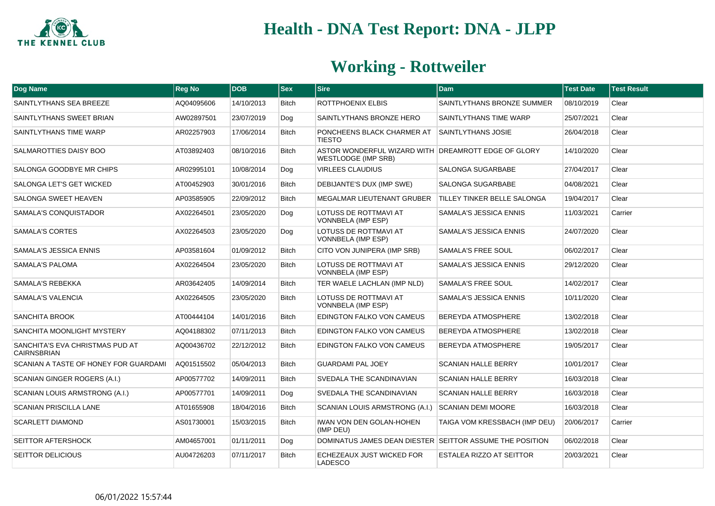

| <b>Dog Name</b>                                       | <b>Reg No</b> | <b>DOB</b> | $ $ Sex      | <b>Sire</b>                                                                       | <b>Dam</b>                      | <b>Test Date</b> | <b>Test Result</b> |
|-------------------------------------------------------|---------------|------------|--------------|-----------------------------------------------------------------------------------|---------------------------------|------------------|--------------------|
| SAINTLYTHANS SEA BREEZE                               | AQ04095606    | 14/10/2013 | <b>Bitch</b> | ROTTPHOENIX ELBIS                                                                 | SAINTLYTHANS BRONZE SUMMER      | 08/10/2019       | Clear              |
| SAINTLYTHANS SWEET BRIAN                              | AW02897501    | 23/07/2019 | Dog          | SAINTLYTHANS BRONZE HERO                                                          | SAINTLYTHANS TIME WARP          | 25/07/2021       | Clear              |
| SAINTLYTHANS TIME WARP                                | AR02257903    | 17/06/2014 | <b>Bitch</b> | PONCHEENS BLACK CHARMER AT<br><b>TIESTO</b>                                       | SAINTLYTHANS JOSIE              | 26/04/2018       | Clear              |
| SALMAROTTIES DAISY BOO                                | AT03892403    | 08/10/2016 | <b>Bitch</b> | ASTOR WONDERFUL WIZARD WITH DREAMROTT EDGE OF GLORY<br><b>WESTLODGE (IMP SRB)</b> |                                 | 14/10/2020       | Clear              |
| SALONGA GOODBYE MR CHIPS                              | AR02995101    | 10/08/2014 | Dog          | <b>VIRLEES CLAUDIUS</b>                                                           | SALONGA SUGARBABE               | 27/04/2017       | Clear              |
| SALONGA LET'S GET WICKED                              | AT00452903    | 30/01/2016 | <b>Bitch</b> | DEBIJANTE'S DUX (IMP SWE)                                                         | SALONGA SUGARBABE               | 04/08/2021       | Clear              |
| SALONGA SWEET HEAVEN                                  | AP03585905    | 22/09/2012 | <b>Bitch</b> | <b>MEGALMAR LIEUTENANT GRUBER</b>                                                 | TILLEY TINKER BELLE SALONGA     | 19/04/2017       | Clear              |
| SAMALA'S CONQUISTADOR                                 | AX02264501    | 23/05/2020 | Dog          | LOTUSS DE ROTTMAVI AT<br>VONNBELA (IMP ESP)                                       | SAMALA'S JESSICA ENNIS          | 11/03/2021       | Carrier            |
| SAMALA'S CORTES                                       | AX02264503    | 23/05/2020 | Dog          | LOTUSS DE ROTTMAVI AT<br><b>VONNBELA (IMP ESP)</b>                                | SAMALA'S JESSICA ENNIS          | 24/07/2020       | Clear              |
| SAMALA'S JESSICA ENNIS                                | AP03581604    | 01/09/2012 | <b>Bitch</b> | CITO VON JUNIPERA (IMP SRB)                                                       | SAMALA'S FREE SOUL              | 06/02/2017       | Clear              |
| SAMALA'S PALOMA                                       | AX02264504    | 23/05/2020 | <b>Bitch</b> | LOTUSS DE ROTTMAVI AT<br><b>VONNBELA (IMP ESP)</b>                                | SAMALA'S JESSICA ENNIS          | 29/12/2020       | Clear              |
| SAMALA'S REBEKKA                                      | AR03642405    | 14/09/2014 | <b>Bitch</b> | TER WAELE LACHLAN (IMP NLD)                                                       | <b>SAMALA'S FREE SOUL</b>       | 14/02/2017       | Clear              |
| SAMALA'S VALENCIA                                     | AX02264505    | 23/05/2020 | <b>Bitch</b> | LOTUSS DE ROTTMAVI AT<br>VONNBELA (IMP ESP)                                       | SAMALA'S JESSICA ENNIS          | 10/11/2020       | Clear              |
| <b>SANCHITA BROOK</b>                                 | AT00444104    | 14/01/2016 | <b>Bitch</b> | EDINGTON FALKO VON CAMEUS                                                         | <b>BEREYDA ATMOSPHERE</b>       | 13/02/2018       | Clear              |
| SANCHITA MOONLIGHT MYSTERY                            | AQ04188302    | 07/11/2013 | <b>Bitch</b> | EDINGTON FALKO VON CAMEUS                                                         | BEREYDA ATMOSPHERE              | 13/02/2018       | Clear              |
| SANCHITA'S EVA CHRISTMAS PUD AT<br><b>CAIRNSBRIAN</b> | AQ00436702    | 22/12/2012 | <b>Bitch</b> | EDINGTON FALKO VON CAMEUS                                                         | <b>BEREYDA ATMOSPHERE</b>       | 19/05/2017       | Clear              |
| SCANIAN A TASTE OF HONEY FOR GUARDAMI                 | AQ01515502    | 05/04/2013 | <b>Bitch</b> | <b>GUARDAMI PAL JOEY</b>                                                          | <b>SCANIAN HALLE BERRY</b>      | 10/01/2017       | Clear              |
| <b>SCANIAN GINGER ROGERS (A.I.)</b>                   | AP00577702    | 14/09/2011 | <b>Bitch</b> | SVEDALA THE SCANDINAVIAN                                                          | <b>SCANIAN HALLE BERRY</b>      | 16/03/2018       | Clear              |
| <b>SCANIAN LOUIS ARMSTRONG (A.I.)</b>                 | AP00577701    | 14/09/2011 | Dog          | SVEDALA THE SCANDINAVIAN                                                          | <b>SCANIAN HALLE BERRY</b>      | 16/03/2018       | Clear              |
| <b>SCANIAN PRISCILLA LANE</b>                         | AT01655908    | 18/04/2016 | <b>Bitch</b> | SCANIAN LOUIS ARMSTRONG (A.I.)                                                    | <b>SCANIAN DEMI MOORE</b>       | 16/03/2018       | Clear              |
| <b>SCARLETT DIAMOND</b>                               | AS01730001    | 15/03/2015 | <b>Bitch</b> | IWAN VON DEN GOLAN-HOHEN<br>(IMP DEU)                                             | TAIGA VOM KRESSBACH (IMP DEU)   | 20/06/2017       | Carrier            |
| <b>SEITTOR AFTERSHOCK</b>                             | AM04657001    | 01/11/2011 | Dog          | DOMINATUS JAMES DEAN DIESTER SEITTOR ASSUME THE POSITION                          |                                 | 06/02/2018       | Clear              |
| <b>SEITTOR DELICIOUS</b>                              | AU04726203    | 07/11/2017 | <b>Bitch</b> | ECHEZEAUX JUST WICKED FOR<br>LADESCO                                              | <b>ESTALEA RIZZO AT SEITTOR</b> | 20/03/2021       | Clear              |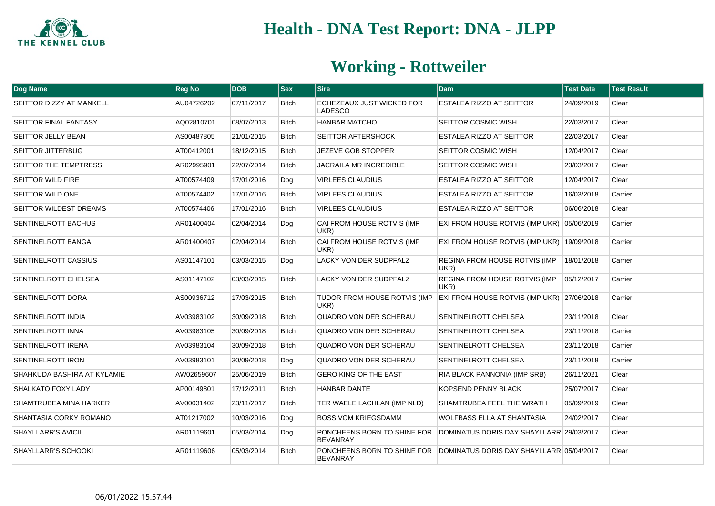

| Dog Name                     | <b>Reg No</b> | <b>DOB</b> | $ s_{ex} $   | <b>Sire</b>                                    | <b>Dam</b>                                                           | <b>Test Date</b> | <b>Test Result</b> |
|------------------------------|---------------|------------|--------------|------------------------------------------------|----------------------------------------------------------------------|------------------|--------------------|
| SEITTOR DIZZY AT MANKELL     | AU04726202    | 07/11/2017 | <b>Bitch</b> | ECHEZEAUX JUST WICKED FOR<br>LADESCO           | <b>ESTALEA RIZZO AT SEITTOR</b>                                      | 24/09/2019       | Clear              |
| SEITTOR FINAL FANTASY        | AQ02810701    | 08/07/2013 | <b>Bitch</b> | HANBAR MATCHO                                  | <b>SEITTOR COSMIC WISH</b>                                           | 22/03/2017       | Clear              |
| SEITTOR JELLY BEAN           | AS00487805    | 21/01/2015 | <b>Bitch</b> | SEITTOR AFTERSHOCK                             | <b>ESTALEA RIZZO AT SEITTOR</b>                                      | 22/03/2017       | Clear              |
| <b>SEITTOR JITTERBUG</b>     | AT00412001    | 18/12/2015 | <b>Bitch</b> | JEZEVE GOB STOPPER                             | <b>SEITTOR COSMIC WISH</b>                                           | 12/04/2017       | Clear              |
| <b>SEITTOR THE TEMPTRESS</b> | AR02995901    | 22/07/2014 | <b>Bitch</b> | JACRAILA MR INCREDIBLE                         | <b>SEITTOR COSMIC WISH</b>                                           | 23/03/2017       | Clear              |
| <b>SEITTOR WILD FIRE</b>     | AT00574409    | 17/01/2016 | Dog          | <b>VIRLEES CLAUDIUS</b>                        | <b>ESTALEA RIZZO AT SEITTOR</b>                                      | 12/04/2017       | Clear              |
| SEITTOR WILD ONE             | AT00574402    | 17/01/2016 | <b>Bitch</b> | <b>VIRLEES CLAUDIUS</b>                        | <b>ESTALEA RIZZO AT SEITTOR</b>                                      | 16/03/2018       | Carrier            |
| SEITTOR WILDEST DREAMS       | AT00574406    | 17/01/2016 | <b>Bitch</b> | <b>VIRLEES CLAUDIUS</b>                        | ESTALEA RIZZO AT SEITTOR                                             | 06/06/2018       | Clear              |
| SENTINELROTT BACHUS          | AR01400404    | 02/04/2014 | Dog          | CAI FROM HOUSE ROTVIS (IMP<br>UKR)             | EXI FROM HOUSE ROTVIS (IMP UKR) 05/06/2019                           |                  | Carrier            |
| <b>SENTINELROTT BANGA</b>    | AR01400407    | 02/04/2014 | <b>Bitch</b> | CAI FROM HOUSE ROTVIS (IMP<br>UKR)             | EXI FROM HOUSE ROTVIS (IMP UKR) 19/09/2018                           |                  | Carrier            |
| <b>SENTINELROTT CASSIUS</b>  | AS01147101    | 03/03/2015 | Dog          | LACKY VON DER SUDPFALZ                         | <b>REGINA FROM HOUSE ROTVIS (IMP</b><br>UKR)                         | 18/01/2018       | Carrier            |
| SENTINELROTT CHELSEA         | AS01147102    | 03/03/2015 | <b>Bitch</b> | <b>LACKY VON DER SUDPFALZ</b>                  | <b>REGINA FROM HOUSE ROTVIS (IMP)</b><br>UKR)                        | 05/12/2017       | Carrier            |
| SENTINELROTT DORA            | AS00936712    | 17/03/2015 | <b>Bitch</b> | TUDOR FROM HOUSE ROTVIS (IMP<br>UKR)           | EXI FROM HOUSE ROTVIS (IMP UKR) 27/06/2018                           |                  | Carrier            |
| <b>SENTINELROTT INDIA</b>    | AV03983102    | 30/09/2018 | <b>Bitch</b> | QUADRO VON DER SCHERAU                         | SENTINELROTT CHELSEA                                                 | 23/11/2018       | Clear              |
| <b>SENTINELROTT INNA</b>     | AV03983105    | 30/09/2018 | <b>Bitch</b> | QUADRO VON DER SCHERAU                         | SENTINELROTT CHELSEA                                                 | 23/11/2018       | Carrier            |
| SENTINELROTT IRENA           | AV03983104    | 30/09/2018 | <b>Bitch</b> | QUADRO VON DER SCHERAU                         | SENTINELROTT CHELSEA                                                 | 23/11/2018       | Carrier            |
| SENTINELROTT IRON            | AV03983101    | 30/09/2018 | Dog          | QUADRO VON DER SCHERAU                         | SENTINELROTT CHELSEA                                                 | 23/11/2018       | Carrier            |
| SHAHKUDA BASHIRA AT KYLAMIE  | AW02659607    | 25/06/2019 | <b>Bitch</b> | <b>GERO KING OF THE EAST</b>                   | RIA BLACK PANNONIA (IMP SRB)                                         | 26/11/2021       | Clear              |
| <b>SHALKATO FOXY LADY</b>    | AP00149801    | 17/12/2011 | <b>Bitch</b> | <b>HANBAR DANTE</b>                            | KOPSEND PENNY BLACK                                                  | 25/07/2017       | Clear              |
| SHAMTRUBEA MINA HARKER       | AV00031402    | 23/11/2017 | <b>Bitch</b> | TER WAELE LACHLAN (IMP NLD)                    | SHAMTRUBEA FEEL THE WRATH                                            | 05/09/2019       | Clear              |
| SHANTASIA CORKY ROMANO       | AT01217002    | 10/03/2016 | Dog          | <b>BOSS VOM KRIEGSDAMM</b>                     | <b>WOLFBASS ELLA AT SHANTASIA</b>                                    | 24/02/2017       | Clear              |
| <b>SHAYLLARR'S AVICII</b>    | AR01119601    | 05/03/2014 | Dog          | PONCHEENS BORN TO SHINE FOR<br><b>BEVANRAY</b> | DOMINATUS DORIS DAY SHAYLLARR 29/03/2017                             |                  | Clear              |
| SHAYLLARR'S SCHOOKI          | AR01119606    | 05/03/2014 | <b>Bitch</b> | <b>BEVANRAY</b>                                | PONCHEENS BORN TO SHINE FOR DOMINATUS DORIS DAY SHAYLLARR 05/04/2017 |                  | Clear              |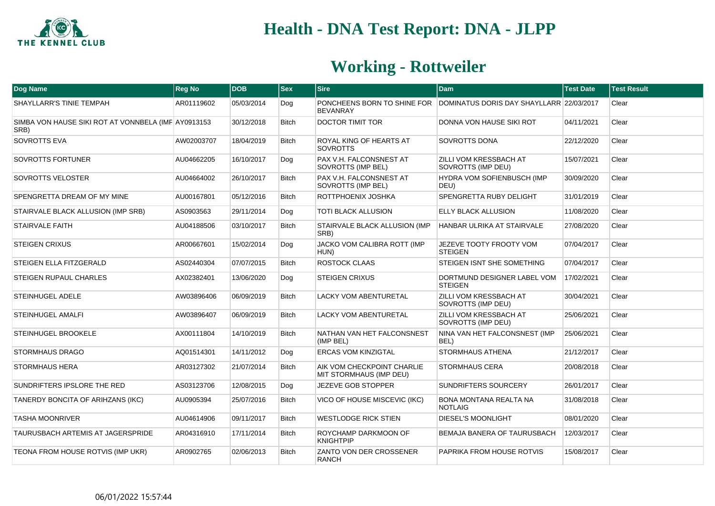

| <b>Dog Name</b>                                             | <b>Reg No</b> | <b>DOB</b> | $ s_{ex} $   | <b>Sire</b>                                           | <b>Dam</b>                                                           | <b>Test Date</b> | <b>Test Result</b> |
|-------------------------------------------------------------|---------------|------------|--------------|-------------------------------------------------------|----------------------------------------------------------------------|------------------|--------------------|
| <b>SHAYLLARR'S TINIE TEMPAH</b>                             | AR01119602    | 05/03/2014 | Dog          | <b>BEVANRAY</b>                                       | PONCHEENS BORN TO SHINE FOR DOMINATUS DORIS DAY SHAYLLARR 22/03/2017 |                  | Clear              |
| SIMBA VON HAUSE SIKI ROT AT VONNBELA (IMF AY0913153<br>SRB) |               | 30/12/2018 | <b>Bitch</b> | <b>DOCTOR TIMIT TOR</b>                               | DONNA VON HAUSE SIKI ROT                                             | 04/11/2021       | Clear              |
| SOVROTTS EVA                                                | AW02003707    | 18/04/2019 | <b>Bitch</b> | ROYAL KING OF HEARTS AT<br><b>SOVROTTS</b>            | <b>SOVROTTS DONA</b>                                                 | 22/12/2020       | Clear              |
| <b>SOVROTTS FORTUNER</b>                                    | AU04662205    | 16/10/2017 | Dog          | PAX V.H. FALCONSNEST AT<br>SOVROTTS (IMP BEL)         | ZILLI VOM KRESSBACH AT<br>SOVROTTS (IMP DEU)                         | 15/07/2021       | Clear              |
| SOVROTTS VELOSTER                                           | AU04664002    | 26/10/2017 | <b>Bitch</b> | PAX V.H. FALCONSNEST AT<br>SOVROTTS (IMP BEL)         | HYDRA VOM SOFIENBUSCH (IMP<br>DEU)                                   | 30/09/2020       | Clear              |
| <b>SPENGRETTA DREAM OF MY MINE</b>                          | AU00167801    | 05/12/2016 | <b>Bitch</b> | ROTTPHOENIX JOSHKA                                    | SPENGRETTA RUBY DELIGHT                                              | 31/01/2019       | Clear              |
| STAIRVALE BLACK ALLUSION (IMP SRB)                          | AS0903563     | 29/11/2014 | Dog          | <b>TOTI BLACK ALLUSION</b>                            | <b>ELLY BLACK ALLUSION</b>                                           | 11/08/2020       | Clear              |
| <b>STAIRVALE FAITH</b>                                      | AU04188506    | 03/10/2017 | <b>Bitch</b> | STAIRVALE BLACK ALLUSION (IMP<br>SRB)                 | HANBAR ULRIKA AT STAIRVALE                                           | 27/08/2020       | Clear              |
| <b>STEIGEN CRIXUS</b>                                       | AR00667601    | 15/02/2014 | Dog          | JACKO VOM CALIBRA ROTT (IMP<br>HUN)                   | JEZEVE TOOTY FROOTY VOM<br><b>STEIGEN</b>                            | 07/04/2017       | Clear              |
| STEIGEN ELLA FITZGERALD                                     | AS02440304    | 07/07/2015 | <b>Bitch</b> | ROSTOCK CLAAS                                         | STEIGEN ISNT SHE SOMETHING                                           | 07/04/2017       | Clear              |
| <b>STEIGEN RUPAUL CHARLES</b>                               | AX02382401    | 13/06/2020 | Dog          | <b>STEIGEN CRIXUS</b>                                 | DORTMUND DESIGNER LABEL VOM<br><b>STEIGEN</b>                        | 17/02/2021       | Clear              |
| <b>STEINHUGEL ADELE</b>                                     | AW03896406    | 06/09/2019 | <b>Bitch</b> | <b>LACKY VOM ABENTURETAL</b>                          | <b>ZILLI VOM KRESSBACH AT</b><br>SOVROTTS (IMP DEU)                  | 30/04/2021       | Clear              |
| STEINHUGEL AMALFI                                           | AW03896407    | 06/09/2019 | <b>Bitch</b> | <b>LACKY VOM ABENTURETAL</b>                          | ZILLI VOM KRESSBACH AT<br>SOVROTTS (IMP DEU)                         | 25/06/2021       | Clear              |
| <b>STEINHUGEL BROOKELE</b>                                  | AX00111804    | 14/10/2019 | <b>Bitch</b> | NATHAN VAN HET FALCONSNEST<br>(IMP BEL)               | NINA VAN HET FALCONSNEST (IMP<br>BEL)                                | 25/06/2021       | Clear              |
| <b>STORMHAUS DRAGO</b>                                      | AQ01514301    | 14/11/2012 | Dog          | <b>ERCAS VOM KINZIGTAL</b>                            | <b>STORMHAUS ATHENA</b>                                              | 21/12/2017       | Clear              |
| <b>STORMHAUS HERA</b>                                       | AR03127302    | 21/07/2014 | Bitch        | AIK VOM CHECKPOINT CHARLIE<br>MIT STORMHAUS (IMP DEU) | <b>STORMHAUS CERA</b>                                                | 20/08/2018       | Clear              |
| SUNDRIFTERS IPSLORE THE RED                                 | AS03123706    | 12/08/2015 | Dog          | JEZEVE GOB STOPPER                                    | SUNDRIFTERS SOURCERY                                                 | 26/01/2017       | Clear              |
| TANERDY BONCITA OF ARIHZANS (IKC)                           | AU0905394     | 25/07/2016 | Bitch        | VICO OF HOUSE MISCEVIC (IKC)                          | <b>BONA MONTANA REALTA NA</b><br><b>NOTLAIG</b>                      | 31/08/2018       | Clear              |
| <b>TASHA MOONRIVER</b>                                      | AU04614906    | 09/11/2017 | <b>Bitch</b> | <b>WESTLODGE RICK STIEN</b>                           | <b>DIESEL'S MOONLIGHT</b>                                            | 08/01/2020       | Clear              |
| <b>TAURUSBACH ARTEMIS AT JAGERSPRIDE</b>                    | AR04316910    | 17/11/2014 | Bitch        | ROYCHAMP DARKMOON OF<br>KNIGHTPIP                     | BEMAJA BANERA OF TAURUSBACH                                          | 12/03/2017       | Clear              |
| TEONA FROM HOUSE ROTVIS (IMP UKR)                           | AR0902765     | 02/06/2013 | Bitch        | ZANTO VON DER CROSSENER<br><b>RANCH</b>               | PAPRIKA FROM HOUSE ROTVIS                                            | 15/08/2017       | Clear              |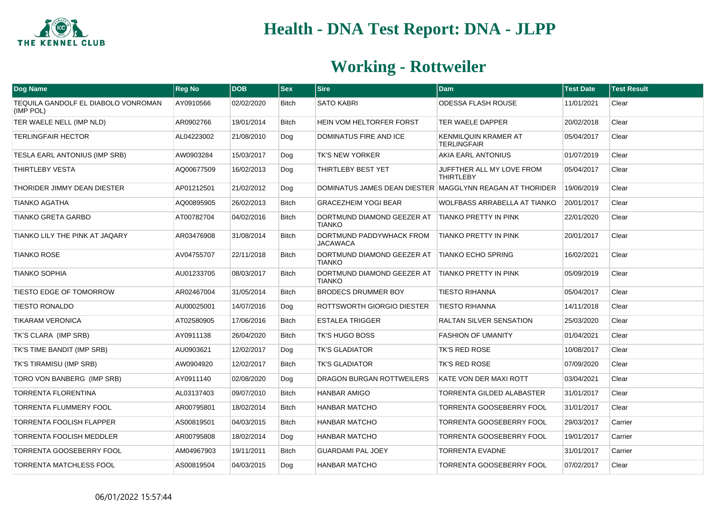

| Dog Name                                         | <b>Reg No</b> | <b>DOB</b> | <b>Sex</b>   | <b>Sire</b>                                 | <b>Dam</b>                                               | <b>Test Date</b> | <b>Test Result</b> |
|--------------------------------------------------|---------------|------------|--------------|---------------------------------------------|----------------------------------------------------------|------------------|--------------------|
| TEQUILA GANDOLF EL DIABOLO VONROMAN<br>(IMP POL) | AY0910566     | 02/02/2020 | <b>Bitch</b> | <b>SATO KABRI</b>                           | ODESSA FLASH ROUSE                                       | 11/01/2021       | Clear              |
| TER WAELE NELL (IMP NLD)                         | AR0902766     | 19/01/2014 | <b>Bitch</b> | HEIN VOM HELTORFER FORST                    | TER WAELE DAPPER                                         | 20/02/2018       | Clear              |
| <b>TERLINGFAIR HECTOR</b>                        | AL04223002    | 21/08/2010 | Dog          | <b>DOMINATUS FIRE AND ICE</b>               | <b>KENMILQUIN KRAMER AT</b><br><b>TERLINGFAIR</b>        | 05/04/2017       | Clear              |
| TESLA EARL ANTONIUS (IMP SRB)                    | AW0903284     | 15/03/2017 | Dog          | <b>TK'S NEW YORKER</b>                      | AKIA EARL ANTONIUS                                       | 01/07/2019       | Clear              |
| THIRTLEBY VESTA                                  | AQ00677509    | 16/02/2013 | Dog          | THIRTLEBY BEST YET                          | JUFFTHER ALL MY LOVE FROM<br><b>THIRTLEBY</b>            | 05/04/2017       | Clear              |
| THORIDER JIMMY DEAN DIESTER                      | AP01212501    | 21/02/2012 | Dog          |                                             | DOMINATUS JAMES DEAN DIESTER MAGGLYNN REAGAN AT THORIDER | 19/06/2019       | Clear              |
| <b>TIANKO AGATHA</b>                             | AQ00895905    | 26/02/2013 | <b>Bitch</b> | <b>GRACEZHEIM YOGI BEAR</b>                 | <b>WOLFBASS ARRABELLA AT TIANKO</b>                      | 20/01/2017       | Clear              |
| TIANKO GRETA GARBO                               | AT00782704    | 04/02/2016 | Bitch        | DORTMUND DIAMOND GEEZER AT<br><b>TIANKO</b> | TIANKO PRETTY IN PINK                                    | 22/01/2020       | Clear              |
| TIANKO LILY THE PINK AT JAQARY                   | AR03476908    | 31/08/2014 | <b>Bitch</b> | DORTMUND PADDYWHACK FROM<br><b>JACAWACA</b> | TIANKO PRETTY IN PINK                                    | 20/01/2017       | Clear              |
| <b>TIANKO ROSE</b>                               | AV04755707    | 22/11/2018 | <b>Bitch</b> | DORTMUND DIAMOND GEEZER AT<br><b>TIANKO</b> | <b>TIANKO ECHO SPRING</b>                                | 16/02/2021       | Clear              |
| <b>TIANKO SOPHIA</b>                             | AU01233705    | 08/03/2017 | <b>Bitch</b> | DORTMUND DIAMOND GEEZER AT<br><b>TIANKO</b> | TIANKO PRETTY IN PINK                                    | 05/09/2019       | Clear              |
| TIESTO EDGE OF TOMORROW                          | AR02467004    | 31/05/2014 | <b>Bitch</b> | <b>BRODECS DRUMMER BOY</b>                  | <b>TIESTO RIHANNA</b>                                    | 05/04/2017       | Clear              |
| <b>TIESTO RONALDO</b>                            | AU00025001    | 14/07/2016 | Dog          | ROTTSWORTH GIORGIO DIESTER                  | <b>TIESTO RIHANNA</b>                                    | 14/11/2018       | Clear              |
| <b>TIKARAM VERONICA</b>                          | AT02580905    | 17/06/2016 | <b>Bitch</b> | <b>ESTALEA TRIGGER</b>                      | <b>RALTAN SILVER SENSATION</b>                           | 25/03/2020       | Clear              |
| TK'S CLARA (IMP SRB)                             | AY0911138     | 26/04/2020 | <b>Bitch</b> | TK'S HUGO BOSS                              | <b>FASHION OF UMANITY</b>                                | 01/04/2021       | Clear              |
| TK'S TIME BANDIT (IMP SRB)                       | AU0903621     | 12/02/2017 | Dog          | <b>TK'S GLADIATOR</b>                       | <b>TK'S RED ROSE</b>                                     | 10/08/2017       | Clear              |
| TK'S TIRAMISU (IMP SRB)                          | AW0904920     | 12/02/2017 | Bitch        | TK'S GLADIATOR                              | TK'S RED ROSE                                            | 07/09/2020       | Clear              |
| TORO VON BANBERG (IMP SRB)                       | AY0911140     | 02/08/2020 | Dog          | <b>DRAGON BURGAN ROTTWEILERS</b>            | KATE VON DER MAXI ROTT                                   | 03/04/2021       | Clear              |
| TORRENTA FLORENTINA                              | AL03137403    | 09/07/2010 | <b>Bitch</b> | <b>HANBAR AMIGO</b>                         | <b>TORRENTA GILDED ALABASTER</b>                         | 31/01/2017       | Clear              |
| TORRENTA FLUMMERY FOOL                           | AR00795801    | 18/02/2014 | <b>Bitch</b> | <b>HANBAR MATCHO</b>                        | TORRENTA GOOSEBERRY FOOL                                 | 31/01/2017       | Clear              |
| <b>TORRENTA FOOLISH FLAPPER</b>                  | AS00819501    | 04/03/2015 | <b>Bitch</b> | <b>HANBAR MATCHO</b>                        | <b>TORRENTA GOOSEBERRY FOOL</b>                          | 29/03/2017       | Carrier            |
| <b>TORRENTA FOOLISH MEDDLER</b>                  | AR00795808    | 18/02/2014 | Dog          | <b>HANBAR MATCHO</b>                        | <b>TORRENTA GOOSEBERRY FOOL</b>                          | 19/01/2017       | Carrier            |
| <b>TORRENTA GOOSEBERRY FOOL</b>                  | AM04967903    | 19/11/2011 | <b>Bitch</b> | <b>GUARDAMI PAL JOEY</b>                    | <b>TORRENTA EVADNE</b>                                   | 31/01/2017       | Carrier            |
| TORRENTA MATCHLESS FOOL                          | AS00819504    | 04/03/2015 | Dog          | <b>HANBAR MATCHO</b>                        | TORRENTA GOOSEBERRY FOOL                                 | 07/02/2017       | Clear              |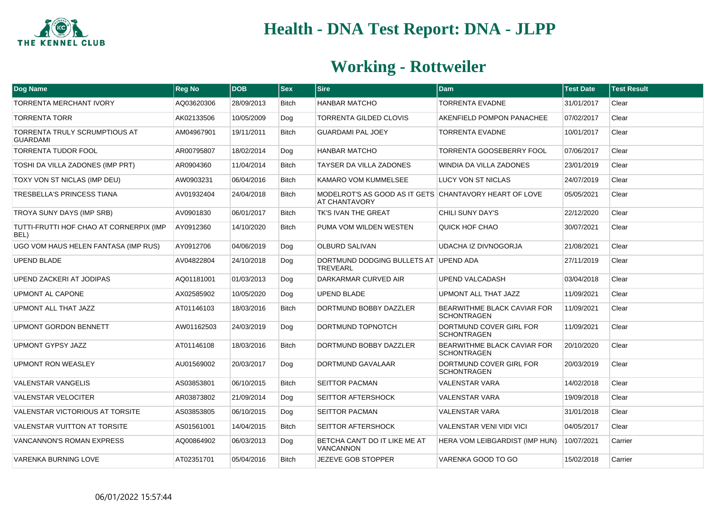

| Dog Name                                                | <b>Reg No</b> | <b>DOB</b> | $ $ Sex      | <b>Sire</b>                                                                    | <b>Dam</b>                                               | <b>Test Date</b> | <b>Test Result</b> |
|---------------------------------------------------------|---------------|------------|--------------|--------------------------------------------------------------------------------|----------------------------------------------------------|------------------|--------------------|
| <b>TORRENTA MERCHANT IVORY</b>                          | AQ03620306    | 28/09/2013 | <b>Bitch</b> | <b>HANBAR MATCHO</b>                                                           | <b>TORRENTA EVADNE</b>                                   | 31/01/2017       | Clear              |
| <b>TORRENTA TORR</b>                                    | AK02133506    | 10/05/2009 | Dog          | <b>TORRENTA GILDED CLOVIS</b>                                                  | AKENFIELD POMPON PANACHEE                                | 07/02/2017       | Clear              |
| <b>TORRENTA TRULY SCRUMPTIOUS AT</b><br><b>GUARDAMI</b> | AM04967901    | 19/11/2011 | <b>Bitch</b> | <b>GUARDAMI PAL JOEY</b>                                                       | <b>TORRENTA EVADNE</b>                                   | 10/01/2017       | Clear              |
| <b>TORRENTA TUDOR FOOL</b>                              | AR00795807    | 18/02/2014 | Dog          | <b>HANBAR MATCHO</b>                                                           | TORRENTA GOOSEBERRY FOOL                                 | 07/06/2017       | Clear              |
| TOSHI DA VILLA ZADONES (IMP PRT)                        | AR0904360     | 11/04/2014 | <b>Bitch</b> | TAYSER DA VILLA ZADONES                                                        | WINDIA DA VILLA ZADONES                                  | 23/01/2019       | Clear              |
| TOXY VON ST NICLAS (IMP DEU)                            | AW0903231     | 06/04/2016 | <b>Bitch</b> | <b>KAMARO VOM KUMMELSEE</b>                                                    | LUCY VON ST NICLAS                                       | 24/07/2019       | Clear              |
| TRESBELLA'S PRINCESS TIANA                              | AV01932404    | 24/04/2018 | <b>Bitch</b> | MODELROT'S AS GOOD AS IT GETS CHANTAVORY HEART OF LOVE<br><b>AT CHANTAVORY</b> |                                                          | 05/05/2021       | Clear              |
| TROYA SUNY DAYS (IMP SRB)                               | AV0901830     | 06/01/2017 | <b>Bitch</b> | TK'S IVAN THE GREAT                                                            | CHILI SUNY DAY'S                                         | 22/12/2020       | Clear              |
| TUTTI-FRUTTI HOF CHAO AT CORNERPIX (IMP<br>BEL)         | AY0912360     | 14/10/2020 | <b>Bitch</b> | PUMA VOM WILDEN WESTEN                                                         | QUICK HOF CHAO                                           | 30/07/2021       | Clear              |
| UGO VOM HAUS HELEN FANTASA (IMP RUS)                    | AY0912706     | 04/06/2019 | Dog          | <b>OLBURD SALIVAN</b>                                                          | <b>UDACHA IZ DIVNOGORJA</b>                              | 21/08/2021       | Clear              |
| <b>UPEND BLADE</b>                                      | AV04822804    | 24/10/2018 | Dog          | DORTMUND DODGING BULLETS AT UPEND ADA<br><b>TREVEARL</b>                       |                                                          | 27/11/2019       | Clear              |
| UPEND ZACKERI AT JODIPAS                                | AQ01181001    | 01/03/2013 | Dog          | DARKARMAR CURVED AIR                                                           | <b>UPEND VALCADASH</b>                                   | 03/04/2018       | Clear              |
| <b>UPMONT AL CAPONE</b>                                 | AX02585902    | 10/05/2020 | Dog          | <b>UPEND BLADE</b>                                                             | <b>UPMONT ALL THAT JAZZ</b>                              | 11/09/2021       | Clear              |
| UPMONT ALL THAT JAZZ                                    | AT01146103    | 18/03/2016 | <b>Bitch</b> | DORTMUND BOBBY DAZZLER                                                         | <b>BEARWITHME BLACK CAVIAR FOR</b><br><b>SCHONTRAGEN</b> | 11/09/2021       | Clear              |
| <b>UPMONT GORDON BENNETT</b>                            | AW01162503    | 24/03/2019 | Dog          | DORTMUND TOPNOTCH                                                              | DORTMUND COVER GIRL FOR<br><b>SCHONTRAGEN</b>            | 11/09/2021       | Clear              |
| <b>UPMONT GYPSY JAZZ</b>                                | AT01146108    | 18/03/2016 | <b>Bitch</b> | DORTMUND BOBBY DAZZLER                                                         | <b>BEARWITHME BLACK CAVIAR FOR</b><br><b>SCHONTRAGEN</b> | 20/10/2020       | Clear              |
| <b>UPMONT RON WEASLEY</b>                               | AU01569002    | 20/03/2017 | Dog          | DORTMUND GAVALAAR                                                              | DORTMUND COVER GIRL FOR<br><b>SCHONTRAGEN</b>            | 20/03/2019       | Clear              |
| <b>VALENSTAR VANGELIS</b>                               | AS03853801    | 06/10/2015 | <b>Bitch</b> | <b>SEITTOR PACMAN</b>                                                          | <b>VALENSTAR VARA</b>                                    | 14/02/2018       | Clear              |
| <b>VALENSTAR VELOCITER</b>                              | AR03873802    | 21/09/2014 | Dog          | <b>SEITTOR AFTERSHOCK</b>                                                      | <b>VALENSTAR VARA</b>                                    | 19/09/2018       | Clear              |
| <b>VALENSTAR VICTORIOUS AT TORSITE</b>                  | AS03853805    | 06/10/2015 | Dog          | <b>SEITTOR PACMAN</b>                                                          | <b>VALENSTAR VARA</b>                                    | 31/01/2018       | Clear              |
| <b>VALENSTAR VUITTON AT TORSITE</b>                     | AS01561001    | 14/04/2015 | Bitch        | SEITTOR AFTERSHOCK                                                             | <b>VALENSTAR VENI VIDI VICI</b>                          | 04/05/2017       | Clear              |
| VANCANNON'S ROMAN EXPRESS                               | AQ00864902    | 06/03/2013 | Dog          | BETCHA CAN'T DO IT LIKE ME AT<br><b>VANCANNON</b>                              | HERA VOM LEIBGARDIST (IMP HUN)                           | 10/07/2021       | Carrier            |
| <b>VARENKA BURNING LOVE</b>                             | AT02351701    | 05/04/2016 | <b>Bitch</b> | JEZEVE GOB STOPPER                                                             | VARENKA GOOD TO GO                                       | 15/02/2018       | Carrier            |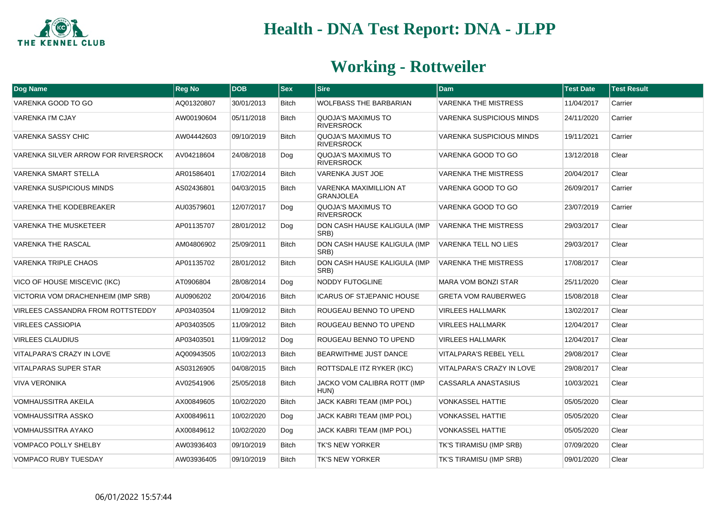

| Dog Name                                 | <b>Reg No</b> | <b>DOB</b> | $ $ Sex      | <b>Sire</b>                                    | <b>Dam</b>                       | <b>Test Date</b> | <b>Test Result</b> |
|------------------------------------------|---------------|------------|--------------|------------------------------------------------|----------------------------------|------------------|--------------------|
| VARENKA GOOD TO GO                       | AQ01320807    | 30/01/2013 | <b>Bitch</b> | WOLFBASS THE BARBARIAN                         | <b>VARENKA THE MISTRESS</b>      | 11/04/2017       | Carrier            |
| <b>VARENKA I'M CJAY</b>                  | AW00190604    | 05/11/2018 | <b>Bitch</b> | <b>QUOJA'S MAXIMUS TO</b><br><b>RIVERSROCK</b> | <b>VARENKA SUSPICIOUS MINDS</b>  | 24/11/2020       | Carrier            |
| VARENKA SASSY CHIC                       | AW04442603    | 09/10/2019 | <b>Bitch</b> | QUOJA'S MAXIMUS TO<br><b>RIVERSROCK</b>        | <b>VARENKA SUSPICIOUS MINDS</b>  | 19/11/2021       | Carrier            |
| VARENKA SILVER ARROW FOR RIVERSROCK      | AV04218604    | 24/08/2018 | Dog          | <b>QUOJA'S MAXIMUS TO</b><br><b>RIVERSROCK</b> | VARENKA GOOD TO GO               | 13/12/2018       | Clear              |
| <b>VARENKA SMART STELLA</b>              | AR01586401    | 17/02/2014 | <b>Bitch</b> | <b>VARENKA JUST JOE</b>                        | <b>VARENKA THE MISTRESS</b>      | 20/04/2017       | Clear              |
| <b>VARENKA SUSPICIOUS MINDS</b>          | AS02436801    | 04/03/2015 | Bitch        | VARENKA MAXIMILLION AT<br><b>GRANJOLEA</b>     | VARENKA GOOD TO GO               | 26/09/2017       | Carrier            |
| <b>VARENKA THE KODEBREAKER</b>           | AU03579601    | 12/07/2017 | Dog          | QUOJA'S MAXIMUS TO<br><b>RIVERSROCK</b>        | VARENKA GOOD TO GO               | 23/07/2019       | Carrier            |
| <b>VARENKA THE MUSKETEER</b>             | AP01135707    | 28/01/2012 | Dog          | DON CASH HAUSE KALIGULA (IMP<br>SRB)           | <b>VARENKA THE MISTRESS</b>      | 29/03/2017       | Clear              |
| <b>VARENKA THE RASCAL</b>                | AM04806902    | 25/09/2011 | <b>Bitch</b> | DON CASH HAUSE KALIGULA (IMP<br>SRB)           | <b>VARENKA TELL NO LIES</b>      | 29/03/2017       | Clear              |
| <b>VARENKA TRIPLE CHAOS</b>              | AP01135702    | 28/01/2012 | <b>Bitch</b> | DON CASH HAUSE KALIGULA (IMP<br>SRB)           | <b>VARENKA THE MISTRESS</b>      | 17/08/2017       | Clear              |
| VICO OF HOUSE MISCEVIC (IKC)             | AT0906804     | 28/08/2014 | Dog          | <b>NODDY FUTOGLINE</b>                         | <b>MARA VOM BONZI STAR</b>       | 25/11/2020       | Clear              |
| VICTORIA VOM DRACHENHEIM (IMP SRB)       | AU0906202     | 20/04/2016 | <b>Bitch</b> | <b>ICARUS OF STJEPANIC HOUSE</b>               | <b>GRETA VOM RAUBERWEG</b>       | 15/08/2018       | Clear              |
| <b>VIRLEES CASSANDRA FROM ROTTSTEDDY</b> | AP03403504    | 11/09/2012 | Bitch        | ROUGEAU BENNO TO UPEND                         | <b>VIRLEES HALLMARK</b>          | 13/02/2017       | Clear              |
| <b>VIRLEES CASSIOPIA</b>                 | AP03403505    | 11/09/2012 | <b>Bitch</b> | ROUGEAU BENNO TO UPEND                         | <b>VIRLEES HALLMARK</b>          | 12/04/2017       | Clear              |
| <b>VIRLEES CLAUDIUS</b>                  | AP03403501    | 11/09/2012 | Dog          | ROUGEAU BENNO TO UPEND                         | <b>VIRLEES HALLMARK</b>          | 12/04/2017       | Clear              |
| VITALPARA'S CRAZY IN LOVE                | AQ00943505    | 10/02/2013 | <b>Bitch</b> | <b>BEARWITHME JUST DANCE</b>                   | <b>VITALPARA'S REBEL YELL</b>    | 29/08/2017       | Clear              |
| <b>VITALPARAS SUPER STAR</b>             | AS03126905    | 04/08/2015 | <b>Bitch</b> | ROTTSDALE ITZ RYKER (IKC)                      | <b>VITALPARA'S CRAZY IN LOVE</b> | 29/08/2017       | Clear              |
| <b>VIVA VERONIKA</b>                     | AV02541906    | 25/05/2018 | Bitch        | JACKO VOM CALIBRA ROTT (IMP<br>HUN)            | CASSARLA ANASTASIUS              | 10/03/2021       | Clear              |
| VOMHAUSSITRA AKEILA                      | AX00849605    | 10/02/2020 | <b>Bitch</b> | JACK KABRI TEAM (IMP POL)                      | <b>VONKASSEL HATTIE</b>          | 05/05/2020       | Clear              |
| <b>VOMHAUSSITRA ASSKO</b>                | AX00849611    | 10/02/2020 | Dog          | JACK KABRI TEAM (IMP POL)                      | <b>VONKASSEL HATTIE</b>          | 05/05/2020       | Clear              |
| <b>VOMHAUSSITRA AYAKO</b>                | AX00849612    | 10/02/2020 | Dog          | JACK KABRI TEAM (IMP POL)                      | <b>VONKASSEL HATTIE</b>          | 05/05/2020       | Clear              |
| <b>VOMPACO POLLY SHELBY</b>              | AW03936403    | 09/10/2019 | <b>Bitch</b> | <b>TK'S NEW YORKER</b>                         | TK'S TIRAMISU (IMP SRB)          | 07/09/2020       | Clear              |
| <b>VOMPACO RUBY TUESDAY</b>              | AW03936405    | 09/10/2019 | <b>Bitch</b> | <b>TK'S NEW YORKER</b>                         | <b>TK'S TIRAMISU (IMP SRB)</b>   | 09/01/2020       | Clear              |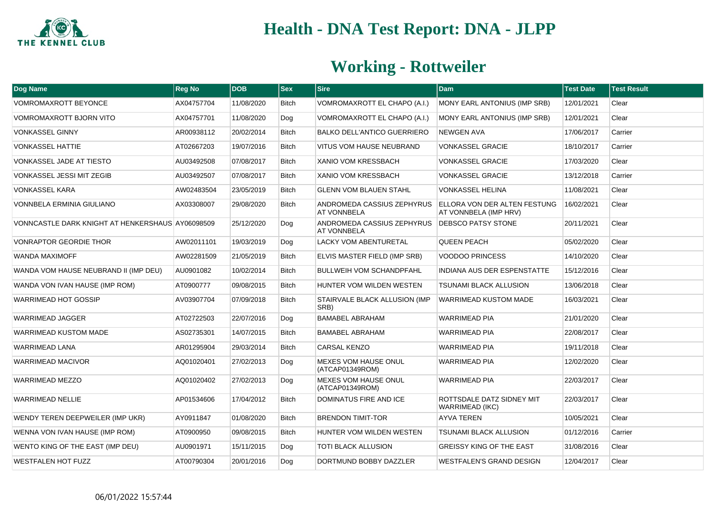

| Dog Name                                         | <b>Reg No</b> | <b>DOB</b> | <b>Sex</b>   | $ S$ ire                                         | <b>Dam</b>                                                   | <b>Test Date</b> | <b>Test Result</b> |
|--------------------------------------------------|---------------|------------|--------------|--------------------------------------------------|--------------------------------------------------------------|------------------|--------------------|
| <b>VOMROMAXROTT BEYONCE</b>                      | AX04757704    | 11/08/2020 | <b>Bitch</b> | VOMROMAXROTT EL CHAPO (A.I.)                     | MONY EARL ANTONIUS (IMP SRB)                                 | 12/01/2021       | Clear              |
| VOMROMAXROTT BJORN VITO                          | AX04757701    | 11/08/2020 | Dog          | VOMROMAXROTT EL CHAPO (A.I.)                     | MONY EARL ANTONIUS (IMP SRB)                                 | 12/01/2021       | Clear              |
| <b>VONKASSEL GINNY</b>                           | AR00938112    | 20/02/2014 | <b>Bitch</b> | <b>BALKO DELL'ANTICO GUERRIERO</b>               | <b>NEWGEN AVA</b>                                            | 17/06/2017       | Carrier            |
| <b>VONKASSEL HATTIE</b>                          | AT02667203    | 19/07/2016 | <b>Bitch</b> | VITUS VOM HAUSE NEUBRAND                         | VONKASSEL GRACIE                                             | 18/10/2017       | Carrier            |
| <b>VONKASSEL JADE AT TIESTO</b>                  | AU03492508    | 07/08/2017 | <b>Bitch</b> | <b>XANIO VOM KRESSBACH</b>                       | <b>VONKASSEL GRACIE</b>                                      | 17/03/2020       | Clear              |
| VONKASSEL JESSI MIT ZEGIB                        | AU03492507    | 07/08/2017 | <b>Bitch</b> | XANIO VOM KRESSBACH                              | VONKASSEL GRACIE                                             | 13/12/2018       | Carrier            |
| <b>VONKASSEL KARA</b>                            | AW02483504    | 23/05/2019 | <b>Bitch</b> | <b>GLENN VOM BLAUEN STAHL</b>                    | VONKASSEL HELINA                                             | 11/08/2021       | Clear              |
| VONNBELA ERMINIA GIULIANO                        | AX03308007    | 29/08/2020 | <b>Bitch</b> | ANDROMEDA CASSIUS ZEPHYRUS<br><b>AT VONNBELA</b> | <b>ELLORA VON DER ALTEN FESTUNG</b><br>AT VONNBELA (IMP HRV) | 16/02/2021       | Clear              |
| VONNCASTLE DARK KNIGHT AT HENKERSHAUS AY06098509 |               | 25/12/2020 | Dog          | ANDROMEDA CASSIUS ZEPHYRUS<br><b>AT VONNBELA</b> | <b>DEBSCO PATSY STONE</b>                                    | 20/11/2021       | Clear              |
| <b>VONRAPTOR GEORDIE THOR</b>                    | AW02011101    | 19/03/2019 | Dog          | <b>LACKY VOM ABENTURETAL</b>                     | <b>QUEEN PEACH</b>                                           | 05/02/2020       | Clear              |
| <b>WANDA MAXIMOFF</b>                            | AW02281509    | 21/05/2019 | <b>Bitch</b> | ELVIS MASTER FIELD (IMP SRB)                     | <b>VOODOO PRINCESS</b>                                       | 14/10/2020       | Clear              |
| WANDA VOM HAUSE NEUBRAND II (IMP DEU)            | AU0901082     | 10/02/2014 | <b>Bitch</b> | <b>BULLWEIH VOM SCHANDPFAHL</b>                  | <b>INDIANA AUS DER ESPENSTATTE</b>                           | 15/12/2016       | Clear              |
| WANDA VON IVAN HAUSE (IMP ROM)                   | AT0900777     | 09/08/2015 | <b>Bitch</b> | HUNTER VOM WILDEN WESTEN                         | <b>TSUNAMI BLACK ALLUSION</b>                                | 13/06/2018       | Clear              |
| <b>WARRIMEAD HOT GOSSIP</b>                      | AV03907704    | 07/09/2018 | <b>Bitch</b> | STAIRVALE BLACK ALLUSION (IMP<br>SRB)            | WARRIMEAD KUSTOM MADE                                        | 16/03/2021       | Clear              |
| <b>WARRIMEAD JAGGER</b>                          | AT02722503    | 22/07/2016 | Dog          | <b>BAMABEL ABRAHAM</b>                           | <b>WARRIMEAD PIA</b>                                         | 21/01/2020       | Clear              |
| <b>WARRIMEAD KUSTOM MADE</b>                     | AS02735301    | 14/07/2015 | <b>Bitch</b> | <b>BAMABEL ABRAHAM</b>                           | <b>WARRIMEAD PIA</b>                                         | 22/08/2017       | Clear              |
| <b>WARRIMEAD LANA</b>                            | AR01295904    | 29/03/2014 | <b>Bitch</b> | <b>CARSAL KENZO</b>                              | <b>WARRIMEAD PIA</b>                                         | 19/11/2018       | Clear              |
| <b>WARRIMEAD MACIVOR</b>                         | AQ01020401    | 27/02/2013 | Dog          | <b>MEXES VOM HAUSE ONUL</b><br>(ATCAP01349ROM)   | <b>WARRIMEAD PIA</b>                                         | 12/02/2020       | Clear              |
| WARRIMEAD MEZZO                                  | AQ01020402    | 27/02/2013 | Dog          | MEXES VOM HAUSE ONUL<br>(ATCAP01349ROM)          | <b>WARRIMEAD PIA</b>                                         | 22/03/2017       | Clear              |
| <b>WARRIMEAD NELLIE</b>                          | AP01534606    | 17/04/2012 | <b>Bitch</b> | <b>DOMINATUS FIRE AND ICE</b>                    | ROTTSDALE DATZ SIDNEY MIT<br><b>WARRIMEAD (IKC)</b>          | 22/03/2017       | Clear              |
| WENDY TEREN DEEPWEILER (IMP UKR)                 | AY0911847     | 01/08/2020 | <b>Bitch</b> | <b>BRENDON TIMIT-TOR</b>                         | <b>AYVA TEREN</b>                                            | 10/05/2021       | Clear              |
| WENNA VON IVAN HAUSE (IMP ROM)                   | AT0900950     | 09/08/2015 | <b>Bitch</b> | HUNTER VOM WILDEN WESTEN                         | <b>TSUNAMI BLACK ALLUSION</b>                                | 01/12/2016       | Carrier            |
| WENTO KING OF THE EAST (IMP DEU)                 | AU0901971     | 15/11/2015 | Dog          | TOTI BLACK ALLUSION                              | <b>GREISSY KING OF THE EAST</b>                              | 31/08/2016       | Clear              |
| <b>WESTFALEN HOT FUZZ</b>                        | AT00790304    | 20/01/2016 | Dog          | DORTMUND BOBBY DAZZLER                           | <b>WESTFALEN'S GRAND DESIGN</b>                              | 12/04/2017       | Clear              |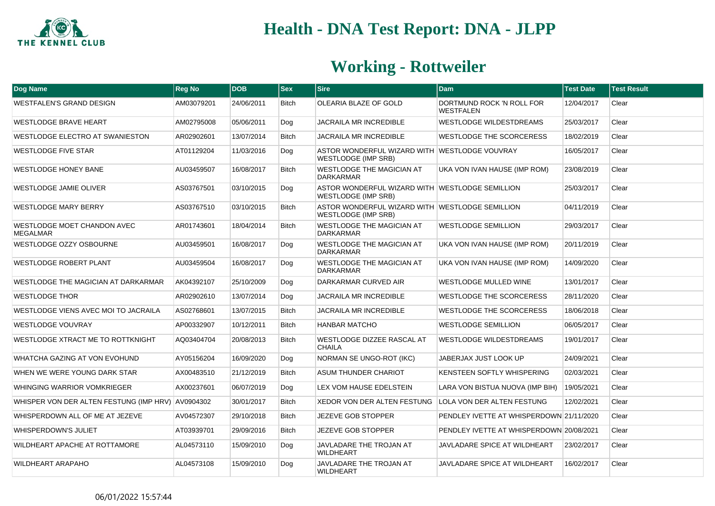

| Dog Name                                          | <b>Reg No</b> | <b>DOB</b> | $ $ Sex      | <b>Sire</b>                                                                   | <b>Dam</b>                               | <b>Test Date</b> | <b>Test Result</b> |
|---------------------------------------------------|---------------|------------|--------------|-------------------------------------------------------------------------------|------------------------------------------|------------------|--------------------|
| WESTFALEN'S GRAND DESIGN                          | AM03079201    | 24/06/2011 | <b>Bitch</b> | OLEARIA BLAZE OF GOLD                                                         | DORTMUND ROCK 'N ROLL FOR<br>WESTFALEN   | 12/04/2017       | Clear              |
| <b>WESTLODGE BRAVE HEART</b>                      | AM02795008    | 05/06/2011 | Dog          | <b>JACRAILA MR INCREDIBLE</b>                                                 | <b>WESTLODGE WILDESTDREAMS</b>           | 25/03/2017       | Clear              |
| WESTLODGE ELECTRO AT SWANIESTON                   | AR02902601    | 13/07/2014 | <b>Bitch</b> | <b>JACRAILA MR INCREDIBLE</b>                                                 | <b>WESTLODGE THE SCORCERESS</b>          | 18/02/2019       | Clear              |
| <b>WESTLODGE FIVE STAR</b>                        | AT01129204    | 11/03/2016 | Dog          | ASTOR WONDERFUL WIZARD WITH WESTLODGE VOUVRAY<br><b>WESTLODGE (IMP SRB)</b>   |                                          | 16/05/2017       | Clear              |
| <b>WESTLODGE HONEY BANE</b>                       | AU03459507    | 16/08/2017 | <b>Bitch</b> | WESTLODGE THE MAGICIAN AT<br><b>DARKARMAR</b>                                 | UKA VON IVAN HAUSE (IMP ROM)             | 23/08/2019       | Clear              |
| <b>WESTLODGE JAMIE OLIVER</b>                     | AS03767501    | 03/10/2015 | Dog          | ASTOR WONDERFUL WIZARD WITH WESTLODGE SEMILLION<br>WESTLODGE (IMP SRB)        |                                          | 25/03/2017       | Clear              |
| <b>WESTLODGE MARY BERRY</b>                       | AS03767510    | 03/10/2015 | <b>Bitch</b> | ASTOR WONDERFUL WIZARD WITH WESTLODGE SEMILLION<br><b>WESTLODGE (IMP SRB)</b> |                                          | 04/11/2019       | Clear              |
| WESTLODGE MOET CHANDON AVEC<br><b>MEGALMAR</b>    | AR01743601    | 18/04/2014 | <b>Bitch</b> | WESTLODGE THE MAGICIAN AT<br><b>DARKARMAR</b>                                 | <b>WESTLODGE SEMILLION</b>               | 29/03/2017       | Clear              |
| WESTLODGE OZZY OSBOURNE                           | AU03459501    | 16/08/2017 | Dog          | <b>WESTLODGE THE MAGICIAN AT</b><br><b>DARKARMAR</b>                          | UKA VON IVAN HAUSE (IMP ROM)             | 20/11/2019       | Clear              |
| <b>WESTLODGE ROBERT PLANT</b>                     | AU03459504    | 16/08/2017 | Dog          | <b>WESTLODGE THE MAGICIAN AT</b><br><b>DARKARMAR</b>                          | UKA VON IVAN HAUSE (IMP ROM)             | 14/09/2020       | Clear              |
| WESTLODGE THE MAGICIAN AT DARKARMAR               | AK04392107    | 25/10/2009 | Dog          | DARKARMAR CURVED AIR                                                          | <b>WESTLODGE MULLED WINE</b>             | 13/01/2017       | Clear              |
| <b>WESTLODGE THOR</b>                             | AR02902610    | 13/07/2014 | Dog          | JACRAILA MR INCREDIBLE                                                        | WESTLODGE THE SCORCERESS                 | 28/11/2020       | Clear              |
| WESTLODGE VIENS AVEC MOI TO JACRAILA              | AS02768601    | 13/07/2015 | <b>Bitch</b> | JACRAILA MR INCREDIBLE                                                        | WESTLODGE THE SCORCERESS                 | 18/06/2018       | Clear              |
| WESTLODGE VOUVRAY                                 | AP00332907    | 10/12/2011 | <b>Bitch</b> | <b>HANBAR MATCHO</b>                                                          | <b>WESTLODGE SEMILLION</b>               | 06/05/2017       | Clear              |
| <b>WESTLODGE XTRACT ME TO ROTTKNIGHT</b>          | AQ03404704    | 20/08/2013 | <b>Bitch</b> | <b>WESTLODGE DIZZEE RASCAL AT</b><br><b>CHAILA</b>                            | WESTLODGE WILDESTDREAMS                  | 19/01/2017       | Clear              |
| WHATCHA GAZING AT VON EVOHUND                     | AY05156204    | 16/09/2020 | Dog          | <b>NORMAN SE UNGO-ROT (IKC)</b>                                               | JABERJAX JUST LOOK UP                    | 24/09/2021       | Clear              |
| WHEN WE WERE YOUNG DARK STAR                      | AX00483510    | 21/12/2019 | <b>Bitch</b> | ASUM THUNDER CHARIOT                                                          | KENSTEEN SOFTLY WHISPERING               | 02/03/2021       | Clear              |
| <b>WHINGING WARRIOR VOMKRIEGER</b>                | AX00237601    | 06/07/2019 | Dog          | LEX VOM HAUSE EDELSTEIN                                                       | LARA VON BISTUA NUOVA (IMP BIH)          | 19/05/2021       | Clear              |
| WHISPER VON DER ALTEN FESTUNG (IMP HRV) AV0904302 |               | 30/01/2017 | <b>Bitch</b> | XEDOR VON DER ALTEN FESTUNG                                                   | <b>LOLA VON DER ALTEN FESTUNG</b>        | 12/02/2021       | Clear              |
| WHISPERDOWN ALL OF ME AT JEZEVE                   | AV04572307    | 29/10/2018 | <b>Bitch</b> | <b>JEZEVE GOB STOPPER</b>                                                     | PENDLEY IVETTE AT WHISPERDOWN 21/11/2020 |                  | Clear              |
| <b>WHISPERDOWN'S JULIET</b>                       | AT03939701    | 29/09/2016 | <b>Bitch</b> | <b>JEZEVE GOB STOPPER</b>                                                     | PENDLEY IVETTE AT WHISPERDOWN 20/08/2021 |                  | Clear              |
| WILDHEART APACHE AT ROTTAMORE                     | AL04573110    | 15/09/2010 | Dog          | JAVLADARE THE TROJAN AT<br><b>WILDHEART</b>                                   | <b>JAVLADARE SPICE AT WILDHEART</b>      | 23/02/2017       | Clear              |
| <b>WILDHEART ARAPAHO</b>                          | AL04573108    | 15/09/2010 | Dog          | JAVLADARE THE TROJAN AT<br><b>WILDHEART</b>                                   | JAVLADARE SPICE AT WILDHEART             | 16/02/2017       | Clear              |